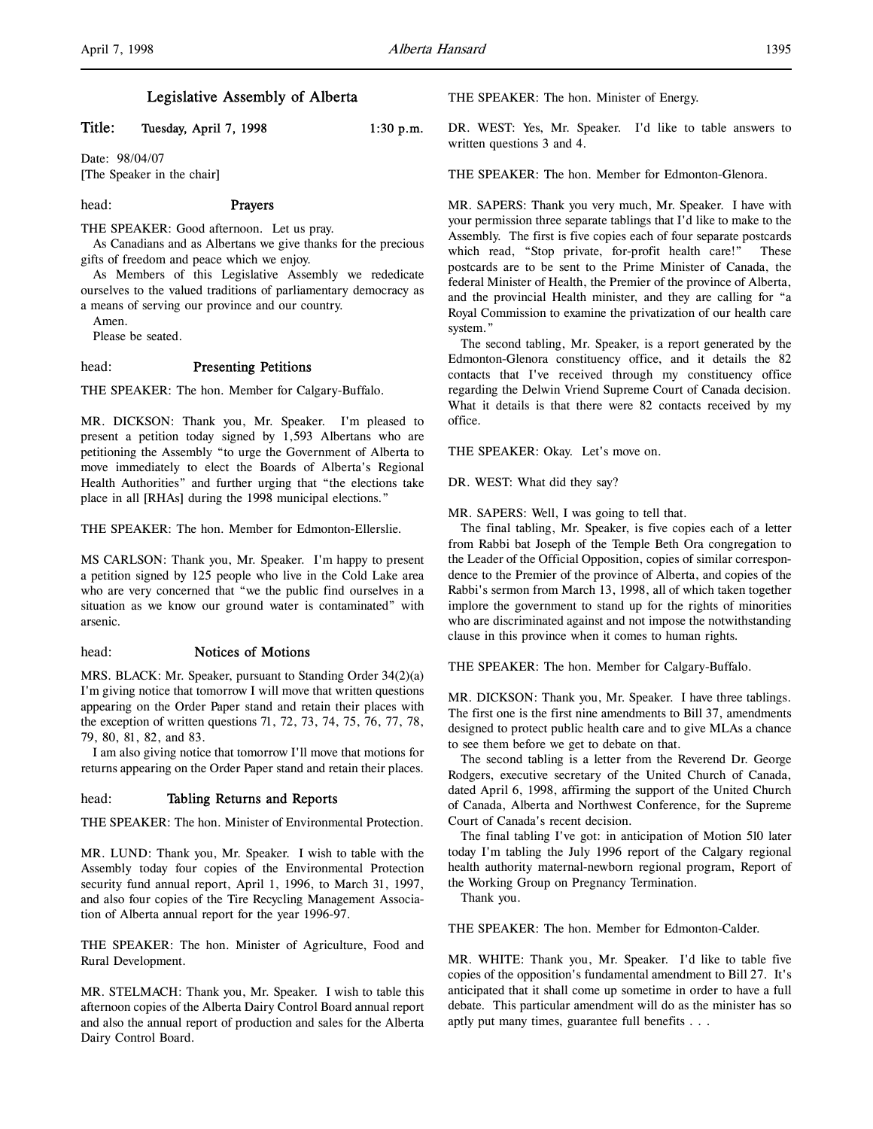# Legislative Assembly of Alberta

Title: Tuesday, April 7, 1998 1:30 p.m.

Date: 98/04/07 [The Speaker in the chair]

### head: Prayers

THE SPEAKER: Good afternoon. Let us pray.

As Canadians and as Albertans we give thanks for the precious gifts of freedom and peace which we enjoy.

As Members of this Legislative Assembly we rededicate ourselves to the valued traditions of parliamentary democracy as a means of serving our province and our country.

Amen.

Please be seated.

# head: Presenting Petitions

THE SPEAKER: The hon. Member for Calgary-Buffalo.

MR. DICKSON: Thank you, Mr. Speaker. I'm pleased to present a petition today signed by 1,593 Albertans who are petitioning the Assembly "to urge the Government of Alberta to move immediately to elect the Boards of Alberta's Regional Health Authorities" and further urging that "the elections take place in all [RHAs] during the 1998 municipal elections."

THE SPEAKER: The hon. Member for Edmonton-Ellerslie.

MS CARLSON: Thank you, Mr. Speaker. I'm happy to present a petition signed by 125 people who live in the Cold Lake area who are very concerned that "we the public find ourselves in a situation as we know our ground water is contaminated" with arsenic.

## head: Notices of Motions

MRS. BLACK: Mr. Speaker, pursuant to Standing Order 34(2)(a) I'm giving notice that tomorrow I will move that written questions appearing on the Order Paper stand and retain their places with the exception of written questions 71, 72, 73, 74, 75, 76, 77, 78, 79, 80, 81, 82, and 83.

I am also giving notice that tomorrow I'll move that motions for returns appearing on the Order Paper stand and retain their places.

### head: Tabling Returns and Reports

THE SPEAKER: The hon. Minister of Environmental Protection.

MR. LUND: Thank you, Mr. Speaker. I wish to table with the Assembly today four copies of the Environmental Protection security fund annual report, April 1, 1996, to March 31, 1997, and also four copies of the Tire Recycling Management Association of Alberta annual report for the year 1996-97.

THE SPEAKER: The hon. Minister of Agriculture, Food and Rural Development.

MR. STELMACH: Thank you, Mr. Speaker. I wish to table this afternoon copies of the Alberta Dairy Control Board annual report and also the annual report of production and sales for the Alberta Dairy Control Board.

THE SPEAKER: The hon. Minister of Energy.

DR. WEST: Yes, Mr. Speaker. I'd like to table answers to written questions 3 and 4.

THE SPEAKER: The hon. Member for Edmonton-Glenora.

MR. SAPERS: Thank you very much, Mr. Speaker. I have with your permission three separate tablings that I'd like to make to the Assembly. The first is five copies each of four separate postcards which read, "Stop private, for-profit health care!" These postcards are to be sent to the Prime Minister of Canada, the federal Minister of Health, the Premier of the province of Alberta, and the provincial Health minister, and they are calling for "a Royal Commission to examine the privatization of our health care system."

The second tabling, Mr. Speaker, is a report generated by the Edmonton-Glenora constituency office, and it details the 82 contacts that I've received through my constituency office regarding the Delwin Vriend Supreme Court of Canada decision. What it details is that there were 82 contacts received by my office.

THE SPEAKER: Okay. Let's move on.

DR. WEST: What did they say?

MR. SAPERS: Well, I was going to tell that.

The final tabling, Mr. Speaker, is five copies each of a letter from Rabbi bat Joseph of the Temple Beth Ora congregation to the Leader of the Official Opposition, copies of similar correspondence to the Premier of the province of Alberta, and copies of the Rabbi's sermon from March 13, 1998, all of which taken together implore the government to stand up for the rights of minorities who are discriminated against and not impose the notwithstanding clause in this province when it comes to human rights.

THE SPEAKER: The hon. Member for Calgary-Buffalo.

MR. DICKSON: Thank you, Mr. Speaker. I have three tablings. The first one is the first nine amendments to Bill 37, amendments designed to protect public health care and to give MLAs a chance to see them before we get to debate on that.

The second tabling is a letter from the Reverend Dr. George Rodgers, executive secretary of the United Church of Canada, dated April 6, 1998, affirming the support of the United Church of Canada, Alberta and Northwest Conference, for the Supreme Court of Canada's recent decision.

The final tabling I've got: in anticipation of Motion 510 later today I'm tabling the July 1996 report of the Calgary regional health authority maternal-newborn regional program, Report of the Working Group on Pregnancy Termination.

Thank you.

THE SPEAKER: The hon. Member for Edmonton-Calder.

MR. WHITE: Thank you, Mr. Speaker. I'd like to table five copies of the opposition's fundamental amendment to Bill 27. It's anticipated that it shall come up sometime in order to have a full debate. This particular amendment will do as the minister has so aptly put many times, guarantee full benefits . . .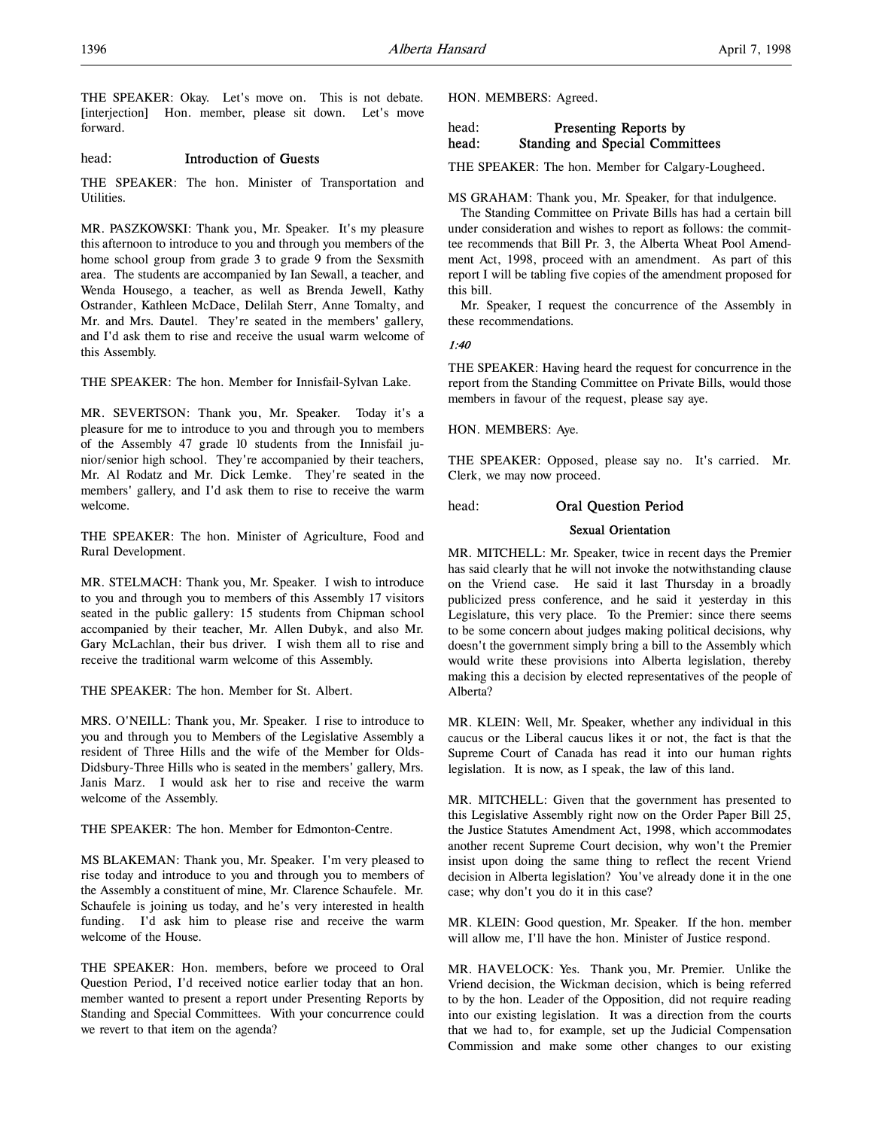THE SPEAKER: Okay. Let's move on. This is not debate. [interjection] Hon. member, please sit down. Let's move forward.

# head: Introduction of Guests

THE SPEAKER: The hon. Minister of Transportation and Utilities.

MR. PASZKOWSKI: Thank you, Mr. Speaker. It's my pleasure this afternoon to introduce to you and through you members of the home school group from grade 3 to grade 9 from the Sexsmith area. The students are accompanied by Ian Sewall, a teacher, and Wenda Housego, a teacher, as well as Brenda Jewell, Kathy Ostrander, Kathleen McDace, Delilah Sterr, Anne Tomalty, and Mr. and Mrs. Dautel. They're seated in the members' gallery, and I'd ask them to rise and receive the usual warm welcome of this Assembly.

THE SPEAKER: The hon. Member for Innisfail-Sylvan Lake.

MR. SEVERTSON: Thank you, Mr. Speaker. Today it's a pleasure for me to introduce to you and through you to members of the Assembly 47 grade 10 students from the Innisfail junior/senior high school. They're accompanied by their teachers, Mr. Al Rodatz and Mr. Dick Lemke. They're seated in the members' gallery, and I'd ask them to rise to receive the warm welcome.

THE SPEAKER: The hon. Minister of Agriculture, Food and Rural Development.

MR. STELMACH: Thank you, Mr. Speaker. I wish to introduce to you and through you to members of this Assembly 17 visitors seated in the public gallery: 15 students from Chipman school accompanied by their teacher, Mr. Allen Dubyk, and also Mr. Gary McLachlan, their bus driver. I wish them all to rise and receive the traditional warm welcome of this Assembly.

THE SPEAKER: The hon. Member for St. Albert.

MRS. O'NEILL: Thank you, Mr. Speaker. I rise to introduce to you and through you to Members of the Legislative Assembly a resident of Three Hills and the wife of the Member for Olds-Didsbury-Three Hills who is seated in the members' gallery, Mrs. Janis Marz. I would ask her to rise and receive the warm welcome of the Assembly.

THE SPEAKER: The hon. Member for Edmonton-Centre.

MS BLAKEMAN: Thank you, Mr. Speaker. I'm very pleased to rise today and introduce to you and through you to members of the Assembly a constituent of mine, Mr. Clarence Schaufele. Mr. Schaufele is joining us today, and he's very interested in health funding. I'd ask him to please rise and receive the warm welcome of the House.

THE SPEAKER: Hon. members, before we proceed to Oral Question Period, I'd received notice earlier today that an hon. member wanted to present a report under Presenting Reports by Standing and Special Committees. With your concurrence could we revert to that item on the agenda?

HON. MEMBERS: Agreed.

# head: Presenting Reports by head: Standing and Special Committees

THE SPEAKER: The hon. Member for Calgary-Lougheed.

MS GRAHAM: Thank you, Mr. Speaker, for that indulgence.

The Standing Committee on Private Bills has had a certain bill under consideration and wishes to report as follows: the committee recommends that Bill Pr. 3, the Alberta Wheat Pool Amendment Act, 1998, proceed with an amendment. As part of this report I will be tabling five copies of the amendment proposed for this bill.

Mr. Speaker, I request the concurrence of the Assembly in these recommendations.

1:40

THE SPEAKER: Having heard the request for concurrence in the report from the Standing Committee on Private Bills, would those members in favour of the request, please say aye.

HON. MEMBERS: Aye.

THE SPEAKER: Opposed, please say no. It's carried. Mr. Clerk, we may now proceed.

# head: Oral Question Period

## Sexual Orientation

MR. MITCHELL: Mr. Speaker, twice in recent days the Premier has said clearly that he will not invoke the notwithstanding clause on the Vriend case. He said it last Thursday in a broadly publicized press conference, and he said it yesterday in this Legislature, this very place. To the Premier: since there seems to be some concern about judges making political decisions, why doesn't the government simply bring a bill to the Assembly which would write these provisions into Alberta legislation, thereby making this a decision by elected representatives of the people of Alberta?

MR. KLEIN: Well, Mr. Speaker, whether any individual in this caucus or the Liberal caucus likes it or not, the fact is that the Supreme Court of Canada has read it into our human rights legislation. It is now, as I speak, the law of this land.

MR. MITCHELL: Given that the government has presented to this Legislative Assembly right now on the Order Paper Bill 25, the Justice Statutes Amendment Act, 1998, which accommodates another recent Supreme Court decision, why won't the Premier insist upon doing the same thing to reflect the recent Vriend decision in Alberta legislation? You've already done it in the one case; why don't you do it in this case?

MR. KLEIN: Good question, Mr. Speaker. If the hon. member will allow me, I'll have the hon. Minister of Justice respond.

MR. HAVELOCK: Yes. Thank you, Mr. Premier. Unlike the Vriend decision, the Wickman decision, which is being referred to by the hon. Leader of the Opposition, did not require reading into our existing legislation. It was a direction from the courts that we had to, for example, set up the Judicial Compensation Commission and make some other changes to our existing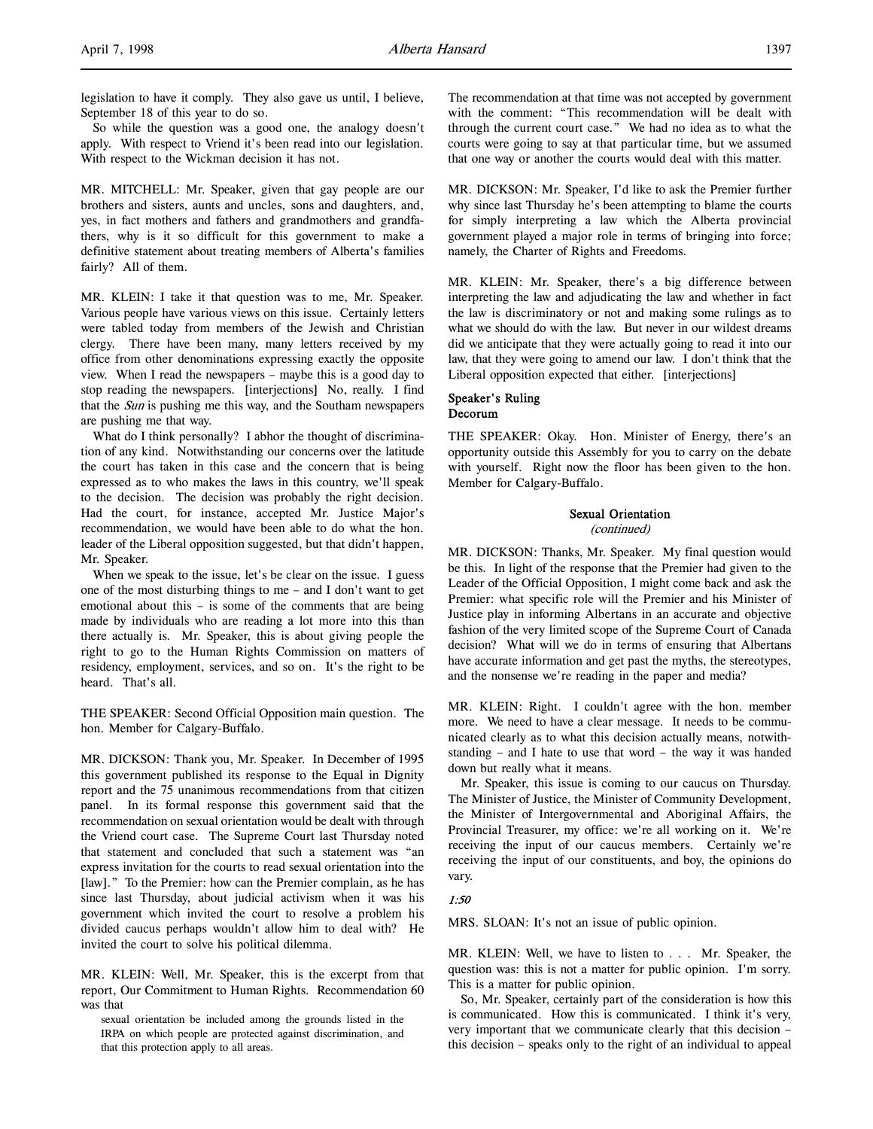legislation to have it comply. They also gave us until, I believe, September 18 of this year to do so.

So while the question was a good one, the analogy doesn't apply. With respect to Vriend it's been read into our legislation. With respect to the Wickman decision it has not.

MR. MITCHELL: Mr. Speaker, given that gay people are our brothers and sisters, aunts and uncles, sons and daughters, and, yes, in fact mothers and fathers and grandmothers and grandfathers, why is it so difficult for this government to make a definitive statement about treating members of Alberta's families fairly? All of them.

MR. KLEIN: I take it that question was to me, Mr. Speaker. Various people have various views on this issue. Certainly letters were tabled today from members of the Jewish and Christian clergy. There have been many, many letters received by my office from other denominations expressing exactly the opposite view. When I read the newspapers – maybe this is a good day to stop reading the newspapers. [interjections] No, really. I find that the Sun is pushing me this way, and the Southam newspapers are pushing me that way.

What do I think personally? I abhor the thought of discrimination of any kind. Notwithstanding our concerns over the latitude the court has taken in this case and the concern that is being expressed as to who makes the laws in this country, we'll speak to the decision. The decision was probably the right decision. Had the court, for instance, accepted Mr. Justice Major's recommendation, we would have been able to do what the hon. leader of the Liberal opposition suggested, but that didn't happen, Mr. Speaker.

When we speak to the issue, let's be clear on the issue. I guess one of the most disturbing things to me – and I don't want to get emotional about this – is some of the comments that are being made by individuals who are reading a lot more into this than there actually is. Mr. Speaker, this is about giving people the right to go to the Human Rights Commission on matters of residency, employment, services, and so on. It's the right to be heard. That's all.

THE SPEAKER: Second Official Opposition main question. The hon. Member for Calgary-Buffalo.

MR. DICKSON: Thank you, Mr. Speaker. In December of 1995 this government published its response to the Equal in Dignity report and the 75 unanimous recommendations from that citizen panel. In its formal response this government said that the recommendation on sexual orientation would be dealt with through the Vriend court case. The Supreme Court last Thursday noted that statement and concluded that such a statement was "an express invitation for the courts to read sexual orientation into the [law]." To the Premier: how can the Premier complain, as he has since last Thursday, about judicial activism when it was his government which invited the court to resolve a problem his divided caucus perhaps wouldn't allow him to deal with? He invited the court to solve his political dilemma.

MR. KLEIN: Well, Mr. Speaker, this is the excerpt from that report, Our Commitment to Human Rights. Recommendation 60 was that

sexual orientation be included among the grounds listed in the IRPA on which people are protected against discrimination, and that this protection apply to all areas.

The recommendation at that time was not accepted by government with the comment: "This recommendation will be dealt with through the current court case." We had no idea as to what the courts were going to say at that particular time, but we assumed that one way or another the courts would deal with this matter.

MR. DICKSON: Mr. Speaker, I'd like to ask the Premier further why since last Thursday he's been attempting to blame the courts for simply interpreting a law which the Alberta provincial government played a major role in terms of bringing into force; namely, the Charter of Rights and Freedoms.

MR. KLEIN: Mr. Speaker, there's a big difference between interpreting the law and adjudicating the law and whether in fact the law is discriminatory or not and making some rulings as to what we should do with the law. But never in our wildest dreams did we anticipate that they were actually going to read it into our law, that they were going to amend our law. I don't think that the Liberal opposition expected that either. [interjections]

## Speaker's Ruling Decorum

THE SPEAKER: Okay. Hon. Minister of Energy, there's an opportunity outside this Assembly for you to carry on the debate with yourself. Right now the floor has been given to the hon. Member for Calgary-Buffalo.

# Sexual Orientation

(continued)

MR. DICKSON: Thanks, Mr. Speaker. My final question would be this. In light of the response that the Premier had given to the Leader of the Official Opposition, I might come back and ask the Premier: what specific role will the Premier and his Minister of Justice play in informing Albertans in an accurate and objective fashion of the very limited scope of the Supreme Court of Canada decision? What will we do in terms of ensuring that Albertans have accurate information and get past the myths, the stereotypes, and the nonsense we're reading in the paper and media?

MR. KLEIN: Right. I couldn't agree with the hon. member more. We need to have a clear message. It needs to be communicated clearly as to what this decision actually means, notwithstanding – and I hate to use that word – the way it was handed down but really what it means.

Mr. Speaker, this issue is coming to our caucus on Thursday. The Minister of Justice, the Minister of Community Development, the Minister of Intergovernmental and Aboriginal Affairs, the Provincial Treasurer, my office: we're all working on it. We're receiving the input of our caucus members. Certainly we're receiving the input of our constituents, and boy, the opinions do vary.

## 1:50

MRS. SLOAN: It's not an issue of public opinion.

MR. KLEIN: Well, we have to listen to . . . Mr. Speaker, the question was: this is not a matter for public opinion. I'm sorry. This is a matter for public opinion.

So, Mr. Speaker, certainly part of the consideration is how this is communicated. How this is communicated. I think it's very, very important that we communicate clearly that this decision – this decision – speaks only to the right of an individual to appeal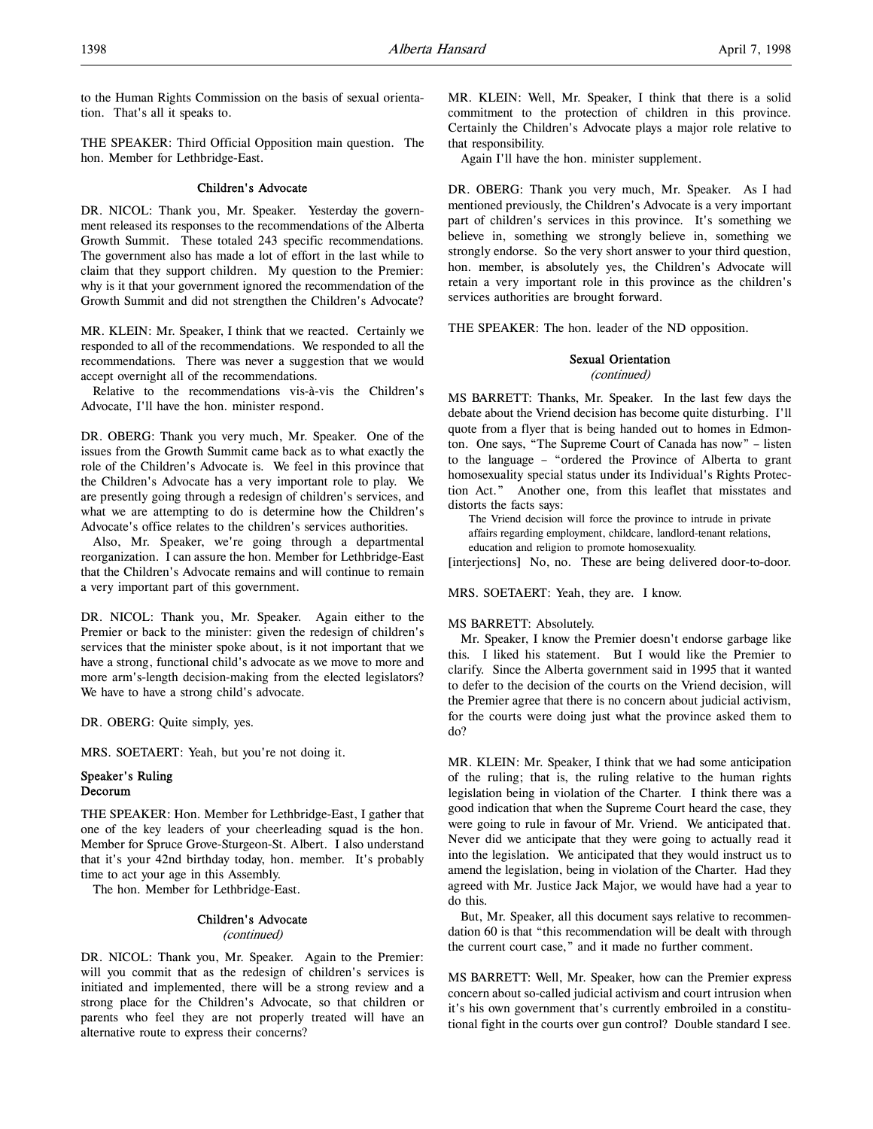to the Human Rights Commission on the basis of sexual orientation. That's all it speaks to.

THE SPEAKER: Third Official Opposition main question. The hon. Member for Lethbridge-East.

## Children's Advocate

DR. NICOL: Thank you, Mr. Speaker. Yesterday the government released its responses to the recommendations of the Alberta Growth Summit. These totaled 243 specific recommendations. The government also has made a lot of effort in the last while to claim that they support children. My question to the Premier: why is it that your government ignored the recommendation of the Growth Summit and did not strengthen the Children's Advocate?

MR. KLEIN: Mr. Speaker, I think that we reacted. Certainly we responded to all of the recommendations. We responded to all the recommendations. There was never a suggestion that we would accept overnight all of the recommendations.

Relative to the recommendations vis-à-vis the Children's Advocate, I'll have the hon. minister respond.

DR. OBERG: Thank you very much, Mr. Speaker. One of the issues from the Growth Summit came back as to what exactly the role of the Children's Advocate is. We feel in this province that the Children's Advocate has a very important role to play. We are presently going through a redesign of children's services, and what we are attempting to do is determine how the Children's Advocate's office relates to the children's services authorities.

Also, Mr. Speaker, we're going through a departmental reorganization. I can assure the hon. Member for Lethbridge-East that the Children's Advocate remains and will continue to remain a very important part of this government.

DR. NICOL: Thank you, Mr. Speaker. Again either to the Premier or back to the minister: given the redesign of children's services that the minister spoke about, is it not important that we have a strong, functional child's advocate as we move to more and more arm's-length decision-making from the elected legislators? We have to have a strong child's advocate.

DR. OBERG: Quite simply, yes.

MRS. SOETAERT: Yeah, but you're not doing it.

# Speaker's Ruling Decorum

THE SPEAKER: Hon. Member for Lethbridge-East, I gather that one of the key leaders of your cheerleading squad is the hon. Member for Spruce Grove-Sturgeon-St. Albert. I also understand that it's your 42nd birthday today, hon. member. It's probably time to act your age in this Assembly.

The hon. Member for Lethbridge-East.

# Children's Advocate

### (continued)

DR. NICOL: Thank you, Mr. Speaker. Again to the Premier: will you commit that as the redesign of children's services is initiated and implemented, there will be a strong review and a strong place for the Children's Advocate, so that children or parents who feel they are not properly treated will have an alternative route to express their concerns?

MR. KLEIN: Well, Mr. Speaker, I think that there is a solid commitment to the protection of children in this province. Certainly the Children's Advocate plays a major role relative to that responsibility.

Again I'll have the hon. minister supplement.

DR. OBERG: Thank you very much, Mr. Speaker. As I had mentioned previously, the Children's Advocate is a very important part of children's services in this province. It's something we believe in, something we strongly believe in, something we strongly endorse. So the very short answer to your third question, hon. member, is absolutely yes, the Children's Advocate will retain a very important role in this province as the children's services authorities are brought forward.

THE SPEAKER: The hon. leader of the ND opposition.

# Sexual Orientation

# (continued)

MS BARRETT: Thanks, Mr. Speaker. In the last few days the debate about the Vriend decision has become quite disturbing. I'll quote from a flyer that is being handed out to homes in Edmonton. One says, "The Supreme Court of Canada has now" – listen to the language – "ordered the Province of Alberta to grant homosexuality special status under its Individual's Rights Protection Act." Another one, from this leaflet that misstates and distorts the facts says:

The Vriend decision will force the province to intrude in private affairs regarding employment, childcare, landlord-tenant relations,

education and religion to promote homosexuality.

[interjections] No, no. These are being delivered door-to-door.

### MRS. SOETAERT: Yeah, they are. I know.

### MS BARRETT: Absolutely.

Mr. Speaker, I know the Premier doesn't endorse garbage like this. I liked his statement. But I would like the Premier to clarify. Since the Alberta government said in 1995 that it wanted to defer to the decision of the courts on the Vriend decision, will the Premier agree that there is no concern about judicial activism, for the courts were doing just what the province asked them to do?

MR. KLEIN: Mr. Speaker, I think that we had some anticipation of the ruling; that is, the ruling relative to the human rights legislation being in violation of the Charter. I think there was a good indication that when the Supreme Court heard the case, they were going to rule in favour of Mr. Vriend. We anticipated that. Never did we anticipate that they were going to actually read it into the legislation. We anticipated that they would instruct us to amend the legislation, being in violation of the Charter. Had they agreed with Mr. Justice Jack Major, we would have had a year to do this.

But, Mr. Speaker, all this document says relative to recommendation 60 is that "this recommendation will be dealt with through the current court case," and it made no further comment.

MS BARRETT: Well, Mr. Speaker, how can the Premier express concern about so-called judicial activism and court intrusion when it's his own government that's currently embroiled in a constitutional fight in the courts over gun control? Double standard I see.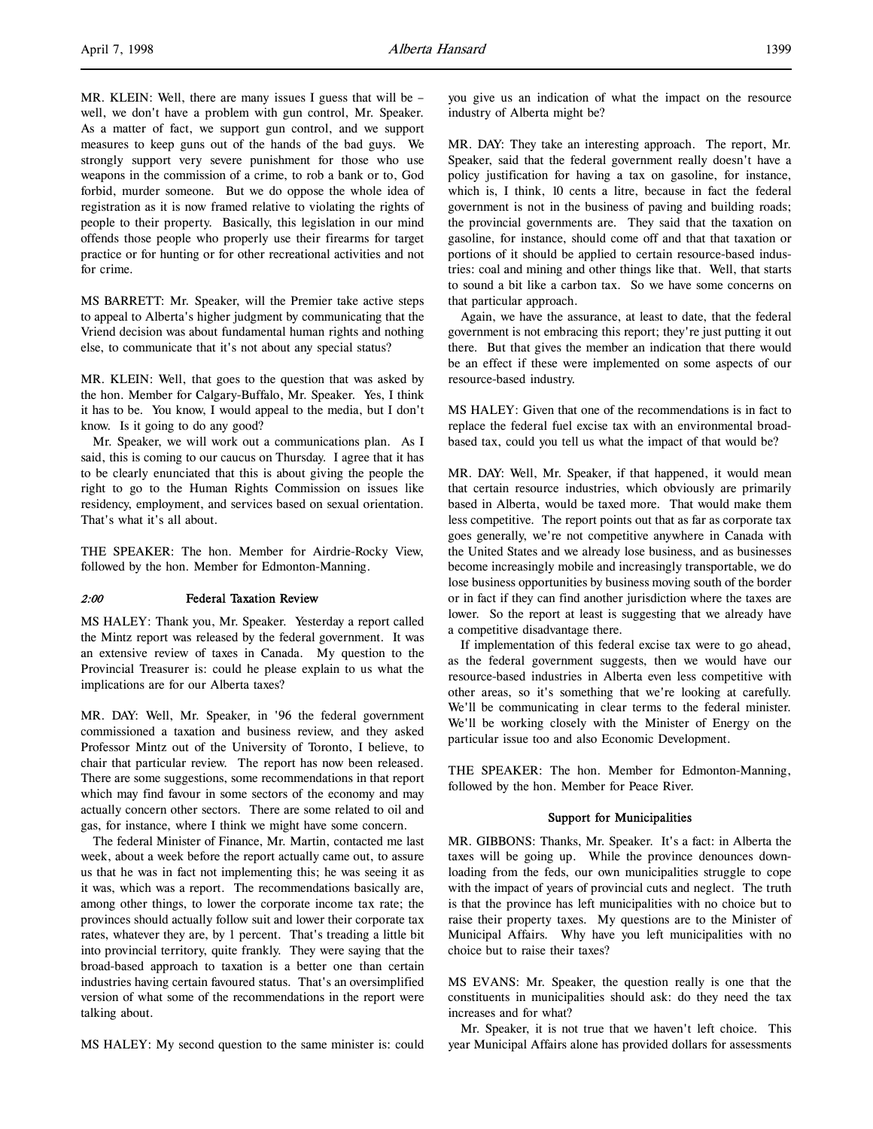MR. KLEIN: Well, there are many issues I guess that will be – well, we don't have a problem with gun control, Mr. Speaker. As a matter of fact, we support gun control, and we support measures to keep guns out of the hands of the bad guys. We strongly support very severe punishment for those who use weapons in the commission of a crime, to rob a bank or to, God forbid, murder someone. But we do oppose the whole idea of registration as it is now framed relative to violating the rights of people to their property. Basically, this legislation in our mind offends those people who properly use their firearms for target practice or for hunting or for other recreational activities and not for crime.

MS BARRETT: Mr. Speaker, will the Premier take active steps to appeal to Alberta's higher judgment by communicating that the Vriend decision was about fundamental human rights and nothing else, to communicate that it's not about any special status?

MR. KLEIN: Well, that goes to the question that was asked by the hon. Member for Calgary-Buffalo, Mr. Speaker. Yes, I think it has to be. You know, I would appeal to the media, but I don't know. Is it going to do any good?

Mr. Speaker, we will work out a communications plan. As I said, this is coming to our caucus on Thursday. I agree that it has to be clearly enunciated that this is about giving the people the right to go to the Human Rights Commission on issues like residency, employment, and services based on sexual orientation. That's what it's all about.

THE SPEAKER: The hon. Member for Airdrie-Rocky View, followed by the hon. Member for Edmonton-Manning.

## 2:00 Federal Taxation Review

MS HALEY: Thank you, Mr. Speaker. Yesterday a report called the Mintz report was released by the federal government. It was an extensive review of taxes in Canada. My question to the Provincial Treasurer is: could he please explain to us what the implications are for our Alberta taxes?

MR. DAY: Well, Mr. Speaker, in '96 the federal government commissioned a taxation and business review, and they asked Professor Mintz out of the University of Toronto, I believe, to chair that particular review. The report has now been released. There are some suggestions, some recommendations in that report which may find favour in some sectors of the economy and may actually concern other sectors. There are some related to oil and gas, for instance, where I think we might have some concern.

The federal Minister of Finance, Mr. Martin, contacted me last week, about a week before the report actually came out, to assure us that he was in fact not implementing this; he was seeing it as it was, which was a report. The recommendations basically are, among other things, to lower the corporate income tax rate; the provinces should actually follow suit and lower their corporate tax rates, whatever they are, by 1 percent. That's treading a little bit into provincial territory, quite frankly. They were saying that the broad-based approach to taxation is a better one than certain industries having certain favoured status. That's an oversimplified version of what some of the recommendations in the report were talking about.

MS HALEY: My second question to the same minister is: could

you give us an indication of what the impact on the resource industry of Alberta might be?

MR. DAY: They take an interesting approach. The report, Mr. Speaker, said that the federal government really doesn't have a policy justification for having a tax on gasoline, for instance, which is, I think, 10 cents a litre, because in fact the federal government is not in the business of paving and building roads; the provincial governments are. They said that the taxation on gasoline, for instance, should come off and that that taxation or portions of it should be applied to certain resource-based industries: coal and mining and other things like that. Well, that starts to sound a bit like a carbon tax. So we have some concerns on that particular approach.

Again, we have the assurance, at least to date, that the federal government is not embracing this report; they're just putting it out there. But that gives the member an indication that there would be an effect if these were implemented on some aspects of our resource-based industry.

MS HALEY: Given that one of the recommendations is in fact to replace the federal fuel excise tax with an environmental broadbased tax, could you tell us what the impact of that would be?

MR. DAY: Well, Mr. Speaker, if that happened, it would mean that certain resource industries, which obviously are primarily based in Alberta, would be taxed more. That would make them less competitive. The report points out that as far as corporate tax goes generally, we're not competitive anywhere in Canada with the United States and we already lose business, and as businesses become increasingly mobile and increasingly transportable, we do lose business opportunities by business moving south of the border or in fact if they can find another jurisdiction where the taxes are lower. So the report at least is suggesting that we already have a competitive disadvantage there.

If implementation of this federal excise tax were to go ahead, as the federal government suggests, then we would have our resource-based industries in Alberta even less competitive with other areas, so it's something that we're looking at carefully. We'll be communicating in clear terms to the federal minister. We'll be working closely with the Minister of Energy on the particular issue too and also Economic Development.

THE SPEAKER: The hon. Member for Edmonton-Manning, followed by the hon. Member for Peace River.

### Support for Municipalities

MR. GIBBONS: Thanks, Mr. Speaker. It's a fact: in Alberta the taxes will be going up. While the province denounces downloading from the feds, our own municipalities struggle to cope with the impact of years of provincial cuts and neglect. The truth is that the province has left municipalities with no choice but to raise their property taxes. My questions are to the Minister of Municipal Affairs. Why have you left municipalities with no choice but to raise their taxes?

MS EVANS: Mr. Speaker, the question really is one that the constituents in municipalities should ask: do they need the tax increases and for what?

Mr. Speaker, it is not true that we haven't left choice. This year Municipal Affairs alone has provided dollars for assessments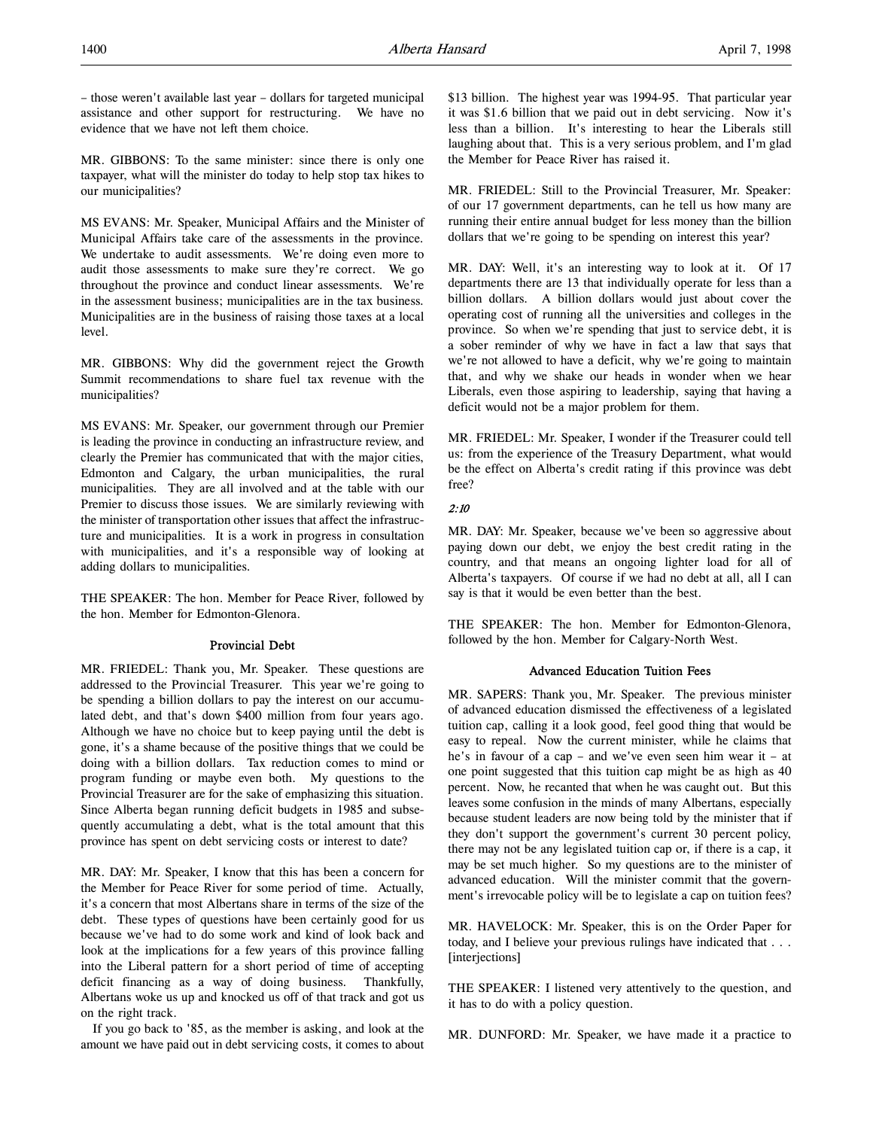– those weren't available last year – dollars for targeted municipal assistance and other support for restructuring. We have no evidence that we have not left them choice.

MR. GIBBONS: To the same minister: since there is only one taxpayer, what will the minister do today to help stop tax hikes to our municipalities?

MS EVANS: Mr. Speaker, Municipal Affairs and the Minister of Municipal Affairs take care of the assessments in the province. We undertake to audit assessments. We're doing even more to audit those assessments to make sure they're correct. We go throughout the province and conduct linear assessments. We're in the assessment business; municipalities are in the tax business. Municipalities are in the business of raising those taxes at a local level.

MR. GIBBONS: Why did the government reject the Growth Summit recommendations to share fuel tax revenue with the municipalities?

MS EVANS: Mr. Speaker, our government through our Premier is leading the province in conducting an infrastructure review, and clearly the Premier has communicated that with the major cities, Edmonton and Calgary, the urban municipalities, the rural municipalities. They are all involved and at the table with our Premier to discuss those issues. We are similarly reviewing with the minister of transportation other issues that affect the infrastructure and municipalities. It is a work in progress in consultation with municipalities, and it's a responsible way of looking at adding dollars to municipalities.

THE SPEAKER: The hon. Member for Peace River, followed by the hon. Member for Edmonton-Glenora.

## Provincial Debt

MR. FRIEDEL: Thank you, Mr. Speaker. These questions are addressed to the Provincial Treasurer. This year we're going to be spending a billion dollars to pay the interest on our accumulated debt, and that's down \$400 million from four years ago. Although we have no choice but to keep paying until the debt is gone, it's a shame because of the positive things that we could be doing with a billion dollars. Tax reduction comes to mind or program funding or maybe even both. My questions to the Provincial Treasurer are for the sake of emphasizing this situation. Since Alberta began running deficit budgets in 1985 and subsequently accumulating a debt, what is the total amount that this province has spent on debt servicing costs or interest to date?

MR. DAY: Mr. Speaker, I know that this has been a concern for the Member for Peace River for some period of time. Actually, it's a concern that most Albertans share in terms of the size of the debt. These types of questions have been certainly good for us because we've had to do some work and kind of look back and look at the implications for a few years of this province falling into the Liberal pattern for a short period of time of accepting deficit financing as a way of doing business. Thankfully, Albertans woke us up and knocked us off of that track and got us on the right track.

If you go back to '85, as the member is asking, and look at the amount we have paid out in debt servicing costs, it comes to about \$13 billion. The highest year was 1994-95. That particular year it was \$1.6 billion that we paid out in debt servicing. Now it's less than a billion. It's interesting to hear the Liberals still laughing about that. This is a very serious problem, and I'm glad the Member for Peace River has raised it.

MR. FRIEDEL: Still to the Provincial Treasurer, Mr. Speaker: of our 17 government departments, can he tell us how many are running their entire annual budget for less money than the billion dollars that we're going to be spending on interest this year?

MR. DAY: Well, it's an interesting way to look at it. Of 17 departments there are 13 that individually operate for less than a billion dollars. A billion dollars would just about cover the operating cost of running all the universities and colleges in the province. So when we're spending that just to service debt, it is a sober reminder of why we have in fact a law that says that we're not allowed to have a deficit, why we're going to maintain that, and why we shake our heads in wonder when we hear Liberals, even those aspiring to leadership, saying that having a deficit would not be a major problem for them.

MR. FRIEDEL: Mr. Speaker, I wonder if the Treasurer could tell us: from the experience of the Treasury Department, what would be the effect on Alberta's credit rating if this province was debt free?

## 2:10

MR. DAY: Mr. Speaker, because we've been so aggressive about paying down our debt, we enjoy the best credit rating in the country, and that means an ongoing lighter load for all of Alberta's taxpayers. Of course if we had no debt at all, all I can say is that it would be even better than the best.

THE SPEAKER: The hon. Member for Edmonton-Glenora, followed by the hon. Member for Calgary-North West.

### Advanced Education Tuition Fees

MR. SAPERS: Thank you, Mr. Speaker. The previous minister of advanced education dismissed the effectiveness of a legislated tuition cap, calling it a look good, feel good thing that would be easy to repeal. Now the current minister, while he claims that he's in favour of a cap – and we've even seen him wear it – at one point suggested that this tuition cap might be as high as 40 percent. Now, he recanted that when he was caught out. But this leaves some confusion in the minds of many Albertans, especially because student leaders are now being told by the minister that if they don't support the government's current 30 percent policy, there may not be any legislated tuition cap or, if there is a cap, it may be set much higher. So my questions are to the minister of advanced education. Will the minister commit that the government's irrevocable policy will be to legislate a cap on tuition fees?

MR. HAVELOCK: Mr. Speaker, this is on the Order Paper for today, and I believe your previous rulings have indicated that . . . [interjections]

THE SPEAKER: I listened very attentively to the question, and it has to do with a policy question.

MR. DUNFORD: Mr. Speaker, we have made it a practice to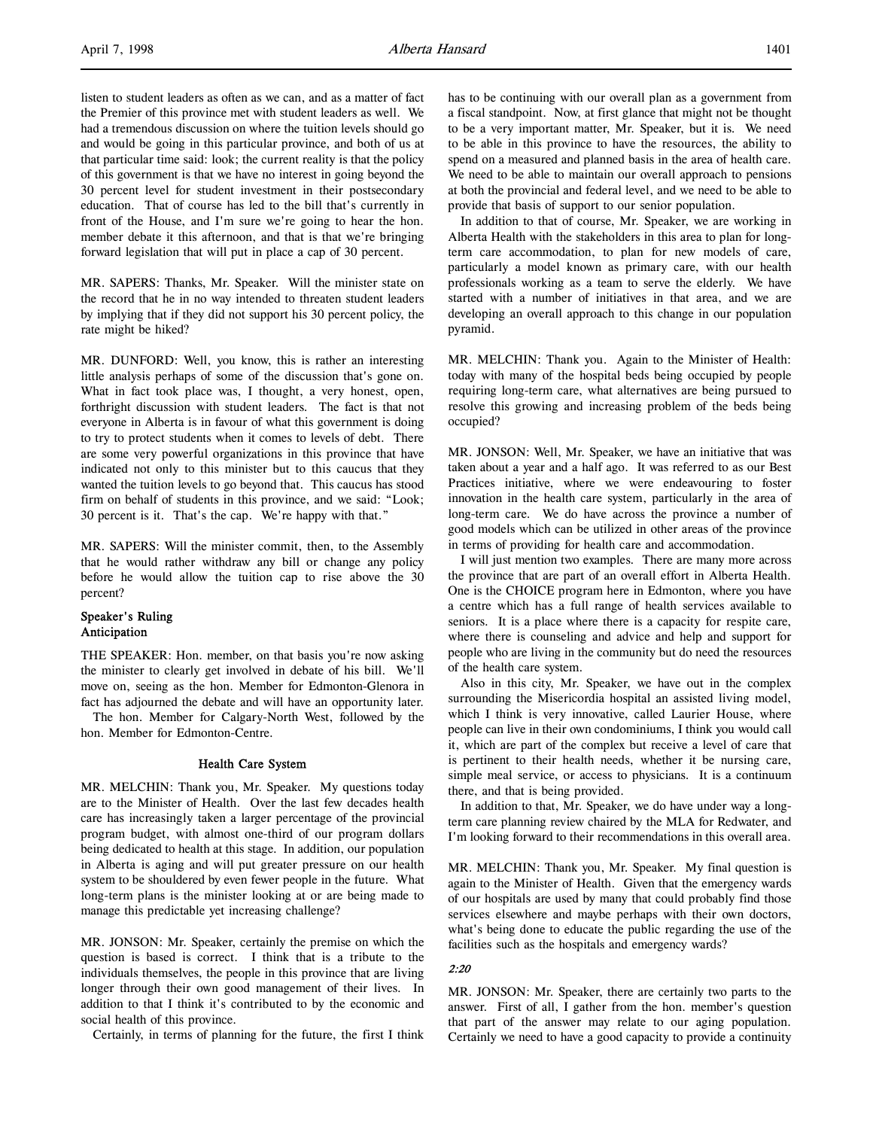listen to student leaders as often as we can, and as a matter of fact the Premier of this province met with student leaders as well. We had a tremendous discussion on where the tuition levels should go and would be going in this particular province, and both of us at that particular time said: look; the current reality is that the policy of this government is that we have no interest in going beyond the 30 percent level for student investment in their postsecondary education. That of course has led to the bill that's currently in front of the House, and I'm sure we're going to hear the hon. member debate it this afternoon, and that is that we're bringing forward legislation that will put in place a cap of 30 percent.

MR. SAPERS: Thanks, Mr. Speaker. Will the minister state on the record that he in no way intended to threaten student leaders by implying that if they did not support his 30 percent policy, the rate might be hiked?

MR. DUNFORD: Well, you know, this is rather an interesting little analysis perhaps of some of the discussion that's gone on. What in fact took place was, I thought, a very honest, open, forthright discussion with student leaders. The fact is that not everyone in Alberta is in favour of what this government is doing to try to protect students when it comes to levels of debt. There are some very powerful organizations in this province that have indicated not only to this minister but to this caucus that they wanted the tuition levels to go beyond that. This caucus has stood firm on behalf of students in this province, and we said: "Look; 30 percent is it. That's the cap. We're happy with that."

MR. SAPERS: Will the minister commit, then, to the Assembly that he would rather withdraw any bill or change any policy before he would allow the tuition cap to rise above the 30 percent?

## Speaker's Ruling Anticipation

THE SPEAKER: Hon. member, on that basis you're now asking the minister to clearly get involved in debate of his bill. We'll move on, seeing as the hon. Member for Edmonton-Glenora in fact has adjourned the debate and will have an opportunity later.

The hon. Member for Calgary-North West, followed by the hon. Member for Edmonton-Centre.

## Health Care System

MR. MELCHIN: Thank you, Mr. Speaker. My questions today are to the Minister of Health. Over the last few decades health care has increasingly taken a larger percentage of the provincial program budget, with almost one-third of our program dollars being dedicated to health at this stage. In addition, our population in Alberta is aging and will put greater pressure on our health system to be shouldered by even fewer people in the future. What long-term plans is the minister looking at or are being made to manage this predictable yet increasing challenge?

MR. JONSON: Mr. Speaker, certainly the premise on which the question is based is correct. I think that is a tribute to the individuals themselves, the people in this province that are living longer through their own good management of their lives. In addition to that I think it's contributed to by the economic and social health of this province.

Certainly, in terms of planning for the future, the first I think

has to be continuing with our overall plan as a government from a fiscal standpoint. Now, at first glance that might not be thought to be a very important matter, Mr. Speaker, but it is. We need to be able in this province to have the resources, the ability to spend on a measured and planned basis in the area of health care. We need to be able to maintain our overall approach to pensions at both the provincial and federal level, and we need to be able to provide that basis of support to our senior population.

In addition to that of course, Mr. Speaker, we are working in Alberta Health with the stakeholders in this area to plan for longterm care accommodation, to plan for new models of care, particularly a model known as primary care, with our health professionals working as a team to serve the elderly. We have started with a number of initiatives in that area, and we are developing an overall approach to this change in our population pyramid.

MR. MELCHIN: Thank you. Again to the Minister of Health: today with many of the hospital beds being occupied by people requiring long-term care, what alternatives are being pursued to resolve this growing and increasing problem of the beds being occupied?

MR. JONSON: Well, Mr. Speaker, we have an initiative that was taken about a year and a half ago. It was referred to as our Best Practices initiative, where we were endeavouring to foster innovation in the health care system, particularly in the area of long-term care. We do have across the province a number of good models which can be utilized in other areas of the province in terms of providing for health care and accommodation.

I will just mention two examples. There are many more across the province that are part of an overall effort in Alberta Health. One is the CHOICE program here in Edmonton, where you have a centre which has a full range of health services available to seniors. It is a place where there is a capacity for respite care, where there is counseling and advice and help and support for people who are living in the community but do need the resources of the health care system.

Also in this city, Mr. Speaker, we have out in the complex surrounding the Misericordia hospital an assisted living model, which I think is very innovative, called Laurier House, where people can live in their own condominiums, I think you would call it, which are part of the complex but receive a level of care that is pertinent to their health needs, whether it be nursing care, simple meal service, or access to physicians. It is a continuum there, and that is being provided.

In addition to that, Mr. Speaker, we do have under way a longterm care planning review chaired by the MLA for Redwater, and I'm looking forward to their recommendations in this overall area.

MR. MELCHIN: Thank you, Mr. Speaker. My final question is again to the Minister of Health. Given that the emergency wards of our hospitals are used by many that could probably find those services elsewhere and maybe perhaps with their own doctors, what's being done to educate the public regarding the use of the facilities such as the hospitals and emergency wards?

### 2:20

MR. JONSON: Mr. Speaker, there are certainly two parts to the answer. First of all, I gather from the hon. member's question that part of the answer may relate to our aging population. Certainly we need to have a good capacity to provide a continuity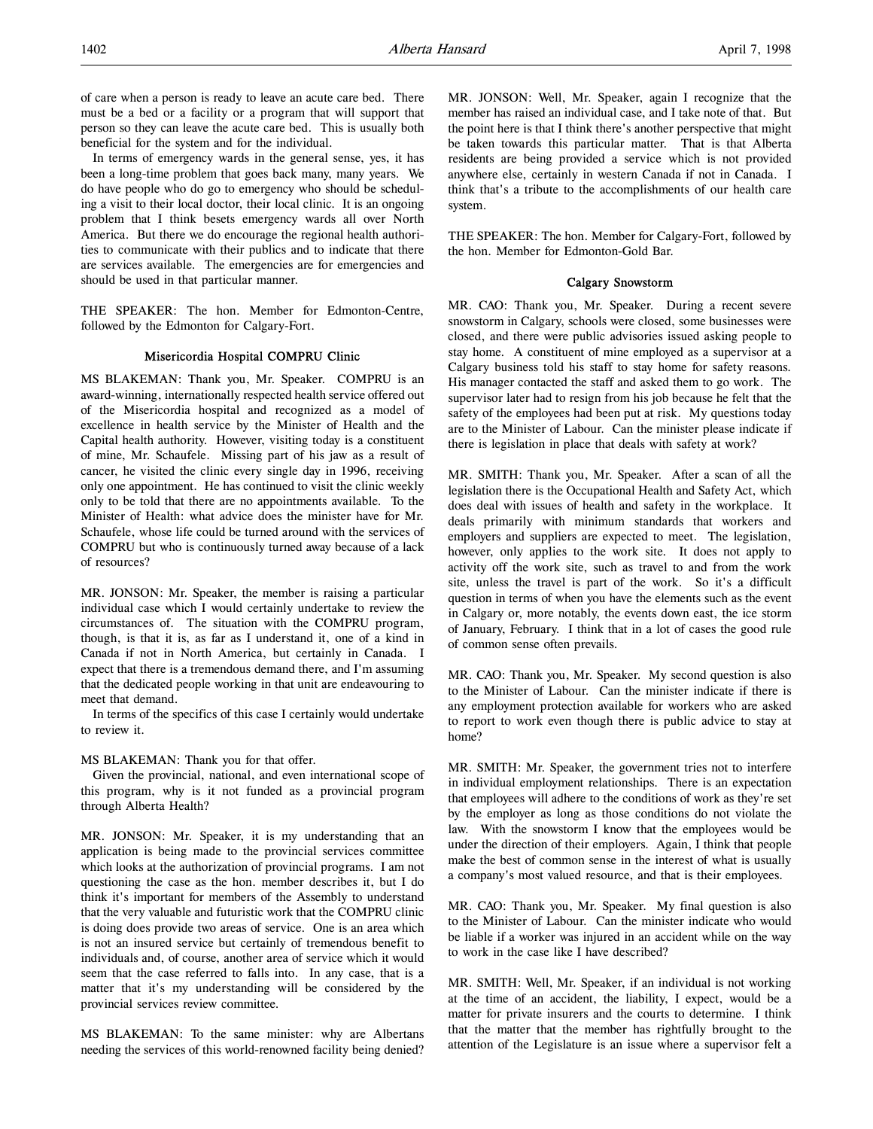of care when a person is ready to leave an acute care bed. There must be a bed or a facility or a program that will support that person so they can leave the acute care bed. This is usually both beneficial for the system and for the individual.

In terms of emergency wards in the general sense, yes, it has been a long-time problem that goes back many, many years. We do have people who do go to emergency who should be scheduling a visit to their local doctor, their local clinic. It is an ongoing problem that I think besets emergency wards all over North America. But there we do encourage the regional health authorities to communicate with their publics and to indicate that there are services available. The emergencies are for emergencies and should be used in that particular manner.

THE SPEAKER: The hon. Member for Edmonton-Centre, followed by the Edmonton for Calgary-Fort.

### Misericordia Hospital COMPRU Clinic

MS BLAKEMAN: Thank you, Mr. Speaker. COMPRU is an award-winning, internationally respected health service offered out of the Misericordia hospital and recognized as a model of excellence in health service by the Minister of Health and the Capital health authority. However, visiting today is a constituent of mine, Mr. Schaufele. Missing part of his jaw as a result of cancer, he visited the clinic every single day in 1996, receiving only one appointment. He has continued to visit the clinic weekly only to be told that there are no appointments available. To the Minister of Health: what advice does the minister have for Mr. Schaufele, whose life could be turned around with the services of COMPRU but who is continuously turned away because of a lack of resources?

MR. JONSON: Mr. Speaker, the member is raising a particular individual case which I would certainly undertake to review the circumstances of. The situation with the COMPRU program, though, is that it is, as far as I understand it, one of a kind in Canada if not in North America, but certainly in Canada. I expect that there is a tremendous demand there, and I'm assuming that the dedicated people working in that unit are endeavouring to meet that demand.

In terms of the specifics of this case I certainly would undertake to review it.

### MS BLAKEMAN: Thank you for that offer.

Given the provincial, national, and even international scope of this program, why is it not funded as a provincial program through Alberta Health?

MR. JONSON: Mr. Speaker, it is my understanding that an application is being made to the provincial services committee which looks at the authorization of provincial programs. I am not questioning the case as the hon. member describes it, but I do think it's important for members of the Assembly to understand that the very valuable and futuristic work that the COMPRU clinic is doing does provide two areas of service. One is an area which is not an insured service but certainly of tremendous benefit to individuals and, of course, another area of service which it would seem that the case referred to falls into. In any case, that is a matter that it's my understanding will be considered by the provincial services review committee.

MS BLAKEMAN: To the same minister: why are Albertans needing the services of this world-renowned facility being denied?

MR. JONSON: Well, Mr. Speaker, again I recognize that the member has raised an individual case, and I take note of that. But the point here is that I think there's another perspective that might be taken towards this particular matter. That is that Alberta residents are being provided a service which is not provided anywhere else, certainly in western Canada if not in Canada. I think that's a tribute to the accomplishments of our health care system.

THE SPEAKER: The hon. Member for Calgary-Fort, followed by the hon. Member for Edmonton-Gold Bar.

## Calgary Snowstorm

MR. CAO: Thank you, Mr. Speaker. During a recent severe snowstorm in Calgary, schools were closed, some businesses were closed, and there were public advisories issued asking people to stay home. A constituent of mine employed as a supervisor at a Calgary business told his staff to stay home for safety reasons. His manager contacted the staff and asked them to go work. The supervisor later had to resign from his job because he felt that the safety of the employees had been put at risk. My questions today are to the Minister of Labour. Can the minister please indicate if there is legislation in place that deals with safety at work?

MR. SMITH: Thank you, Mr. Speaker. After a scan of all the legislation there is the Occupational Health and Safety Act, which does deal with issues of health and safety in the workplace. It deals primarily with minimum standards that workers and employers and suppliers are expected to meet. The legislation, however, only applies to the work site. It does not apply to activity off the work site, such as travel to and from the work site, unless the travel is part of the work. So it's a difficult question in terms of when you have the elements such as the event in Calgary or, more notably, the events down east, the ice storm of January, February. I think that in a lot of cases the good rule of common sense often prevails.

MR. CAO: Thank you, Mr. Speaker. My second question is also to the Minister of Labour. Can the minister indicate if there is any employment protection available for workers who are asked to report to work even though there is public advice to stay at home?

MR. SMITH: Mr. Speaker, the government tries not to interfere in individual employment relationships. There is an expectation that employees will adhere to the conditions of work as they're set by the employer as long as those conditions do not violate the law. With the snowstorm I know that the employees would be under the direction of their employers. Again, I think that people make the best of common sense in the interest of what is usually a company's most valued resource, and that is their employees.

MR. CAO: Thank you, Mr. Speaker. My final question is also to the Minister of Labour. Can the minister indicate who would be liable if a worker was injured in an accident while on the way to work in the case like I have described?

MR. SMITH: Well, Mr. Speaker, if an individual is not working at the time of an accident, the liability, I expect, would be a matter for private insurers and the courts to determine. I think that the matter that the member has rightfully brought to the attention of the Legislature is an issue where a supervisor felt a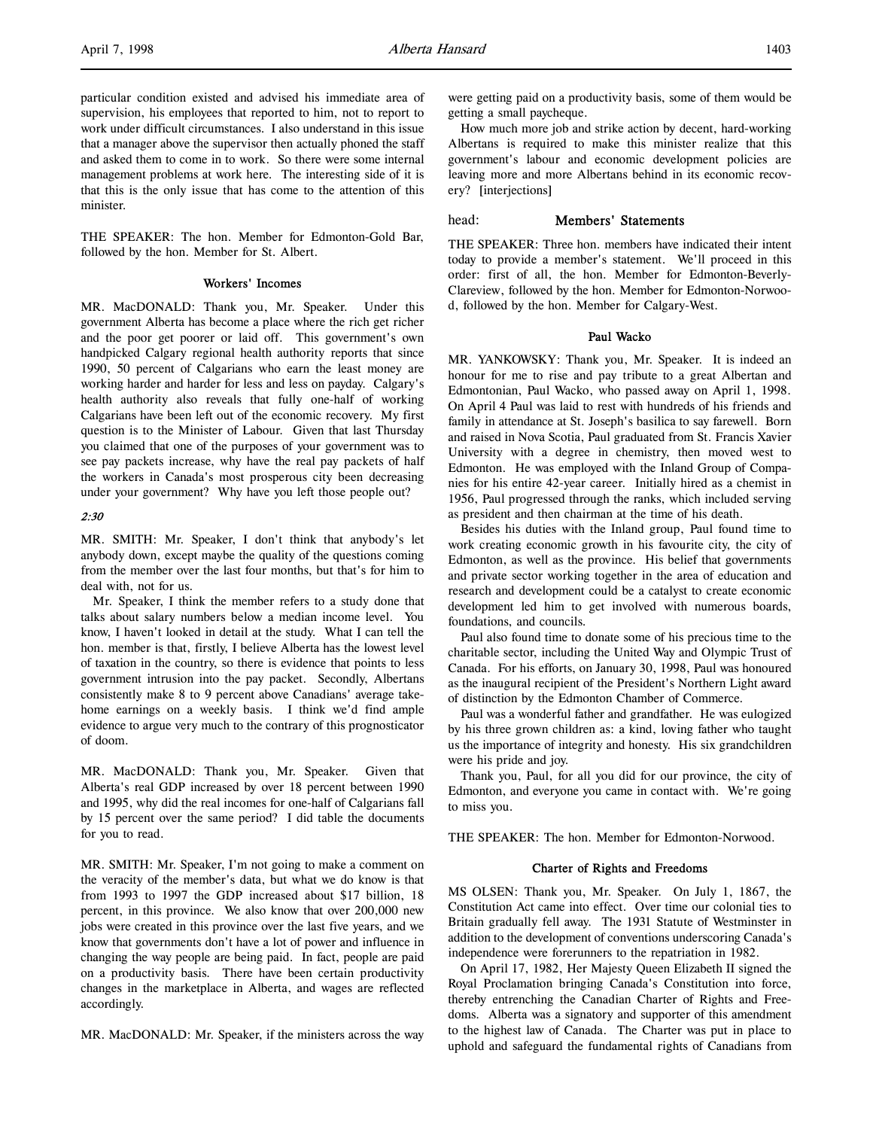particular condition existed and advised his immediate area of supervision, his employees that reported to him, not to report to work under difficult circumstances. I also understand in this issue that a manager above the supervisor then actually phoned the staff and asked them to come in to work. So there were some internal management problems at work here. The interesting side of it is that this is the only issue that has come to the attention of this minister.

THE SPEAKER: The hon. Member for Edmonton-Gold Bar, followed by the hon. Member for St. Albert.

## Workers' Incomes

MR. MacDONALD: Thank you, Mr. Speaker. Under this government Alberta has become a place where the rich get richer and the poor get poorer or laid off. This government's own handpicked Calgary regional health authority reports that since 1990, 50 percent of Calgarians who earn the least money are working harder and harder for less and less on payday. Calgary's health authority also reveals that fully one-half of working Calgarians have been left out of the economic recovery. My first question is to the Minister of Labour. Given that last Thursday you claimed that one of the purposes of your government was to see pay packets increase, why have the real pay packets of half the workers in Canada's most prosperous city been decreasing under your government? Why have you left those people out?

# 2:30

MR. SMITH: Mr. Speaker, I don't think that anybody's let anybody down, except maybe the quality of the questions coming from the member over the last four months, but that's for him to deal with, not for us.

Mr. Speaker, I think the member refers to a study done that talks about salary numbers below a median income level. You know, I haven't looked in detail at the study. What I can tell the hon. member is that, firstly, I believe Alberta has the lowest level of taxation in the country, so there is evidence that points to less government intrusion into the pay packet. Secondly, Albertans consistently make 8 to 9 percent above Canadians' average takehome earnings on a weekly basis. I think we'd find ample evidence to argue very much to the contrary of this prognosticator of doom.

MR. MacDONALD: Thank you, Mr. Speaker. Given that Alberta's real GDP increased by over 18 percent between 1990 and 1995, why did the real incomes for one-half of Calgarians fall by 15 percent over the same period? I did table the documents for you to read.

MR. SMITH: Mr. Speaker, I'm not going to make a comment on the veracity of the member's data, but what we do know is that from 1993 to 1997 the GDP increased about \$17 billion, 18 percent, in this province. We also know that over 200,000 new jobs were created in this province over the last five years, and we know that governments don't have a lot of power and influence in changing the way people are being paid. In fact, people are paid on a productivity basis. There have been certain productivity changes in the marketplace in Alberta, and wages are reflected accordingly.

MR. MacDONALD: Mr. Speaker, if the ministers across the way

were getting paid on a productivity basis, some of them would be getting a small paycheque.

How much more job and strike action by decent, hard-working Albertans is required to make this minister realize that this government's labour and economic development policies are leaving more and more Albertans behind in its economic recovery? [interjections]

## head: Members' Statements

THE SPEAKER: Three hon. members have indicated their intent today to provide a member's statement. We'll proceed in this order: first of all, the hon. Member for Edmonton-Beverly-Clareview, followed by the hon. Member for Edmonton-Norwood, followed by the hon. Member for Calgary-West.

## Paul Wacko

MR. YANKOWSKY: Thank you, Mr. Speaker. It is indeed an honour for me to rise and pay tribute to a great Albertan and Edmontonian, Paul Wacko, who passed away on April 1, 1998. On April 4 Paul was laid to rest with hundreds of his friends and family in attendance at St. Joseph's basilica to say farewell. Born and raised in Nova Scotia, Paul graduated from St. Francis Xavier University with a degree in chemistry, then moved west to Edmonton. He was employed with the Inland Group of Companies for his entire 42-year career. Initially hired as a chemist in 1956, Paul progressed through the ranks, which included serving as president and then chairman at the time of his death.

Besides his duties with the Inland group, Paul found time to work creating economic growth in his favourite city, the city of Edmonton, as well as the province. His belief that governments and private sector working together in the area of education and research and development could be a catalyst to create economic development led him to get involved with numerous boards, foundations, and councils.

Paul also found time to donate some of his precious time to the charitable sector, including the United Way and Olympic Trust of Canada. For his efforts, on January 30, 1998, Paul was honoured as the inaugural recipient of the President's Northern Light award of distinction by the Edmonton Chamber of Commerce.

Paul was a wonderful father and grandfather. He was eulogized by his three grown children as: a kind, loving father who taught us the importance of integrity and honesty. His six grandchildren were his pride and joy.

Thank you, Paul, for all you did for our province, the city of Edmonton, and everyone you came in contact with. We're going to miss you.

THE SPEAKER: The hon. Member for Edmonton-Norwood.

### Charter of Rights and Freedoms

MS OLSEN: Thank you, Mr. Speaker. On July 1, 1867, the Constitution Act came into effect. Over time our colonial ties to Britain gradually fell away. The 1931 Statute of Westminster in addition to the development of conventions underscoring Canada's independence were forerunners to the repatriation in 1982.

On April 17, 1982, Her Majesty Queen Elizabeth II signed the Royal Proclamation bringing Canada's Constitution into force, thereby entrenching the Canadian Charter of Rights and Freedoms. Alberta was a signatory and supporter of this amendment to the highest law of Canada. The Charter was put in place to uphold and safeguard the fundamental rights of Canadians from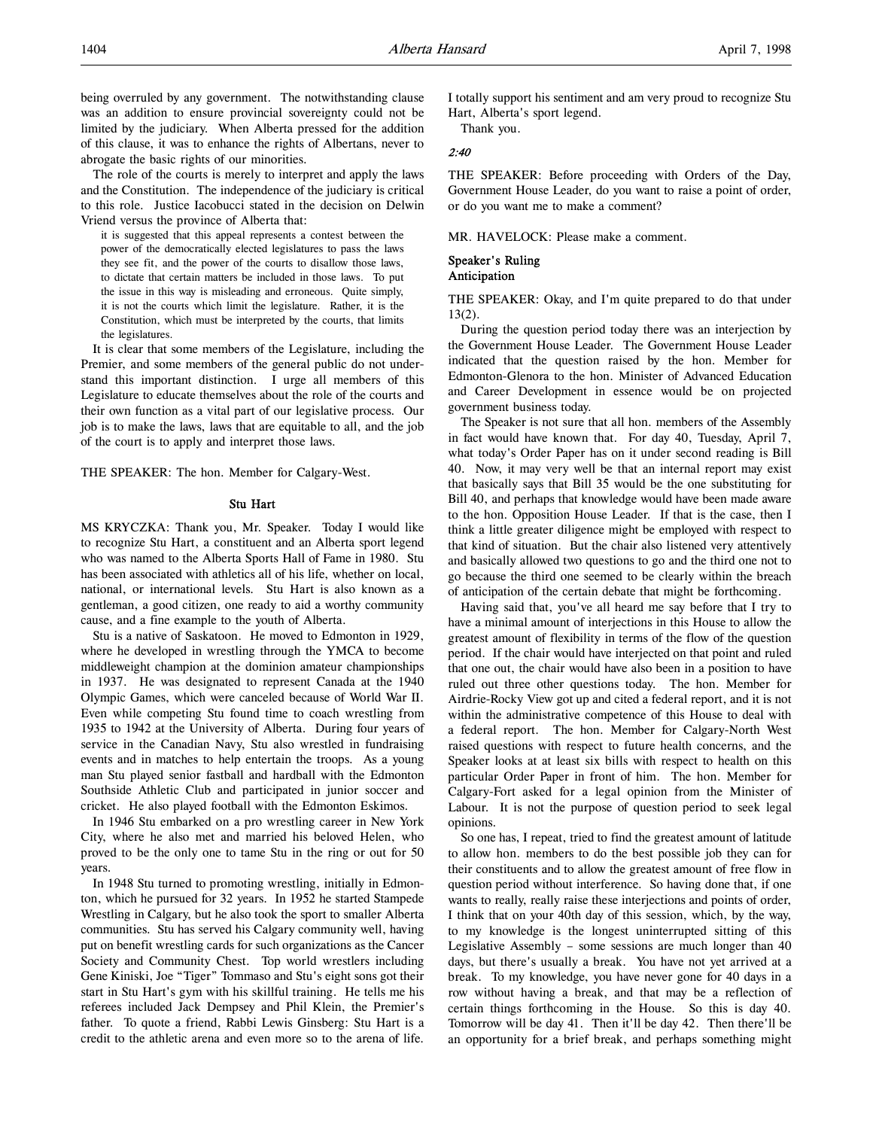being overruled by any government. The notwithstanding clause was an addition to ensure provincial sovereignty could not be limited by the judiciary. When Alberta pressed for the addition of this clause, it was to enhance the rights of Albertans, never to abrogate the basic rights of our minorities.

The role of the courts is merely to interpret and apply the laws and the Constitution. The independence of the judiciary is critical to this role. Justice Iacobucci stated in the decision on Delwin Vriend versus the province of Alberta that:

it is suggested that this appeal represents a contest between the power of the democratically elected legislatures to pass the laws they see fit, and the power of the courts to disallow those laws, to dictate that certain matters be included in those laws. To put the issue in this way is misleading and erroneous. Quite simply, it is not the courts which limit the legislature. Rather, it is the Constitution, which must be interpreted by the courts, that limits the legislatures.

It is clear that some members of the Legislature, including the Premier, and some members of the general public do not understand this important distinction. I urge all members of this Legislature to educate themselves about the role of the courts and their own function as a vital part of our legislative process. Our job is to make the laws, laws that are equitable to all, and the job of the court is to apply and interpret those laws.

THE SPEAKER: The hon. Member for Calgary-West.

### Stu Hart

MS KRYCZKA: Thank you, Mr. Speaker. Today I would like to recognize Stu Hart, a constituent and an Alberta sport legend who was named to the Alberta Sports Hall of Fame in 1980. Stu has been associated with athletics all of his life, whether on local, national, or international levels. Stu Hart is also known as a gentleman, a good citizen, one ready to aid a worthy community cause, and a fine example to the youth of Alberta.

Stu is a native of Saskatoon. He moved to Edmonton in 1929, where he developed in wrestling through the YMCA to become middleweight champion at the dominion amateur championships in 1937. He was designated to represent Canada at the 1940 Olympic Games, which were canceled because of World War II. Even while competing Stu found time to coach wrestling from 1935 to 1942 at the University of Alberta. During four years of service in the Canadian Navy, Stu also wrestled in fundraising events and in matches to help entertain the troops. As a young man Stu played senior fastball and hardball with the Edmonton Southside Athletic Club and participated in junior soccer and cricket. He also played football with the Edmonton Eskimos.

In 1946 Stu embarked on a pro wrestling career in New York City, where he also met and married his beloved Helen, who proved to be the only one to tame Stu in the ring or out for 50 years.

In 1948 Stu turned to promoting wrestling, initially in Edmonton, which he pursued for 32 years. In 1952 he started Stampede Wrestling in Calgary, but he also took the sport to smaller Alberta communities. Stu has served his Calgary community well, having put on benefit wrestling cards for such organizations as the Cancer Society and Community Chest. Top world wrestlers including Gene Kiniski, Joe "Tiger" Tommaso and Stu's eight sons got their start in Stu Hart's gym with his skillful training. He tells me his referees included Jack Dempsey and Phil Klein, the Premier's father. To quote a friend, Rabbi Lewis Ginsberg: Stu Hart is a credit to the athletic arena and even more so to the arena of life.

I totally support his sentiment and am very proud to recognize Stu Hart, Alberta's sport legend.

Thank you.

### 2:40

THE SPEAKER: Before proceeding with Orders of the Day, Government House Leader, do you want to raise a point of order, or do you want me to make a comment?

MR. HAVELOCK: Please make a comment.

# Speaker's Ruling

# Anticipation

THE SPEAKER: Okay, and I'm quite prepared to do that under 13(2).

During the question period today there was an interjection by the Government House Leader. The Government House Leader indicated that the question raised by the hon. Member for Edmonton-Glenora to the hon. Minister of Advanced Education and Career Development in essence would be on projected government business today.

The Speaker is not sure that all hon. members of the Assembly in fact would have known that. For day 40, Tuesday, April 7, what today's Order Paper has on it under second reading is Bill 40. Now, it may very well be that an internal report may exist that basically says that Bill 35 would be the one substituting for Bill 40, and perhaps that knowledge would have been made aware to the hon. Opposition House Leader. If that is the case, then I think a little greater diligence might be employed with respect to that kind of situation. But the chair also listened very attentively and basically allowed two questions to go and the third one not to go because the third one seemed to be clearly within the breach of anticipation of the certain debate that might be forthcoming.

Having said that, you've all heard me say before that I try to have a minimal amount of interjections in this House to allow the greatest amount of flexibility in terms of the flow of the question period. If the chair would have interjected on that point and ruled that one out, the chair would have also been in a position to have ruled out three other questions today. The hon. Member for Airdrie-Rocky View got up and cited a federal report, and it is not within the administrative competence of this House to deal with a federal report. The hon. Member for Calgary-North West raised questions with respect to future health concerns, and the Speaker looks at at least six bills with respect to health on this particular Order Paper in front of him. The hon. Member for Calgary-Fort asked for a legal opinion from the Minister of Labour. It is not the purpose of question period to seek legal opinions.

So one has, I repeat, tried to find the greatest amount of latitude to allow hon. members to do the best possible job they can for their constituents and to allow the greatest amount of free flow in question period without interference. So having done that, if one wants to really, really raise these interjections and points of order, I think that on your 40th day of this session, which, by the way, to my knowledge is the longest uninterrupted sitting of this Legislative Assembly – some sessions are much longer than 40 days, but there's usually a break. You have not yet arrived at a break. To my knowledge, you have never gone for 40 days in a row without having a break, and that may be a reflection of certain things forthcoming in the House. So this is day 40. Tomorrow will be day 41. Then it'll be day 42. Then there'll be an opportunity for a brief break, and perhaps something might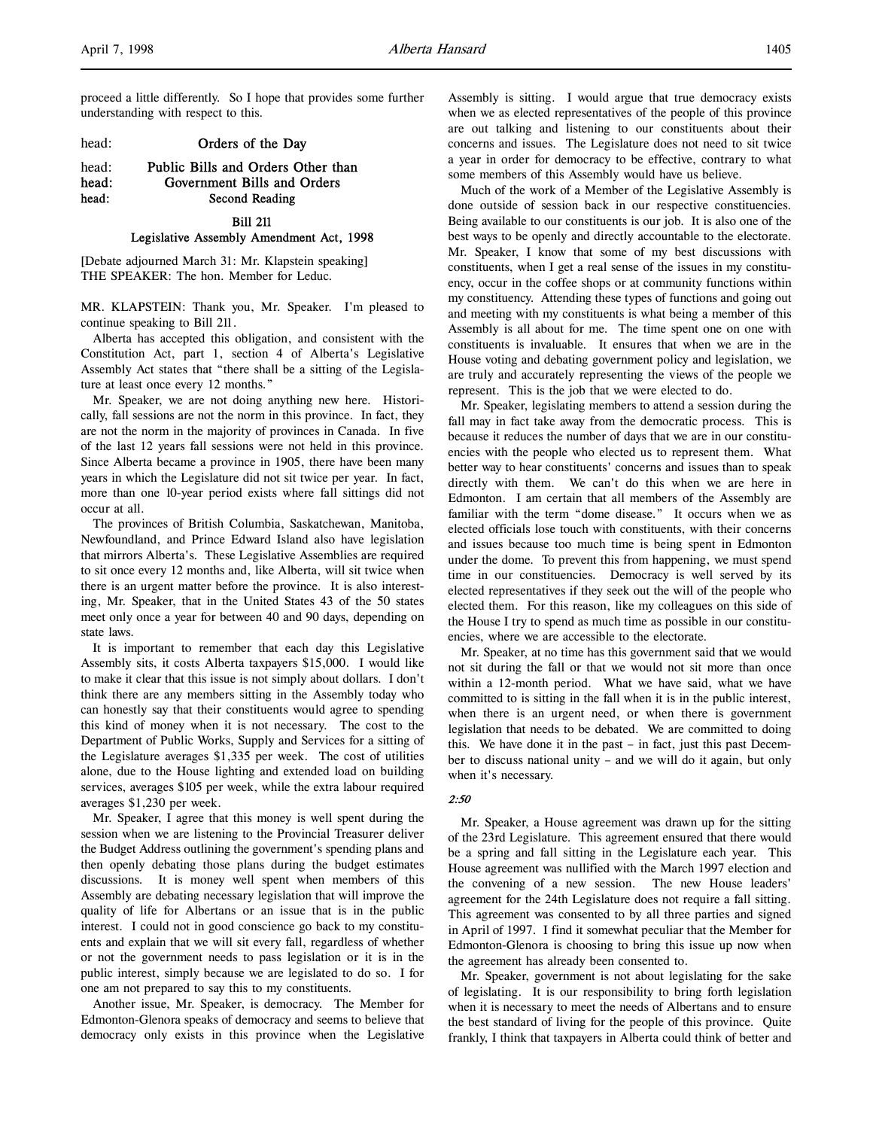proceed a little differently. So I hope that provides some further understanding with respect to this.

### head: **Orders of the Day**

# head: Public Bills and Orders Other than head: Government Bills and Orders head: Second Reading

### Bill 211

### Legislative Assembly Amendment Act, 1998

[Debate adjourned March 31: Mr. Klapstein speaking] THE SPEAKER: The hon. Member for Leduc.

MR. KLAPSTEIN: Thank you, Mr. Speaker. I'm pleased to continue speaking to Bill 211.

Alberta has accepted this obligation, and consistent with the Constitution Act, part 1, section 4 of Alberta's Legislative Assembly Act states that "there shall be a sitting of the Legislature at least once every 12 months."

Mr. Speaker, we are not doing anything new here. Historically, fall sessions are not the norm in this province. In fact, they are not the norm in the majority of provinces in Canada. In five of the last 12 years fall sessions were not held in this province. Since Alberta became a province in 1905, there have been many years in which the Legislature did not sit twice per year. In fact, more than one 10-year period exists where fall sittings did not occur at all.

The provinces of British Columbia, Saskatchewan, Manitoba, Newfoundland, and Prince Edward Island also have legislation that mirrors Alberta's. These Legislative Assemblies are required to sit once every 12 months and, like Alberta, will sit twice when there is an urgent matter before the province. It is also interesting, Mr. Speaker, that in the United States 43 of the 50 states meet only once a year for between 40 and 90 days, depending on state laws.

It is important to remember that each day this Legislative Assembly sits, it costs Alberta taxpayers \$15,000. I would like to make it clear that this issue is not simply about dollars. I don't think there are any members sitting in the Assembly today who can honestly say that their constituents would agree to spending this kind of money when it is not necessary. The cost to the Department of Public Works, Supply and Services for a sitting of the Legislature averages \$1,335 per week. The cost of utilities alone, due to the House lighting and extended load on building services, averages \$105 per week, while the extra labour required averages \$1,230 per week.

Mr. Speaker, I agree that this money is well spent during the session when we are listening to the Provincial Treasurer deliver the Budget Address outlining the government's spending plans and then openly debating those plans during the budget estimates discussions. It is money well spent when members of this Assembly are debating necessary legislation that will improve the quality of life for Albertans or an issue that is in the public interest. I could not in good conscience go back to my constituents and explain that we will sit every fall, regardless of whether or not the government needs to pass legislation or it is in the public interest, simply because we are legislated to do so. I for one am not prepared to say this to my constituents.

Another issue, Mr. Speaker, is democracy. The Member for Edmonton-Glenora speaks of democracy and seems to believe that democracy only exists in this province when the Legislative

Assembly is sitting. I would argue that true democracy exists when we as elected representatives of the people of this province are out talking and listening to our constituents about their concerns and issues. The Legislature does not need to sit twice a year in order for democracy to be effective, contrary to what some members of this Assembly would have us believe.

Much of the work of a Member of the Legislative Assembly is done outside of session back in our respective constituencies. Being available to our constituents is our job. It is also one of the best ways to be openly and directly accountable to the electorate. Mr. Speaker, I know that some of my best discussions with constituents, when I get a real sense of the issues in my constituency, occur in the coffee shops or at community functions within my constituency. Attending these types of functions and going out and meeting with my constituents is what being a member of this Assembly is all about for me. The time spent one on one with constituents is invaluable. It ensures that when we are in the House voting and debating government policy and legislation, we are truly and accurately representing the views of the people we represent. This is the job that we were elected to do.

Mr. Speaker, legislating members to attend a session during the fall may in fact take away from the democratic process. This is because it reduces the number of days that we are in our constituencies with the people who elected us to represent them. What better way to hear constituents' concerns and issues than to speak directly with them. We can't do this when we are here in Edmonton. I am certain that all members of the Assembly are familiar with the term "dome disease." It occurs when we as elected officials lose touch with constituents, with their concerns and issues because too much time is being spent in Edmonton under the dome. To prevent this from happening, we must spend time in our constituencies. Democracy is well served by its elected representatives if they seek out the will of the people who elected them. For this reason, like my colleagues on this side of the House I try to spend as much time as possible in our constituencies, where we are accessible to the electorate.

Mr. Speaker, at no time has this government said that we would not sit during the fall or that we would not sit more than once within a 12-month period. What we have said, what we have committed to is sitting in the fall when it is in the public interest, when there is an urgent need, or when there is government legislation that needs to be debated. We are committed to doing this. We have done it in the past – in fact, just this past December to discuss national unity – and we will do it again, but only when it's necessary.

## 2:50

Mr. Speaker, a House agreement was drawn up for the sitting of the 23rd Legislature. This agreement ensured that there would be a spring and fall sitting in the Legislature each year. This House agreement was nullified with the March 1997 election and the convening of a new session. The new House leaders' agreement for the 24th Legislature does not require a fall sitting. This agreement was consented to by all three parties and signed in April of 1997. I find it somewhat peculiar that the Member for Edmonton-Glenora is choosing to bring this issue up now when the agreement has already been consented to.

Mr. Speaker, government is not about legislating for the sake of legislating. It is our responsibility to bring forth legislation when it is necessary to meet the needs of Albertans and to ensure the best standard of living for the people of this province. Quite frankly, I think that taxpayers in Alberta could think of better and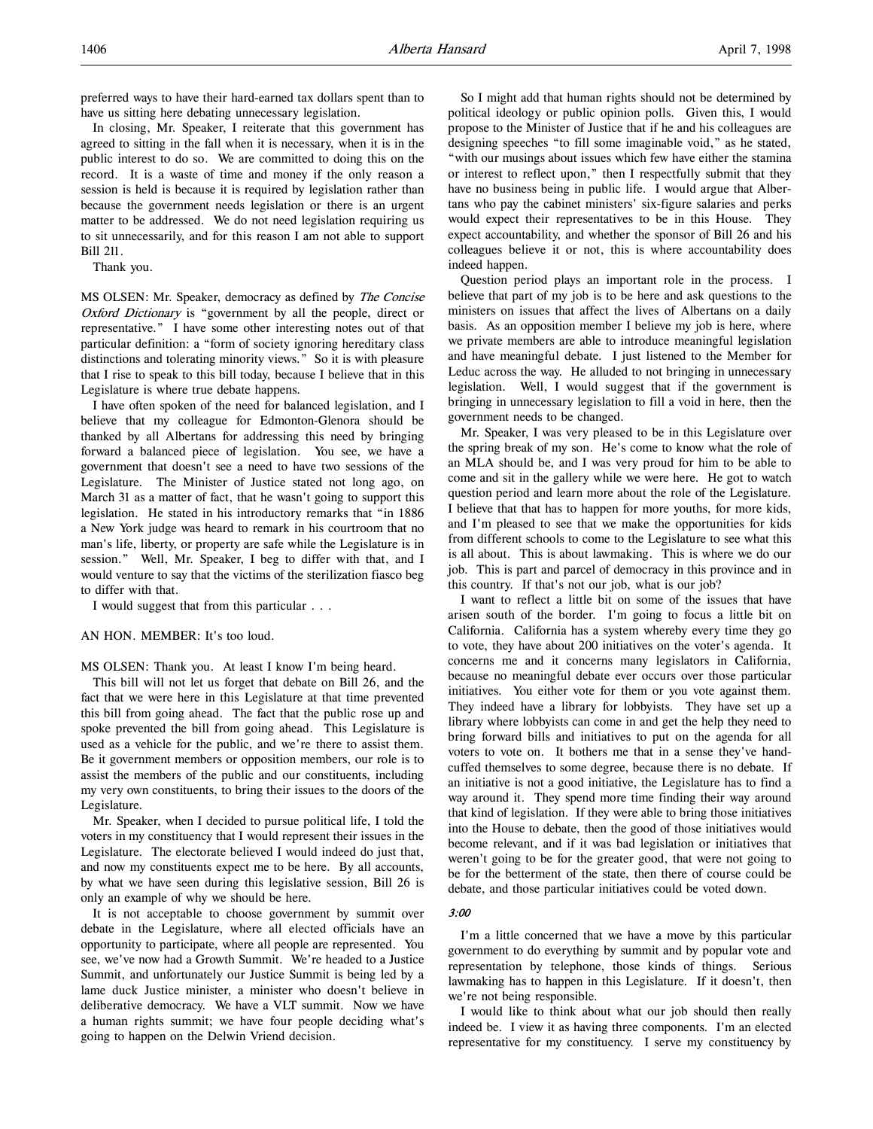preferred ways to have their hard-earned tax dollars spent than to have us sitting here debating unnecessary legislation.

In closing, Mr. Speaker, I reiterate that this government has agreed to sitting in the fall when it is necessary, when it is in the public interest to do so. We are committed to doing this on the record. It is a waste of time and money if the only reason a session is held is because it is required by legislation rather than because the government needs legislation or there is an urgent matter to be addressed. We do not need legislation requiring us to sit unnecessarily, and for this reason I am not able to support Bill 211.

Thank you.

MS OLSEN: Mr. Speaker, democracy as defined by The Concise Oxford Dictionary is "government by all the people, direct or representative." I have some other interesting notes out of that particular definition: a "form of society ignoring hereditary class distinctions and tolerating minority views." So it is with pleasure that I rise to speak to this bill today, because I believe that in this Legislature is where true debate happens.

I have often spoken of the need for balanced legislation, and I believe that my colleague for Edmonton-Glenora should be thanked by all Albertans for addressing this need by bringing forward a balanced piece of legislation. You see, we have a government that doesn't see a need to have two sessions of the Legislature. The Minister of Justice stated not long ago, on March 31 as a matter of fact, that he wasn't going to support this legislation. He stated in his introductory remarks that "in 1886 a New York judge was heard to remark in his courtroom that no man's life, liberty, or property are safe while the Legislature is in session." Well, Mr. Speaker, I beg to differ with that, and I would venture to say that the victims of the sterilization fiasco beg to differ with that.

I would suggest that from this particular . . .

## AN HON. MEMBER: It's too loud.

MS OLSEN: Thank you. At least I know I'm being heard.

This bill will not let us forget that debate on Bill 26, and the fact that we were here in this Legislature at that time prevented this bill from going ahead. The fact that the public rose up and spoke prevented the bill from going ahead. This Legislature is used as a vehicle for the public, and we're there to assist them. Be it government members or opposition members, our role is to assist the members of the public and our constituents, including my very own constituents, to bring their issues to the doors of the Legislature.

Mr. Speaker, when I decided to pursue political life, I told the voters in my constituency that I would represent their issues in the Legislature. The electorate believed I would indeed do just that, and now my constituents expect me to be here. By all accounts, by what we have seen during this legislative session, Bill 26 is only an example of why we should be here.

It is not acceptable to choose government by summit over debate in the Legislature, where all elected officials have an opportunity to participate, where all people are represented. You see, we've now had a Growth Summit. We're headed to a Justice Summit, and unfortunately our Justice Summit is being led by a lame duck Justice minister, a minister who doesn't believe in deliberative democracy. We have a VLT summit. Now we have a human rights summit; we have four people deciding what's going to happen on the Delwin Vriend decision.

So I might add that human rights should not be determined by political ideology or public opinion polls. Given this, I would propose to the Minister of Justice that if he and his colleagues are designing speeches "to fill some imaginable void," as he stated, "with our musings about issues which few have either the stamina or interest to reflect upon," then I respectfully submit that they have no business being in public life. I would argue that Albertans who pay the cabinet ministers' six-figure salaries and perks would expect their representatives to be in this House. They expect accountability, and whether the sponsor of Bill 26 and his colleagues believe it or not, this is where accountability does indeed happen.

Question period plays an important role in the process. I believe that part of my job is to be here and ask questions to the ministers on issues that affect the lives of Albertans on a daily basis. As an opposition member I believe my job is here, where we private members are able to introduce meaningful legislation and have meaningful debate. I just listened to the Member for Leduc across the way. He alluded to not bringing in unnecessary legislation. Well, I would suggest that if the government is bringing in unnecessary legislation to fill a void in here, then the government needs to be changed.

Mr. Speaker, I was very pleased to be in this Legislature over the spring break of my son. He's come to know what the role of an MLA should be, and I was very proud for him to be able to come and sit in the gallery while we were here. He got to watch question period and learn more about the role of the Legislature. I believe that that has to happen for more youths, for more kids, and I'm pleased to see that we make the opportunities for kids from different schools to come to the Legislature to see what this is all about. This is about lawmaking. This is where we do our job. This is part and parcel of democracy in this province and in this country. If that's not our job, what is our job?

I want to reflect a little bit on some of the issues that have arisen south of the border. I'm going to focus a little bit on California. California has a system whereby every time they go to vote, they have about 200 initiatives on the voter's agenda. It concerns me and it concerns many legislators in California, because no meaningful debate ever occurs over those particular initiatives. You either vote for them or you vote against them. They indeed have a library for lobbyists. They have set up a library where lobbyists can come in and get the help they need to bring forward bills and initiatives to put on the agenda for all voters to vote on. It bothers me that in a sense they've handcuffed themselves to some degree, because there is no debate. If an initiative is not a good initiative, the Legislature has to find a way around it. They spend more time finding their way around that kind of legislation. If they were able to bring those initiatives into the House to debate, then the good of those initiatives would become relevant, and if it was bad legislation or initiatives that weren't going to be for the greater good, that were not going to be for the betterment of the state, then there of course could be debate, and those particular initiatives could be voted down.

### 3:00

I'm a little concerned that we have a move by this particular government to do everything by summit and by popular vote and representation by telephone, those kinds of things. Serious lawmaking has to happen in this Legislature. If it doesn't, then we're not being responsible.

I would like to think about what our job should then really indeed be. I view it as having three components. I'm an elected representative for my constituency. I serve my constituency by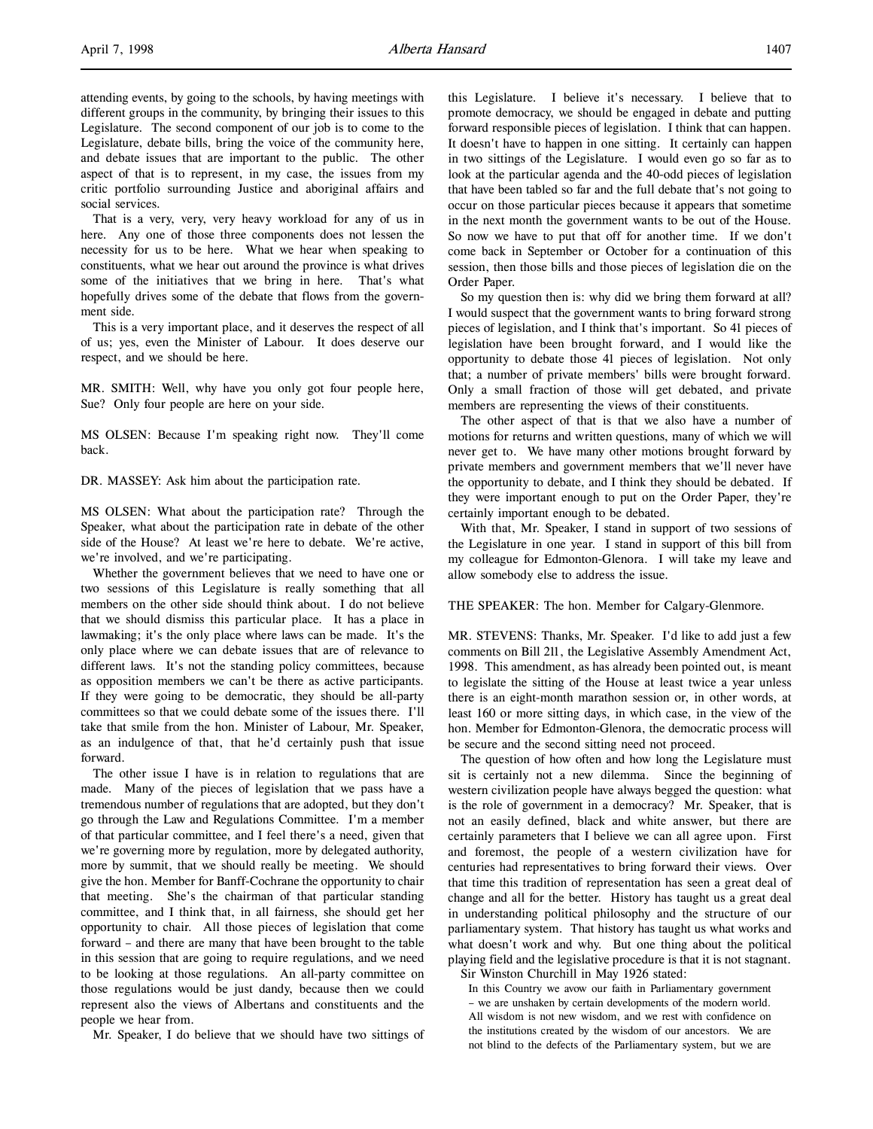attending events, by going to the schools, by having meetings with different groups in the community, by bringing their issues to this Legislature. The second component of our job is to come to the Legislature, debate bills, bring the voice of the community here, and debate issues that are important to the public. The other aspect of that is to represent, in my case, the issues from my critic portfolio surrounding Justice and aboriginal affairs and social services.

That is a very, very, very heavy workload for any of us in here. Any one of those three components does not lessen the necessity for us to be here. What we hear when speaking to constituents, what we hear out around the province is what drives some of the initiatives that we bring in here. That's what hopefully drives some of the debate that flows from the government side.

This is a very important place, and it deserves the respect of all of us; yes, even the Minister of Labour. It does deserve our respect, and we should be here.

MR. SMITH: Well, why have you only got four people here, Sue? Only four people are here on your side.

MS OLSEN: Because I'm speaking right now. They'll come back.

DR. MASSEY: Ask him about the participation rate.

MS OLSEN: What about the participation rate? Through the Speaker, what about the participation rate in debate of the other side of the House? At least we're here to debate. We're active, we're involved, and we're participating.

Whether the government believes that we need to have one or two sessions of this Legislature is really something that all members on the other side should think about. I do not believe that we should dismiss this particular place. It has a place in lawmaking; it's the only place where laws can be made. It's the only place where we can debate issues that are of relevance to different laws. It's not the standing policy committees, because as opposition members we can't be there as active participants. If they were going to be democratic, they should be all-party committees so that we could debate some of the issues there. I'll take that smile from the hon. Minister of Labour, Mr. Speaker, as an indulgence of that, that he'd certainly push that issue forward.

The other issue I have is in relation to regulations that are made. Many of the pieces of legislation that we pass have a tremendous number of regulations that are adopted, but they don't go through the Law and Regulations Committee. I'm a member of that particular committee, and I feel there's a need, given that we're governing more by regulation, more by delegated authority, more by summit, that we should really be meeting. We should give the hon. Member for Banff-Cochrane the opportunity to chair that meeting. She's the chairman of that particular standing committee, and I think that, in all fairness, she should get her opportunity to chair. All those pieces of legislation that come forward – and there are many that have been brought to the table in this session that are going to require regulations, and we need to be looking at those regulations. An all-party committee on those regulations would be just dandy, because then we could represent also the views of Albertans and constituents and the people we hear from.

Mr. Speaker, I do believe that we should have two sittings of

this Legislature. I believe it's necessary. I believe that to promote democracy, we should be engaged in debate and putting forward responsible pieces of legislation. I think that can happen. It doesn't have to happen in one sitting. It certainly can happen in two sittings of the Legislature. I would even go so far as to look at the particular agenda and the 40-odd pieces of legislation that have been tabled so far and the full debate that's not going to occur on those particular pieces because it appears that sometime in the next month the government wants to be out of the House. So now we have to put that off for another time. If we don't come back in September or October for a continuation of this session, then those bills and those pieces of legislation die on the Order Paper.

So my question then is: why did we bring them forward at all? I would suspect that the government wants to bring forward strong pieces of legislation, and I think that's important. So 41 pieces of legislation have been brought forward, and I would like the opportunity to debate those 41 pieces of legislation. Not only that; a number of private members' bills were brought forward. Only a small fraction of those will get debated, and private members are representing the views of their constituents.

The other aspect of that is that we also have a number of motions for returns and written questions, many of which we will never get to. We have many other motions brought forward by private members and government members that we'll never have the opportunity to debate, and I think they should be debated. If they were important enough to put on the Order Paper, they're certainly important enough to be debated.

With that, Mr. Speaker, I stand in support of two sessions of the Legislature in one year. I stand in support of this bill from my colleague for Edmonton-Glenora. I will take my leave and allow somebody else to address the issue.

### THE SPEAKER: The hon. Member for Calgary-Glenmore.

MR. STEVENS: Thanks, Mr. Speaker. I'd like to add just a few comments on Bill 211, the Legislative Assembly Amendment Act, 1998. This amendment, as has already been pointed out, is meant to legislate the sitting of the House at least twice a year unless there is an eight-month marathon session or, in other words, at least 160 or more sitting days, in which case, in the view of the hon. Member for Edmonton-Glenora, the democratic process will be secure and the second sitting need not proceed.

The question of how often and how long the Legislature must sit is certainly not a new dilemma. Since the beginning of western civilization people have always begged the question: what is the role of government in a democracy? Mr. Speaker, that is not an easily defined, black and white answer, but there are certainly parameters that I believe we can all agree upon. First and foremost, the people of a western civilization have for centuries had representatives to bring forward their views. Over that time this tradition of representation has seen a great deal of change and all for the better. History has taught us a great deal in understanding political philosophy and the structure of our parliamentary system. That history has taught us what works and what doesn't work and why. But one thing about the political playing field and the legislative procedure is that it is not stagnant.

Sir Winston Churchill in May 1926 stated:

In this Country we avow our faith in Parliamentary government – we are unshaken by certain developments of the modern world. All wisdom is not new wisdom, and we rest with confidence on the institutions created by the wisdom of our ancestors. We are not blind to the defects of the Parliamentary system, but we are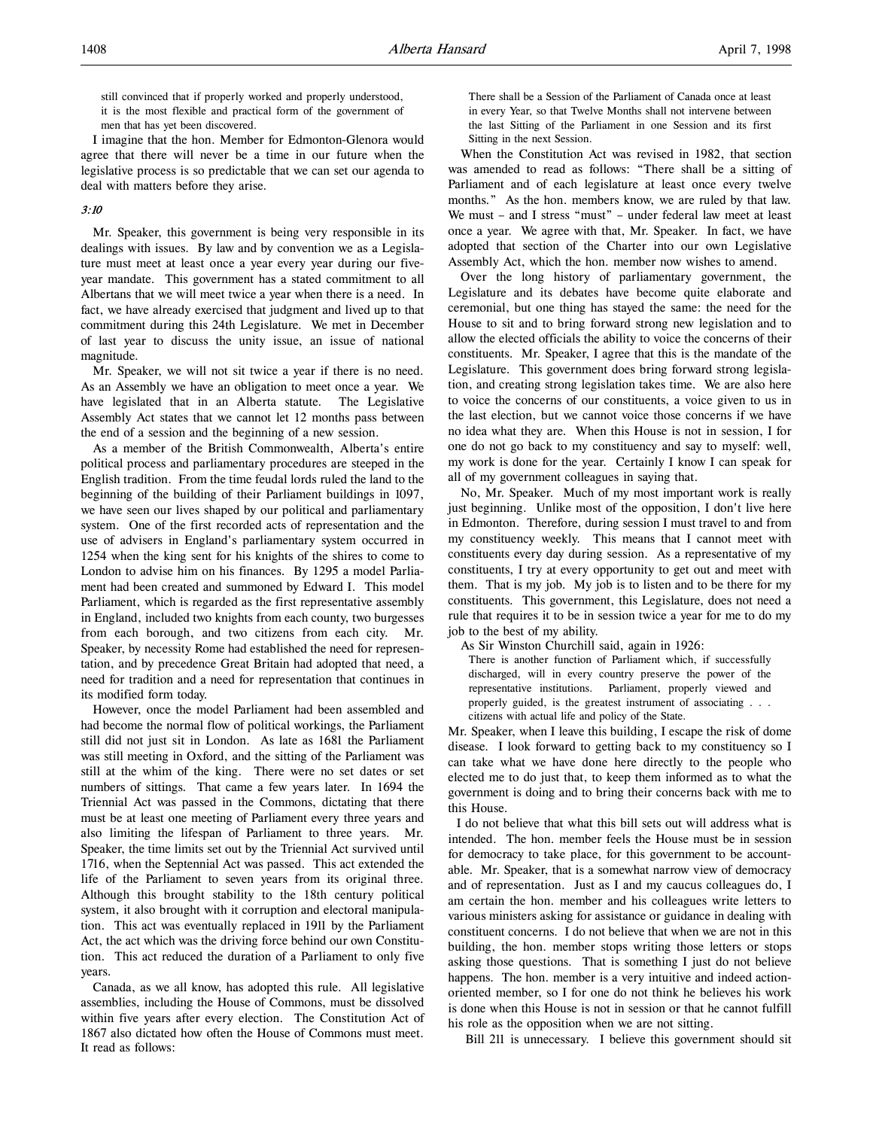still convinced that if properly worked and properly understood, it is the most flexible and practical form of the government of men that has yet been discovered.

I imagine that the hon. Member for Edmonton-Glenora would agree that there will never be a time in our future when the legislative process is so predictable that we can set our agenda to deal with matters before they arise.

## 3:10

Mr. Speaker, this government is being very responsible in its dealings with issues. By law and by convention we as a Legislature must meet at least once a year every year during our fiveyear mandate. This government has a stated commitment to all Albertans that we will meet twice a year when there is a need. In fact, we have already exercised that judgment and lived up to that commitment during this 24th Legislature. We met in December of last year to discuss the unity issue, an issue of national magnitude.

Mr. Speaker, we will not sit twice a year if there is no need. As an Assembly we have an obligation to meet once a year. We have legislated that in an Alberta statute. The Legislative Assembly Act states that we cannot let 12 months pass between the end of a session and the beginning of a new session.

As a member of the British Commonwealth, Alberta's entire political process and parliamentary procedures are steeped in the English tradition. From the time feudal lords ruled the land to the beginning of the building of their Parliament buildings in 1097, we have seen our lives shaped by our political and parliamentary system. One of the first recorded acts of representation and the use of advisers in England's parliamentary system occurred in 1254 when the king sent for his knights of the shires to come to London to advise him on his finances. By 1295 a model Parliament had been created and summoned by Edward I. This model Parliament, which is regarded as the first representative assembly in England, included two knights from each county, two burgesses from each borough, and two citizens from each city. Mr. Speaker, by necessity Rome had established the need for representation, and by precedence Great Britain had adopted that need, a need for tradition and a need for representation that continues in its modified form today.

However, once the model Parliament had been assembled and had become the normal flow of political workings, the Parliament still did not just sit in London. As late as 1681 the Parliament was still meeting in Oxford, and the sitting of the Parliament was still at the whim of the king. There were no set dates or set numbers of sittings. That came a few years later. In 1694 the Triennial Act was passed in the Commons, dictating that there must be at least one meeting of Parliament every three years and also limiting the lifespan of Parliament to three years. Mr. Speaker, the time limits set out by the Triennial Act survived until 1716, when the Septennial Act was passed. This act extended the life of the Parliament to seven years from its original three. Although this brought stability to the 18th century political system, it also brought with it corruption and electoral manipulation. This act was eventually replaced in 1911 by the Parliament Act, the act which was the driving force behind our own Constitution. This act reduced the duration of a Parliament to only five years.

Canada, as we all know, has adopted this rule. All legislative assemblies, including the House of Commons, must be dissolved within five years after every election. The Constitution Act of 1867 also dictated how often the House of Commons must meet. It read as follows:

There shall be a Session of the Parliament of Canada once at least in every Year, so that Twelve Months shall not intervene between the last Sitting of the Parliament in one Session and its first Sitting in the next Session.

When the Constitution Act was revised in 1982, that section was amended to read as follows: "There shall be a sitting of Parliament and of each legislature at least once every twelve months." As the hon. members know, we are ruled by that law. We must – and I stress "must" – under federal law meet at least once a year. We agree with that, Mr. Speaker. In fact, we have adopted that section of the Charter into our own Legislative Assembly Act, which the hon. member now wishes to amend.

Over the long history of parliamentary government, the Legislature and its debates have become quite elaborate and ceremonial, but one thing has stayed the same: the need for the House to sit and to bring forward strong new legislation and to allow the elected officials the ability to voice the concerns of their constituents. Mr. Speaker, I agree that this is the mandate of the Legislature. This government does bring forward strong legislation, and creating strong legislation takes time. We are also here to voice the concerns of our constituents, a voice given to us in the last election, but we cannot voice those concerns if we have no idea what they are. When this House is not in session, I for one do not go back to my constituency and say to myself: well, my work is done for the year. Certainly I know I can speak for all of my government colleagues in saying that.

No, Mr. Speaker. Much of my most important work is really just beginning. Unlike most of the opposition, I don't live here in Edmonton. Therefore, during session I must travel to and from my constituency weekly. This means that I cannot meet with constituents every day during session. As a representative of my constituents, I try at every opportunity to get out and meet with them. That is my job. My job is to listen and to be there for my constituents. This government, this Legislature, does not need a rule that requires it to be in session twice a year for me to do my job to the best of my ability.

As Sir Winston Churchill said, again in 1926:

There is another function of Parliament which, if successfully discharged, will in every country preserve the power of the representative institutions. Parliament, properly viewed and properly guided, is the greatest instrument of associating . . . citizens with actual life and policy of the State.

Mr. Speaker, when I leave this building, I escape the risk of dome disease. I look forward to getting back to my constituency so I can take what we have done here directly to the people who elected me to do just that, to keep them informed as to what the government is doing and to bring their concerns back with me to this House.

 I do not believe that what this bill sets out will address what is intended. The hon. member feels the House must be in session for democracy to take place, for this government to be accountable. Mr. Speaker, that is a somewhat narrow view of democracy and of representation. Just as I and my caucus colleagues do, I am certain the hon. member and his colleagues write letters to various ministers asking for assistance or guidance in dealing with constituent concerns. I do not believe that when we are not in this building, the hon. member stops writing those letters or stops asking those questions. That is something I just do not believe happens. The hon. member is a very intuitive and indeed actionoriented member, so I for one do not think he believes his work is done when this House is not in session or that he cannot fulfill his role as the opposition when we are not sitting.

Bill 211 is unnecessary. I believe this government should sit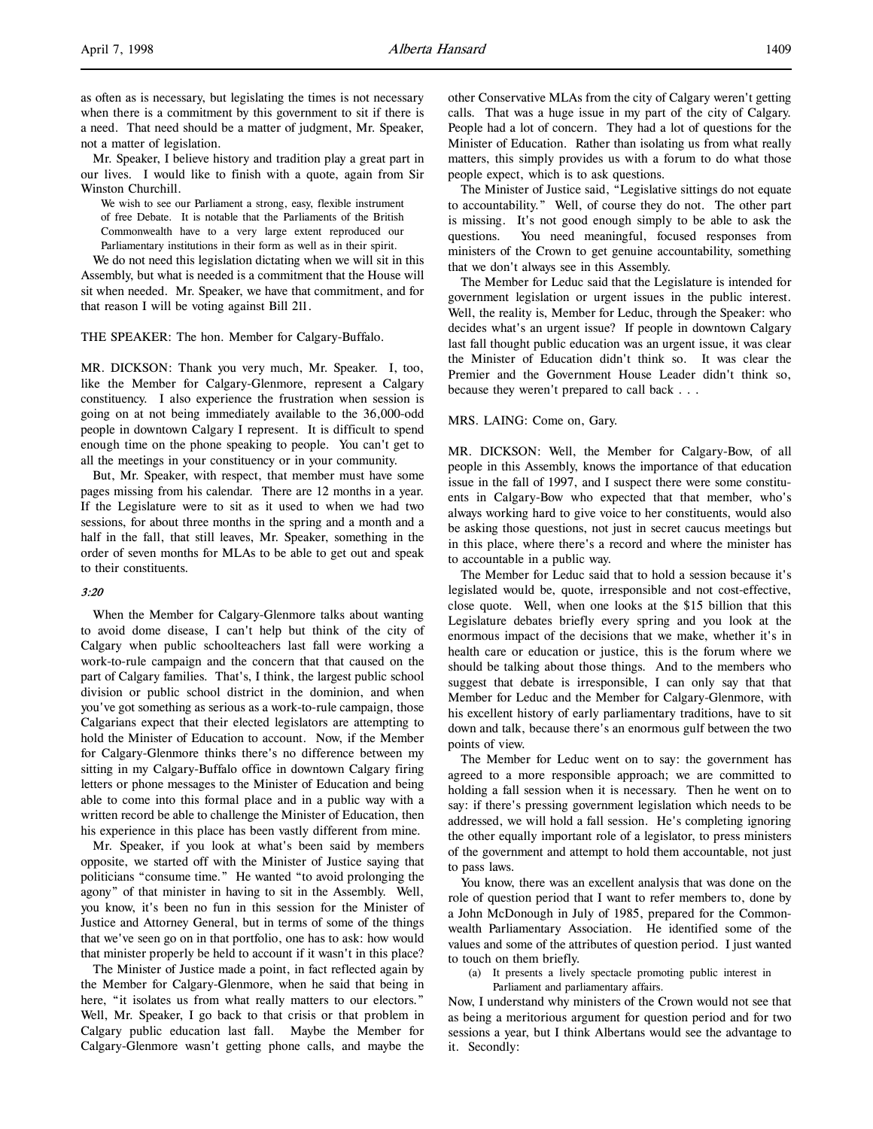as often as is necessary, but legislating the times is not necessary when there is a commitment by this government to sit if there is a need. That need should be a matter of judgment, Mr. Speaker, not a matter of legislation.

Mr. Speaker, I believe history and tradition play a great part in our lives. I would like to finish with a quote, again from Sir Winston Churchill.

We wish to see our Parliament a strong, easy, flexible instrument of free Debate. It is notable that the Parliaments of the British Commonwealth have to a very large extent reproduced our Parliamentary institutions in their form as well as in their spirit.

We do not need this legislation dictating when we will sit in this Assembly, but what is needed is a commitment that the House will sit when needed. Mr. Speaker, we have that commitment, and for that reason I will be voting against Bill 211.

THE SPEAKER: The hon. Member for Calgary-Buffalo.

MR. DICKSON: Thank you very much, Mr. Speaker. I, too, like the Member for Calgary-Glenmore, represent a Calgary constituency. I also experience the frustration when session is going on at not being immediately available to the 36,000-odd people in downtown Calgary I represent. It is difficult to spend enough time on the phone speaking to people. You can't get to all the meetings in your constituency or in your community.

But, Mr. Speaker, with respect, that member must have some pages missing from his calendar. There are 12 months in a year. If the Legislature were to sit as it used to when we had two sessions, for about three months in the spring and a month and a half in the fall, that still leaves, Mr. Speaker, something in the order of seven months for MLAs to be able to get out and speak to their constituents.

### 3:20

When the Member for Calgary-Glenmore talks about wanting to avoid dome disease, I can't help but think of the city of Calgary when public schoolteachers last fall were working a work-to-rule campaign and the concern that that caused on the part of Calgary families. That's, I think, the largest public school division or public school district in the dominion, and when you've got something as serious as a work-to-rule campaign, those Calgarians expect that their elected legislators are attempting to hold the Minister of Education to account. Now, if the Member for Calgary-Glenmore thinks there's no difference between my sitting in my Calgary-Buffalo office in downtown Calgary firing letters or phone messages to the Minister of Education and being able to come into this formal place and in a public way with a written record be able to challenge the Minister of Education, then his experience in this place has been vastly different from mine.

Mr. Speaker, if you look at what's been said by members opposite, we started off with the Minister of Justice saying that politicians "consume time." He wanted "to avoid prolonging the agony" of that minister in having to sit in the Assembly. Well, you know, it's been no fun in this session for the Minister of Justice and Attorney General, but in terms of some of the things that we've seen go on in that portfolio, one has to ask: how would that minister properly be held to account if it wasn't in this place?

The Minister of Justice made a point, in fact reflected again by the Member for Calgary-Glenmore, when he said that being in here, "it isolates us from what really matters to our electors." Well, Mr. Speaker, I go back to that crisis or that problem in Calgary public education last fall. Maybe the Member for Calgary-Glenmore wasn't getting phone calls, and maybe the

other Conservative MLAs from the city of Calgary weren't getting calls. That was a huge issue in my part of the city of Calgary. People had a lot of concern. They had a lot of questions for the Minister of Education. Rather than isolating us from what really matters, this simply provides us with a forum to do what those people expect, which is to ask questions.

The Minister of Justice said, "Legislative sittings do not equate to accountability." Well, of course they do not. The other part is missing. It's not good enough simply to be able to ask the questions. You need meaningful, focused responses from ministers of the Crown to get genuine accountability, something that we don't always see in this Assembly.

The Member for Leduc said that the Legislature is intended for government legislation or urgent issues in the public interest. Well, the reality is, Member for Leduc, through the Speaker: who decides what's an urgent issue? If people in downtown Calgary last fall thought public education was an urgent issue, it was clear the Minister of Education didn't think so. It was clear the Premier and the Government House Leader didn't think so, because they weren't prepared to call back . . .

## MRS. LAING: Come on, Gary.

MR. DICKSON: Well, the Member for Calgary-Bow, of all people in this Assembly, knows the importance of that education issue in the fall of 1997, and I suspect there were some constituents in Calgary-Bow who expected that that member, who's always working hard to give voice to her constituents, would also be asking those questions, not just in secret caucus meetings but in this place, where there's a record and where the minister has to accountable in a public way.

The Member for Leduc said that to hold a session because it's legislated would be, quote, irresponsible and not cost-effective, close quote. Well, when one looks at the \$15 billion that this Legislature debates briefly every spring and you look at the enormous impact of the decisions that we make, whether it's in health care or education or justice, this is the forum where we should be talking about those things. And to the members who suggest that debate is irresponsible, I can only say that that Member for Leduc and the Member for Calgary-Glenmore, with his excellent history of early parliamentary traditions, have to sit down and talk, because there's an enormous gulf between the two points of view.

The Member for Leduc went on to say: the government has agreed to a more responsible approach; we are committed to holding a fall session when it is necessary. Then he went on to say: if there's pressing government legislation which needs to be addressed, we will hold a fall session. He's completing ignoring the other equally important role of a legislator, to press ministers of the government and attempt to hold them accountable, not just to pass laws.

You know, there was an excellent analysis that was done on the role of question period that I want to refer members to, done by a John McDonough in July of 1985, prepared for the Commonwealth Parliamentary Association. He identified some of the values and some of the attributes of question period. I just wanted to touch on them briefly.

(a) It presents a lively spectacle promoting public interest in Parliament and parliamentary affairs.

Now, I understand why ministers of the Crown would not see that as being a meritorious argument for question period and for two sessions a year, but I think Albertans would see the advantage to it. Secondly: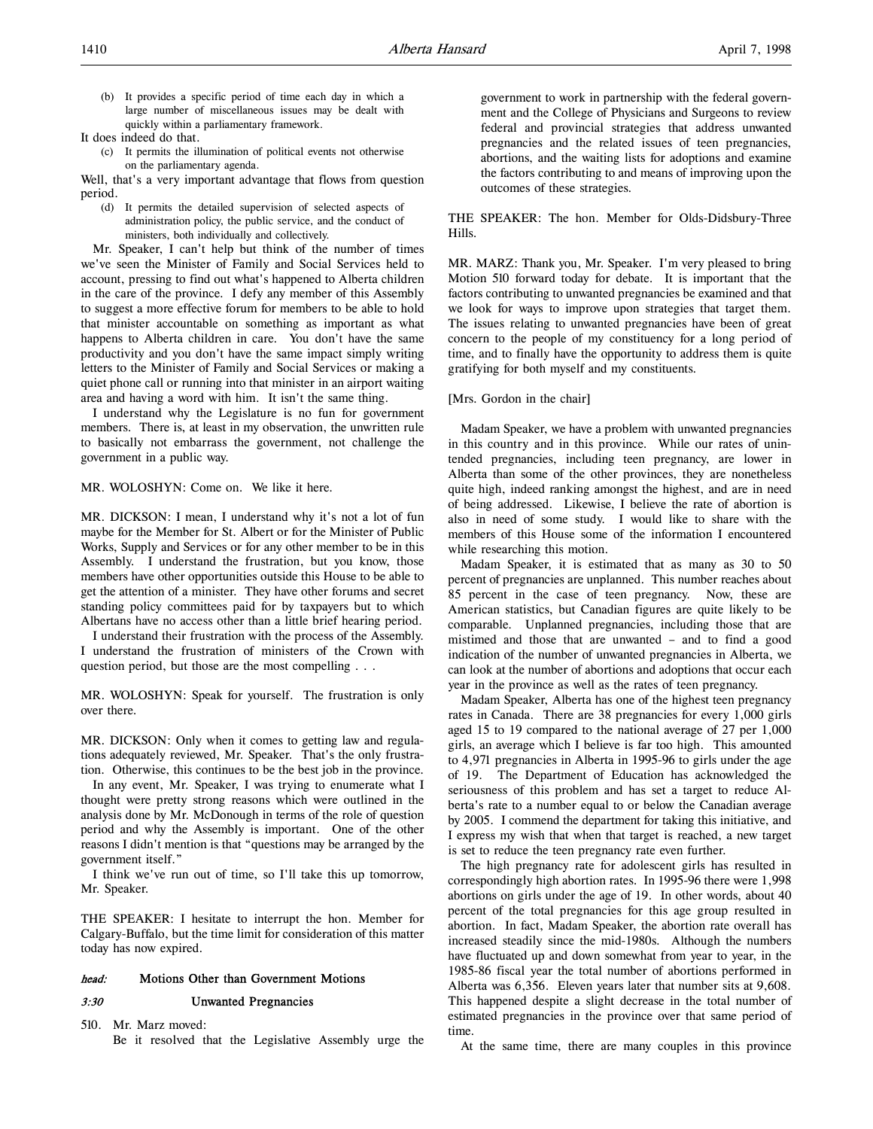(b) It provides a specific period of time each day in which a large number of miscellaneous issues may be dealt with quickly within a parliamentary framework.

It does indeed do that.

(c) It permits the illumination of political events not otherwise on the parliamentary agenda.

Well, that's a very important advantage that flows from question period.

(d) It permits the detailed supervision of selected aspects of administration policy, the public service, and the conduct of ministers, both individually and collectively.

Mr. Speaker, I can't help but think of the number of times we've seen the Minister of Family and Social Services held to account, pressing to find out what's happened to Alberta children in the care of the province. I defy any member of this Assembly to suggest a more effective forum for members to be able to hold that minister accountable on something as important as what happens to Alberta children in care. You don't have the same productivity and you don't have the same impact simply writing letters to the Minister of Family and Social Services or making a quiet phone call or running into that minister in an airport waiting area and having a word with him. It isn't the same thing.

I understand why the Legislature is no fun for government members. There is, at least in my observation, the unwritten rule to basically not embarrass the government, not challenge the government in a public way.

MR. WOLOSHYN: Come on. We like it here.

MR. DICKSON: I mean, I understand why it's not a lot of fun maybe for the Member for St. Albert or for the Minister of Public Works, Supply and Services or for any other member to be in this Assembly. I understand the frustration, but you know, those members have other opportunities outside this House to be able to get the attention of a minister. They have other forums and secret standing policy committees paid for by taxpayers but to which Albertans have no access other than a little brief hearing period.

I understand their frustration with the process of the Assembly. I understand the frustration of ministers of the Crown with question period, but those are the most compelling . . .

MR. WOLOSHYN: Speak for yourself. The frustration is only over there.

MR. DICKSON: Only when it comes to getting law and regulations adequately reviewed, Mr. Speaker. That's the only frustration. Otherwise, this continues to be the best job in the province.

In any event, Mr. Speaker, I was trying to enumerate what I thought were pretty strong reasons which were outlined in the analysis done by Mr. McDonough in terms of the role of question period and why the Assembly is important. One of the other reasons I didn't mention is that "questions may be arranged by the government itself."

I think we've run out of time, so I'll take this up tomorrow, Mr. Speaker.

THE SPEAKER: I hesitate to interrupt the hon. Member for Calgary-Buffalo, but the time limit for consideration of this matter today has now expired.

## head: Motions Other than Government Motions

### 3:30 Unwanted Pregnancies

510. Mr. Marz moved:

Be it resolved that the Legislative Assembly urge the

government to work in partnership with the federal government and the College of Physicians and Surgeons to review federal and provincial strategies that address unwanted pregnancies and the related issues of teen pregnancies, abortions, and the waiting lists for adoptions and examine the factors contributing to and means of improving upon the outcomes of these strategies.

THE SPEAKER: The hon. Member for Olds-Didsbury-Three Hills.

MR. MARZ: Thank you, Mr. Speaker. I'm very pleased to bring Motion 510 forward today for debate. It is important that the factors contributing to unwanted pregnancies be examined and that we look for ways to improve upon strategies that target them. The issues relating to unwanted pregnancies have been of great concern to the people of my constituency for a long period of time, and to finally have the opportunity to address them is quite gratifying for both myself and my constituents.

### [Mrs. Gordon in the chair]

Madam Speaker, we have a problem with unwanted pregnancies in this country and in this province. While our rates of unintended pregnancies, including teen pregnancy, are lower in Alberta than some of the other provinces, they are nonetheless quite high, indeed ranking amongst the highest, and are in need of being addressed. Likewise, I believe the rate of abortion is also in need of some study. I would like to share with the members of this House some of the information I encountered while researching this motion.

Madam Speaker, it is estimated that as many as 30 to 50 percent of pregnancies are unplanned. This number reaches about 85 percent in the case of teen pregnancy. Now, these are American statistics, but Canadian figures are quite likely to be comparable. Unplanned pregnancies, including those that are mistimed and those that are unwanted – and to find a good indication of the number of unwanted pregnancies in Alberta, we can look at the number of abortions and adoptions that occur each year in the province as well as the rates of teen pregnancy.

Madam Speaker, Alberta has one of the highest teen pregnancy rates in Canada. There are 38 pregnancies for every 1,000 girls aged 15 to 19 compared to the national average of 27 per 1,000 girls, an average which I believe is far too high. This amounted to 4,971 pregnancies in Alberta in 1995-96 to girls under the age of 19. The Department of Education has acknowledged the seriousness of this problem and has set a target to reduce Alberta's rate to a number equal to or below the Canadian average by 2005. I commend the department for taking this initiative, and I express my wish that when that target is reached, a new target is set to reduce the teen pregnancy rate even further.

The high pregnancy rate for adolescent girls has resulted in correspondingly high abortion rates. In 1995-96 there were 1,998 abortions on girls under the age of 19. In other words, about 40 percent of the total pregnancies for this age group resulted in abortion. In fact, Madam Speaker, the abortion rate overall has increased steadily since the mid-1980s. Although the numbers have fluctuated up and down somewhat from year to year, in the 1985-86 fiscal year the total number of abortions performed in Alberta was 6,356. Eleven years later that number sits at 9,608. This happened despite a slight decrease in the total number of estimated pregnancies in the province over that same period of time.

At the same time, there are many couples in this province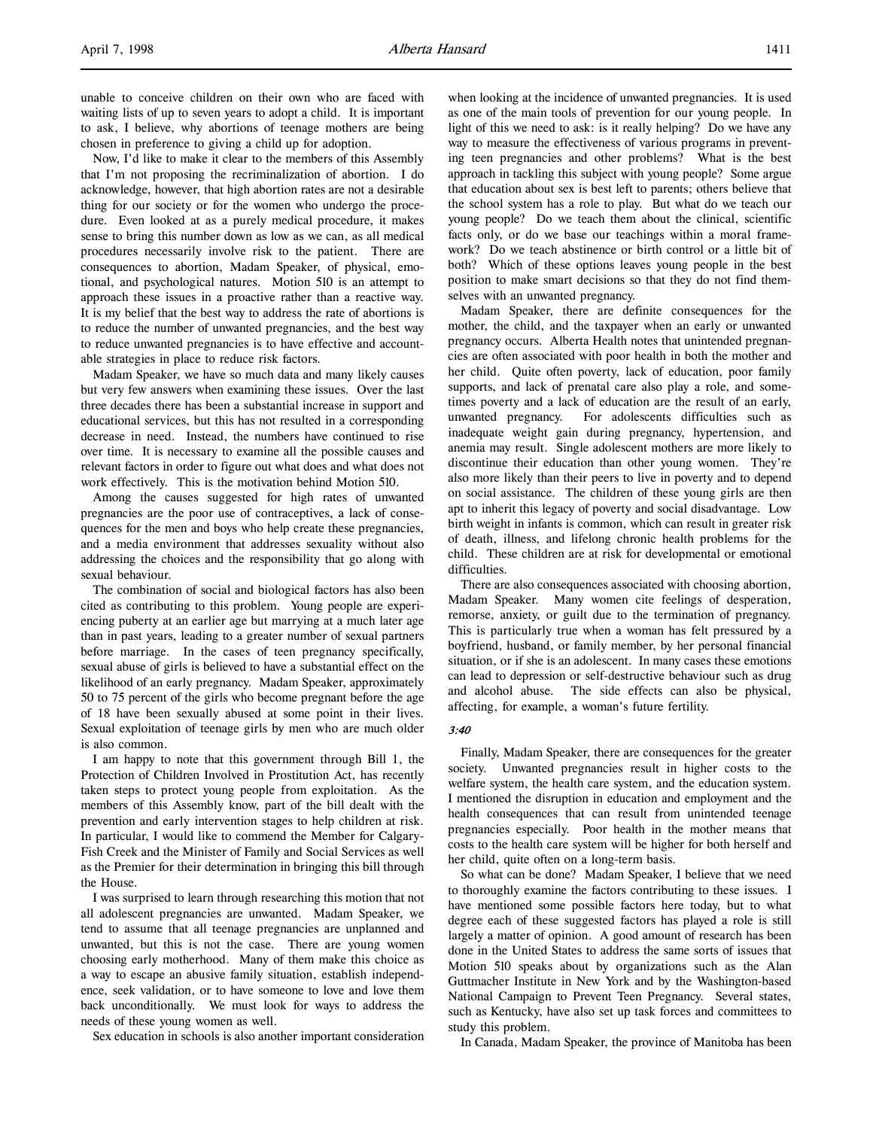unable to conceive children on their own who are faced with waiting lists of up to seven years to adopt a child. It is important to ask, I believe, why abortions of teenage mothers are being chosen in preference to giving a child up for adoption.

Now, I'd like to make it clear to the members of this Assembly that I'm not proposing the recriminalization of abortion. I do acknowledge, however, that high abortion rates are not a desirable thing for our society or for the women who undergo the procedure. Even looked at as a purely medical procedure, it makes sense to bring this number down as low as we can, as all medical procedures necessarily involve risk to the patient. There are consequences to abortion, Madam Speaker, of physical, emotional, and psychological natures. Motion 510 is an attempt to approach these issues in a proactive rather than a reactive way. It is my belief that the best way to address the rate of abortions is to reduce the number of unwanted pregnancies, and the best way to reduce unwanted pregnancies is to have effective and accountable strategies in place to reduce risk factors.

Madam Speaker, we have so much data and many likely causes but very few answers when examining these issues. Over the last three decades there has been a substantial increase in support and educational services, but this has not resulted in a corresponding decrease in need. Instead, the numbers have continued to rise over time. It is necessary to examine all the possible causes and relevant factors in order to figure out what does and what does not work effectively. This is the motivation behind Motion 510.

Among the causes suggested for high rates of unwanted pregnancies are the poor use of contraceptives, a lack of consequences for the men and boys who help create these pregnancies, and a media environment that addresses sexuality without also addressing the choices and the responsibility that go along with sexual behaviour.

The combination of social and biological factors has also been cited as contributing to this problem. Young people are experiencing puberty at an earlier age but marrying at a much later age than in past years, leading to a greater number of sexual partners before marriage. In the cases of teen pregnancy specifically, sexual abuse of girls is believed to have a substantial effect on the likelihood of an early pregnancy. Madam Speaker, approximately 50 to 75 percent of the girls who become pregnant before the age of 18 have been sexually abused at some point in their lives. Sexual exploitation of teenage girls by men who are much older is also common.

I am happy to note that this government through Bill 1, the Protection of Children Involved in Prostitution Act, has recently taken steps to protect young people from exploitation. As the members of this Assembly know, part of the bill dealt with the prevention and early intervention stages to help children at risk. In particular, I would like to commend the Member for Calgary-Fish Creek and the Minister of Family and Social Services as well as the Premier for their determination in bringing this bill through the House.

I was surprised to learn through researching this motion that not all adolescent pregnancies are unwanted. Madam Speaker, we tend to assume that all teenage pregnancies are unplanned and unwanted, but this is not the case. There are young women choosing early motherhood. Many of them make this choice as a way to escape an abusive family situation, establish independence, seek validation, or to have someone to love and love them back unconditionally. We must look for ways to address the needs of these young women as well.

Sex education in schools is also another important consideration

when looking at the incidence of unwanted pregnancies. It is used as one of the main tools of prevention for our young people. In light of this we need to ask: is it really helping? Do we have any way to measure the effectiveness of various programs in preventing teen pregnancies and other problems? What is the best approach in tackling this subject with young people? Some argue that education about sex is best left to parents; others believe that the school system has a role to play. But what do we teach our young people? Do we teach them about the clinical, scientific facts only, or do we base our teachings within a moral framework? Do we teach abstinence or birth control or a little bit of both? Which of these options leaves young people in the best position to make smart decisions so that they do not find themselves with an unwanted pregnancy.

Madam Speaker, there are definite consequences for the mother, the child, and the taxpayer when an early or unwanted pregnancy occurs. Alberta Health notes that unintended pregnancies are often associated with poor health in both the mother and her child. Quite often poverty, lack of education, poor family supports, and lack of prenatal care also play a role, and sometimes poverty and a lack of education are the result of an early, unwanted pregnancy. For adolescents difficulties such as inadequate weight gain during pregnancy, hypertension, and anemia may result. Single adolescent mothers are more likely to discontinue their education than other young women. They're also more likely than their peers to live in poverty and to depend on social assistance. The children of these young girls are then apt to inherit this legacy of poverty and social disadvantage. Low birth weight in infants is common, which can result in greater risk of death, illness, and lifelong chronic health problems for the child. These children are at risk for developmental or emotional difficulties.

There are also consequences associated with choosing abortion, Madam Speaker. Many women cite feelings of desperation, remorse, anxiety, or guilt due to the termination of pregnancy. This is particularly true when a woman has felt pressured by a boyfriend, husband, or family member, by her personal financial situation, or if she is an adolescent. In many cases these emotions can lead to depression or self-destructive behaviour such as drug and alcohol abuse. The side effects can also be physical, affecting, for example, a woman's future fertility.

## 3:40

Finally, Madam Speaker, there are consequences for the greater society. Unwanted pregnancies result in higher costs to the welfare system, the health care system, and the education system. I mentioned the disruption in education and employment and the health consequences that can result from unintended teenage pregnancies especially. Poor health in the mother means that costs to the health care system will be higher for both herself and her child, quite often on a long-term basis.

So what can be done? Madam Speaker, I believe that we need to thoroughly examine the factors contributing to these issues. I have mentioned some possible factors here today, but to what degree each of these suggested factors has played a role is still largely a matter of opinion. A good amount of research has been done in the United States to address the same sorts of issues that Motion 510 speaks about by organizations such as the Alan Guttmacher Institute in New York and by the Washington-based National Campaign to Prevent Teen Pregnancy. Several states, such as Kentucky, have also set up task forces and committees to study this problem.

In Canada, Madam Speaker, the province of Manitoba has been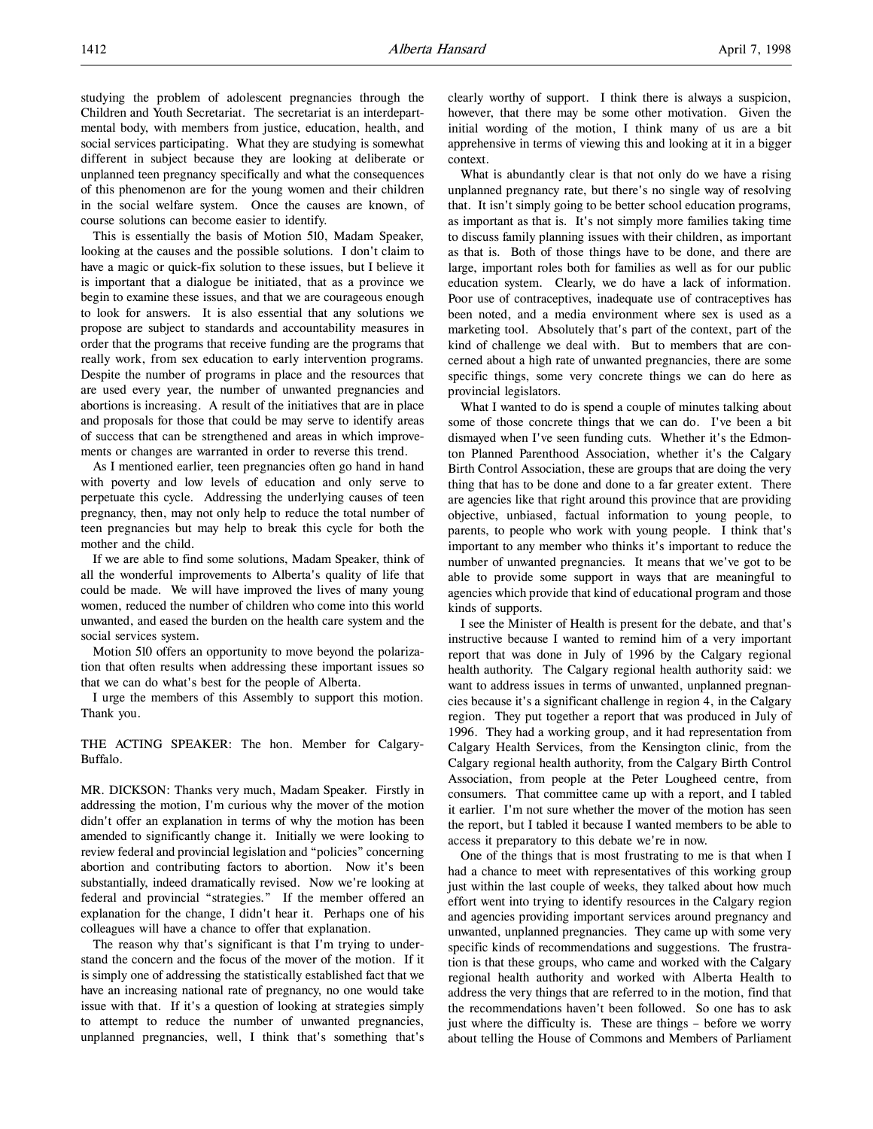studying the problem of adolescent pregnancies through the Children and Youth Secretariat. The secretariat is an interdepartmental body, with members from justice, education, health, and social services participating. What they are studying is somewhat different in subject because they are looking at deliberate or unplanned teen pregnancy specifically and what the consequences of this phenomenon are for the young women and their children in the social welfare system. Once the causes are known, of course solutions can become easier to identify.

This is essentially the basis of Motion 510, Madam Speaker, looking at the causes and the possible solutions. I don't claim to have a magic or quick-fix solution to these issues, but I believe it is important that a dialogue be initiated, that as a province we begin to examine these issues, and that we are courageous enough to look for answers. It is also essential that any solutions we propose are subject to standards and accountability measures in order that the programs that receive funding are the programs that really work, from sex education to early intervention programs. Despite the number of programs in place and the resources that are used every year, the number of unwanted pregnancies and abortions is increasing. A result of the initiatives that are in place and proposals for those that could be may serve to identify areas of success that can be strengthened and areas in which improvements or changes are warranted in order to reverse this trend.

As I mentioned earlier, teen pregnancies often go hand in hand with poverty and low levels of education and only serve to perpetuate this cycle. Addressing the underlying causes of teen pregnancy, then, may not only help to reduce the total number of teen pregnancies but may help to break this cycle for both the mother and the child.

If we are able to find some solutions, Madam Speaker, think of all the wonderful improvements to Alberta's quality of life that could be made. We will have improved the lives of many young women, reduced the number of children who come into this world unwanted, and eased the burden on the health care system and the social services system.

Motion 510 offers an opportunity to move beyond the polarization that often results when addressing these important issues so that we can do what's best for the people of Alberta.

I urge the members of this Assembly to support this motion. Thank you.

THE ACTING SPEAKER: The hon. Member for Calgary-Buffalo.

MR. DICKSON: Thanks very much, Madam Speaker. Firstly in addressing the motion, I'm curious why the mover of the motion didn't offer an explanation in terms of why the motion has been amended to significantly change it. Initially we were looking to review federal and provincial legislation and "policies" concerning abortion and contributing factors to abortion. Now it's been substantially, indeed dramatically revised. Now we're looking at federal and provincial "strategies." If the member offered an explanation for the change, I didn't hear it. Perhaps one of his colleagues will have a chance to offer that explanation.

The reason why that's significant is that I'm trying to understand the concern and the focus of the mover of the motion. If it is simply one of addressing the statistically established fact that we have an increasing national rate of pregnancy, no one would take issue with that. If it's a question of looking at strategies simply to attempt to reduce the number of unwanted pregnancies, unplanned pregnancies, well, I think that's something that's

clearly worthy of support. I think there is always a suspicion, however, that there may be some other motivation. Given the initial wording of the motion, I think many of us are a bit apprehensive in terms of viewing this and looking at it in a bigger context.

What is abundantly clear is that not only do we have a rising unplanned pregnancy rate, but there's no single way of resolving that. It isn't simply going to be better school education programs, as important as that is. It's not simply more families taking time to discuss family planning issues with their children, as important as that is. Both of those things have to be done, and there are large, important roles both for families as well as for our public education system. Clearly, we do have a lack of information. Poor use of contraceptives, inadequate use of contraceptives has been noted, and a media environment where sex is used as a marketing tool. Absolutely that's part of the context, part of the kind of challenge we deal with. But to members that are concerned about a high rate of unwanted pregnancies, there are some specific things, some very concrete things we can do here as provincial legislators.

What I wanted to do is spend a couple of minutes talking about some of those concrete things that we can do. I've been a bit dismayed when I've seen funding cuts. Whether it's the Edmonton Planned Parenthood Association, whether it's the Calgary Birth Control Association, these are groups that are doing the very thing that has to be done and done to a far greater extent. There are agencies like that right around this province that are providing objective, unbiased, factual information to young people, to parents, to people who work with young people. I think that's important to any member who thinks it's important to reduce the number of unwanted pregnancies. It means that we've got to be able to provide some support in ways that are meaningful to agencies which provide that kind of educational program and those kinds of supports.

I see the Minister of Health is present for the debate, and that's instructive because I wanted to remind him of a very important report that was done in July of 1996 by the Calgary regional health authority. The Calgary regional health authority said: we want to address issues in terms of unwanted, unplanned pregnancies because it's a significant challenge in region 4, in the Calgary region. They put together a report that was produced in July of 1996. They had a working group, and it had representation from Calgary Health Services, from the Kensington clinic, from the Calgary regional health authority, from the Calgary Birth Control Association, from people at the Peter Lougheed centre, from consumers. That committee came up with a report, and I tabled it earlier. I'm not sure whether the mover of the motion has seen the report, but I tabled it because I wanted members to be able to access it preparatory to this debate we're in now.

One of the things that is most frustrating to me is that when I had a chance to meet with representatives of this working group just within the last couple of weeks, they talked about how much effort went into trying to identify resources in the Calgary region and agencies providing important services around pregnancy and unwanted, unplanned pregnancies. They came up with some very specific kinds of recommendations and suggestions. The frustration is that these groups, who came and worked with the Calgary regional health authority and worked with Alberta Health to address the very things that are referred to in the motion, find that the recommendations haven't been followed. So one has to ask just where the difficulty is. These are things – before we worry about telling the House of Commons and Members of Parliament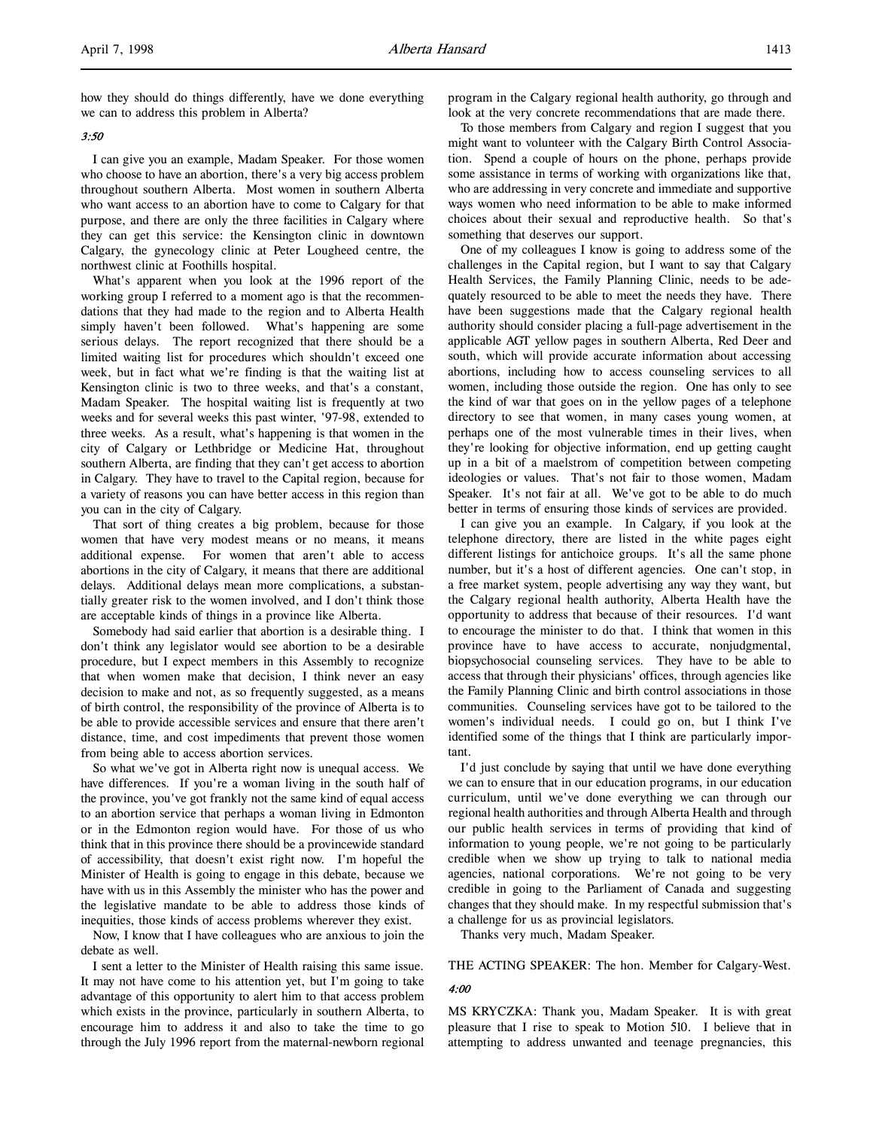how they should do things differently, have we done everything we can to address this problem in Alberta?

## 3:50

I can give you an example, Madam Speaker. For those women who choose to have an abortion, there's a very big access problem throughout southern Alberta. Most women in southern Alberta who want access to an abortion have to come to Calgary for that purpose, and there are only the three facilities in Calgary where they can get this service: the Kensington clinic in downtown Calgary, the gynecology clinic at Peter Lougheed centre, the northwest clinic at Foothills hospital.

What's apparent when you look at the 1996 report of the working group I referred to a moment ago is that the recommendations that they had made to the region and to Alberta Health simply haven't been followed. What's happening are some serious delays. The report recognized that there should be a limited waiting list for procedures which shouldn't exceed one week, but in fact what we're finding is that the waiting list at Kensington clinic is two to three weeks, and that's a constant, Madam Speaker. The hospital waiting list is frequently at two weeks and for several weeks this past winter, '97-98, extended to three weeks. As a result, what's happening is that women in the city of Calgary or Lethbridge or Medicine Hat, throughout southern Alberta, are finding that they can't get access to abortion in Calgary. They have to travel to the Capital region, because for a variety of reasons you can have better access in this region than you can in the city of Calgary.

That sort of thing creates a big problem, because for those women that have very modest means or no means, it means additional expense. For women that aren't able to access abortions in the city of Calgary, it means that there are additional delays. Additional delays mean more complications, a substantially greater risk to the women involved, and I don't think those are acceptable kinds of things in a province like Alberta.

Somebody had said earlier that abortion is a desirable thing. I don't think any legislator would see abortion to be a desirable procedure, but I expect members in this Assembly to recognize that when women make that decision, I think never an easy decision to make and not, as so frequently suggested, as a means of birth control, the responsibility of the province of Alberta is to be able to provide accessible services and ensure that there aren't distance, time, and cost impediments that prevent those women from being able to access abortion services.

So what we've got in Alberta right now is unequal access. We have differences. If you're a woman living in the south half of the province, you've got frankly not the same kind of equal access to an abortion service that perhaps a woman living in Edmonton or in the Edmonton region would have. For those of us who think that in this province there should be a provincewide standard of accessibility, that doesn't exist right now. I'm hopeful the Minister of Health is going to engage in this debate, because we have with us in this Assembly the minister who has the power and the legislative mandate to be able to address those kinds of inequities, those kinds of access problems wherever they exist.

Now, I know that I have colleagues who are anxious to join the debate as well.

I sent a letter to the Minister of Health raising this same issue. It may not have come to his attention yet, but I'm going to take advantage of this opportunity to alert him to that access problem which exists in the province, particularly in southern Alberta, to encourage him to address it and also to take the time to go through the July 1996 report from the maternal-newborn regional program in the Calgary regional health authority, go through and look at the very concrete recommendations that are made there.

To those members from Calgary and region I suggest that you might want to volunteer with the Calgary Birth Control Association. Spend a couple of hours on the phone, perhaps provide some assistance in terms of working with organizations like that, who are addressing in very concrete and immediate and supportive ways women who need information to be able to make informed choices about their sexual and reproductive health. So that's something that deserves our support.

One of my colleagues I know is going to address some of the challenges in the Capital region, but I want to say that Calgary Health Services, the Family Planning Clinic, needs to be adequately resourced to be able to meet the needs they have. There have been suggestions made that the Calgary regional health authority should consider placing a full-page advertisement in the applicable AGT yellow pages in southern Alberta, Red Deer and south, which will provide accurate information about accessing abortions, including how to access counseling services to all women, including those outside the region. One has only to see the kind of war that goes on in the yellow pages of a telephone directory to see that women, in many cases young women, at perhaps one of the most vulnerable times in their lives, when they're looking for objective information, end up getting caught up in a bit of a maelstrom of competition between competing ideologies or values. That's not fair to those women, Madam Speaker. It's not fair at all. We've got to be able to do much better in terms of ensuring those kinds of services are provided.

I can give you an example. In Calgary, if you look at the telephone directory, there are listed in the white pages eight different listings for antichoice groups. It's all the same phone number, but it's a host of different agencies. One can't stop, in a free market system, people advertising any way they want, but the Calgary regional health authority, Alberta Health have the opportunity to address that because of their resources. I'd want to encourage the minister to do that. I think that women in this province have to have access to accurate, nonjudgmental, biopsychosocial counseling services. They have to be able to access that through their physicians' offices, through agencies like the Family Planning Clinic and birth control associations in those communities. Counseling services have got to be tailored to the women's individual needs. I could go on, but I think I've identified some of the things that I think are particularly important.

I'd just conclude by saying that until we have done everything we can to ensure that in our education programs, in our education curriculum, until we've done everything we can through our regional health authorities and through Alberta Health and through our public health services in terms of providing that kind of information to young people, we're not going to be particularly credible when we show up trying to talk to national media agencies, national corporations. We're not going to be very credible in going to the Parliament of Canada and suggesting changes that they should make. In my respectful submission that's a challenge for us as provincial legislators.

Thanks very much, Madam Speaker.

THE ACTING SPEAKER: The hon. Member for Calgary-West.

### 4:00

MS KRYCZKA: Thank you, Madam Speaker. It is with great pleasure that I rise to speak to Motion 510. I believe that in attempting to address unwanted and teenage pregnancies, this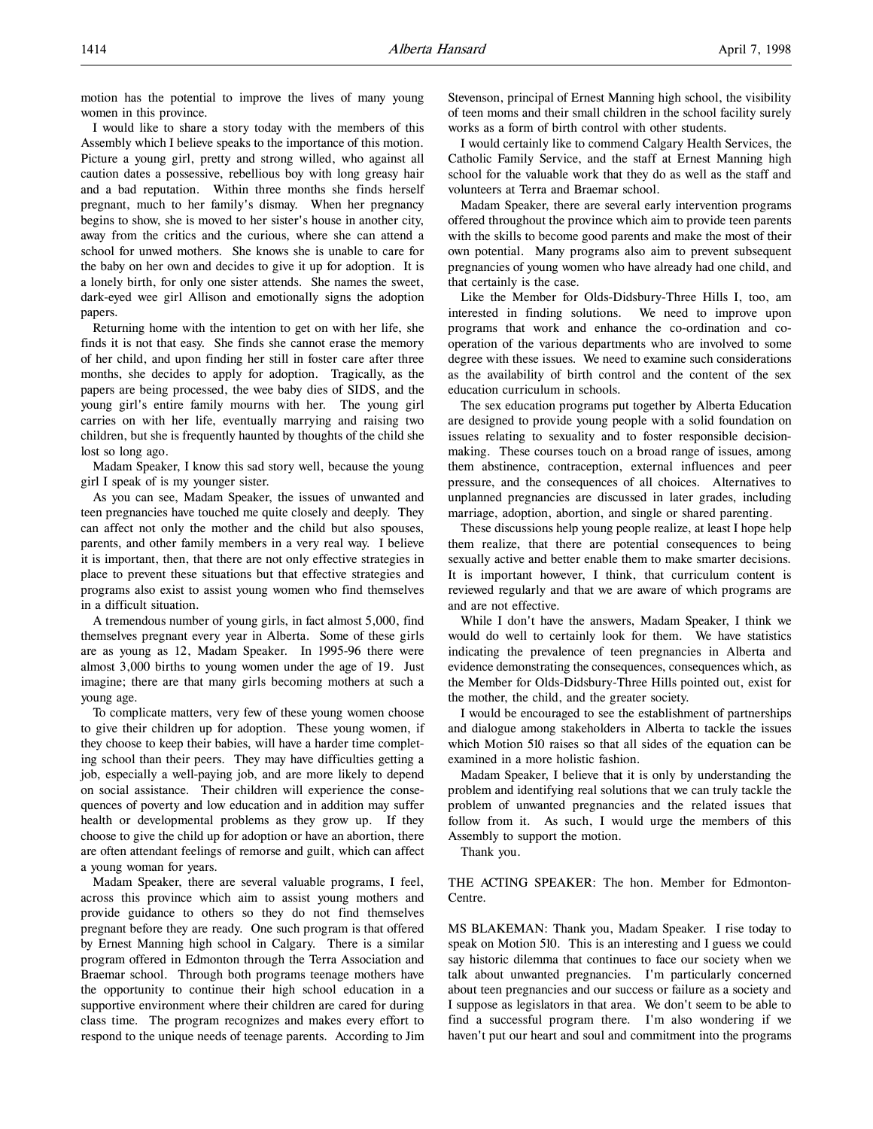I would like to share a story today with the members of this Assembly which I believe speaks to the importance of this motion. Picture a young girl, pretty and strong willed, who against all caution dates a possessive, rebellious boy with long greasy hair and a bad reputation. Within three months she finds herself pregnant, much to her family's dismay. When her pregnancy begins to show, she is moved to her sister's house in another city, away from the critics and the curious, where she can attend a school for unwed mothers. She knows she is unable to care for the baby on her own and decides to give it up for adoption. It is a lonely birth, for only one sister attends. She names the sweet, dark-eyed wee girl Allison and emotionally signs the adoption papers.

Returning home with the intention to get on with her life, she finds it is not that easy. She finds she cannot erase the memory of her child, and upon finding her still in foster care after three months, she decides to apply for adoption. Tragically, as the papers are being processed, the wee baby dies of SIDS, and the young girl's entire family mourns with her. The young girl carries on with her life, eventually marrying and raising two children, but she is frequently haunted by thoughts of the child she lost so long ago.

Madam Speaker, I know this sad story well, because the young girl I speak of is my younger sister.

As you can see, Madam Speaker, the issues of unwanted and teen pregnancies have touched me quite closely and deeply. They can affect not only the mother and the child but also spouses, parents, and other family members in a very real way. I believe it is important, then, that there are not only effective strategies in place to prevent these situations but that effective strategies and programs also exist to assist young women who find themselves in a difficult situation.

A tremendous number of young girls, in fact almost 5,000, find themselves pregnant every year in Alberta. Some of these girls are as young as 12, Madam Speaker. In 1995-96 there were almost 3,000 births to young women under the age of 19. Just imagine; there are that many girls becoming mothers at such a young age.

To complicate matters, very few of these young women choose to give their children up for adoption. These young women, if they choose to keep their babies, will have a harder time completing school than their peers. They may have difficulties getting a job, especially a well-paying job, and are more likely to depend on social assistance. Their children will experience the consequences of poverty and low education and in addition may suffer health or developmental problems as they grow up. If they choose to give the child up for adoption or have an abortion, there are often attendant feelings of remorse and guilt, which can affect a young woman for years.

Madam Speaker, there are several valuable programs, I feel, across this province which aim to assist young mothers and provide guidance to others so they do not find themselves pregnant before they are ready. One such program is that offered by Ernest Manning high school in Calgary. There is a similar program offered in Edmonton through the Terra Association and Braemar school. Through both programs teenage mothers have the opportunity to continue their high school education in a supportive environment where their children are cared for during class time. The program recognizes and makes every effort to respond to the unique needs of teenage parents. According to Jim Stevenson, principal of Ernest Manning high school, the visibility of teen moms and their small children in the school facility surely works as a form of birth control with other students.

I would certainly like to commend Calgary Health Services, the Catholic Family Service, and the staff at Ernest Manning high school for the valuable work that they do as well as the staff and volunteers at Terra and Braemar school.

Madam Speaker, there are several early intervention programs offered throughout the province which aim to provide teen parents with the skills to become good parents and make the most of their own potential. Many programs also aim to prevent subsequent pregnancies of young women who have already had one child, and that certainly is the case.

Like the Member for Olds-Didsbury-Three Hills I, too, am interested in finding solutions. We need to improve upon programs that work and enhance the co-ordination and cooperation of the various departments who are involved to some degree with these issues. We need to examine such considerations as the availability of birth control and the content of the sex education curriculum in schools.

The sex education programs put together by Alberta Education are designed to provide young people with a solid foundation on issues relating to sexuality and to foster responsible decisionmaking. These courses touch on a broad range of issues, among them abstinence, contraception, external influences and peer pressure, and the consequences of all choices. Alternatives to unplanned pregnancies are discussed in later grades, including marriage, adoption, abortion, and single or shared parenting.

These discussions help young people realize, at least I hope help them realize, that there are potential consequences to being sexually active and better enable them to make smarter decisions. It is important however, I think, that curriculum content is reviewed regularly and that we are aware of which programs are and are not effective.

While I don't have the answers, Madam Speaker, I think we would do well to certainly look for them. We have statistics indicating the prevalence of teen pregnancies in Alberta and evidence demonstrating the consequences, consequences which, as the Member for Olds-Didsbury-Three Hills pointed out, exist for the mother, the child, and the greater society.

I would be encouraged to see the establishment of partnerships and dialogue among stakeholders in Alberta to tackle the issues which Motion 510 raises so that all sides of the equation can be examined in a more holistic fashion.

Madam Speaker, I believe that it is only by understanding the problem and identifying real solutions that we can truly tackle the problem of unwanted pregnancies and the related issues that follow from it. As such, I would urge the members of this Assembly to support the motion.

Thank you.

THE ACTING SPEAKER: The hon. Member for Edmonton-Centre.

MS BLAKEMAN: Thank you, Madam Speaker. I rise today to speak on Motion 510. This is an interesting and I guess we could say historic dilemma that continues to face our society when we talk about unwanted pregnancies. I'm particularly concerned about teen pregnancies and our success or failure as a society and I suppose as legislators in that area. We don't seem to be able to find a successful program there. I'm also wondering if we haven't put our heart and soul and commitment into the programs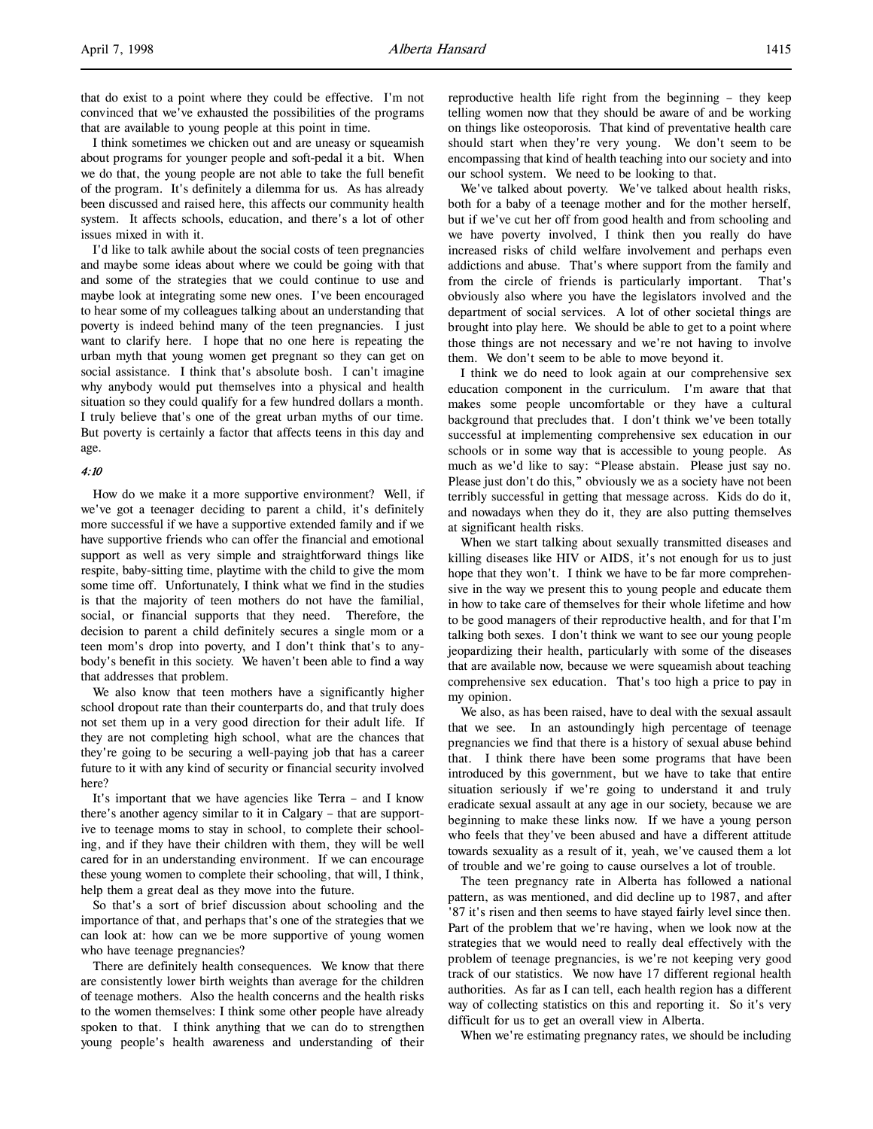that do exist to a point where they could be effective. I'm not convinced that we've exhausted the possibilities of the programs that are available to young people at this point in time.

I think sometimes we chicken out and are uneasy or squeamish about programs for younger people and soft-pedal it a bit. When we do that, the young people are not able to take the full benefit of the program. It's definitely a dilemma for us. As has already been discussed and raised here, this affects our community health system. It affects schools, education, and there's a lot of other issues mixed in with it.

I'd like to talk awhile about the social costs of teen pregnancies and maybe some ideas about where we could be going with that and some of the strategies that we could continue to use and maybe look at integrating some new ones. I've been encouraged to hear some of my colleagues talking about an understanding that poverty is indeed behind many of the teen pregnancies. I just want to clarify here. I hope that no one here is repeating the urban myth that young women get pregnant so they can get on social assistance. I think that's absolute bosh. I can't imagine why anybody would put themselves into a physical and health situation so they could qualify for a few hundred dollars a month. I truly believe that's one of the great urban myths of our time. But poverty is certainly a factor that affects teens in this day and age.

### 4:10

How do we make it a more supportive environment? Well, if we've got a teenager deciding to parent a child, it's definitely more successful if we have a supportive extended family and if we have supportive friends who can offer the financial and emotional support as well as very simple and straightforward things like respite, baby-sitting time, playtime with the child to give the mom some time off. Unfortunately, I think what we find in the studies is that the majority of teen mothers do not have the familial, social, or financial supports that they need. Therefore, the decision to parent a child definitely secures a single mom or a teen mom's drop into poverty, and I don't think that's to anybody's benefit in this society. We haven't been able to find a way that addresses that problem.

We also know that teen mothers have a significantly higher school dropout rate than their counterparts do, and that truly does not set them up in a very good direction for their adult life. If they are not completing high school, what are the chances that they're going to be securing a well-paying job that has a career future to it with any kind of security or financial security involved here?

It's important that we have agencies like Terra – and I know there's another agency similar to it in Calgary – that are supportive to teenage moms to stay in school, to complete their schooling, and if they have their children with them, they will be well cared for in an understanding environment. If we can encourage these young women to complete their schooling, that will, I think, help them a great deal as they move into the future.

So that's a sort of brief discussion about schooling and the importance of that, and perhaps that's one of the strategies that we can look at: how can we be more supportive of young women who have teenage pregnancies?

There are definitely health consequences. We know that there are consistently lower birth weights than average for the children of teenage mothers. Also the health concerns and the health risks to the women themselves: I think some other people have already spoken to that. I think anything that we can do to strengthen young people's health awareness and understanding of their

reproductive health life right from the beginning – they keep telling women now that they should be aware of and be working on things like osteoporosis. That kind of preventative health care should start when they're very young. We don't seem to be encompassing that kind of health teaching into our society and into our school system. We need to be looking to that.

We've talked about poverty. We've talked about health risks, both for a baby of a teenage mother and for the mother herself, but if we've cut her off from good health and from schooling and we have poverty involved, I think then you really do have increased risks of child welfare involvement and perhaps even addictions and abuse. That's where support from the family and from the circle of friends is particularly important. That's obviously also where you have the legislators involved and the department of social services. A lot of other societal things are brought into play here. We should be able to get to a point where those things are not necessary and we're not having to involve them. We don't seem to be able to move beyond it.

I think we do need to look again at our comprehensive sex education component in the curriculum. I'm aware that that makes some people uncomfortable or they have a cultural background that precludes that. I don't think we've been totally successful at implementing comprehensive sex education in our schools or in some way that is accessible to young people. As much as we'd like to say: "Please abstain. Please just say no. Please just don't do this," obviously we as a society have not been terribly successful in getting that message across. Kids do do it, and nowadays when they do it, they are also putting themselves at significant health risks.

When we start talking about sexually transmitted diseases and killing diseases like HIV or AIDS, it's not enough for us to just hope that they won't. I think we have to be far more comprehensive in the way we present this to young people and educate them in how to take care of themselves for their whole lifetime and how to be good managers of their reproductive health, and for that I'm talking both sexes. I don't think we want to see our young people jeopardizing their health, particularly with some of the diseases that are available now, because we were squeamish about teaching comprehensive sex education. That's too high a price to pay in my opinion.

We also, as has been raised, have to deal with the sexual assault that we see. In an astoundingly high percentage of teenage pregnancies we find that there is a history of sexual abuse behind that. I think there have been some programs that have been introduced by this government, but we have to take that entire situation seriously if we're going to understand it and truly eradicate sexual assault at any age in our society, because we are beginning to make these links now. If we have a young person who feels that they've been abused and have a different attitude towards sexuality as a result of it, yeah, we've caused them a lot of trouble and we're going to cause ourselves a lot of trouble.

The teen pregnancy rate in Alberta has followed a national pattern, as was mentioned, and did decline up to 1987, and after '87 it's risen and then seems to have stayed fairly level since then. Part of the problem that we're having, when we look now at the strategies that we would need to really deal effectively with the problem of teenage pregnancies, is we're not keeping very good track of our statistics. We now have 17 different regional health authorities. As far as I can tell, each health region has a different way of collecting statistics on this and reporting it. So it's very difficult for us to get an overall view in Alberta.

When we're estimating pregnancy rates, we should be including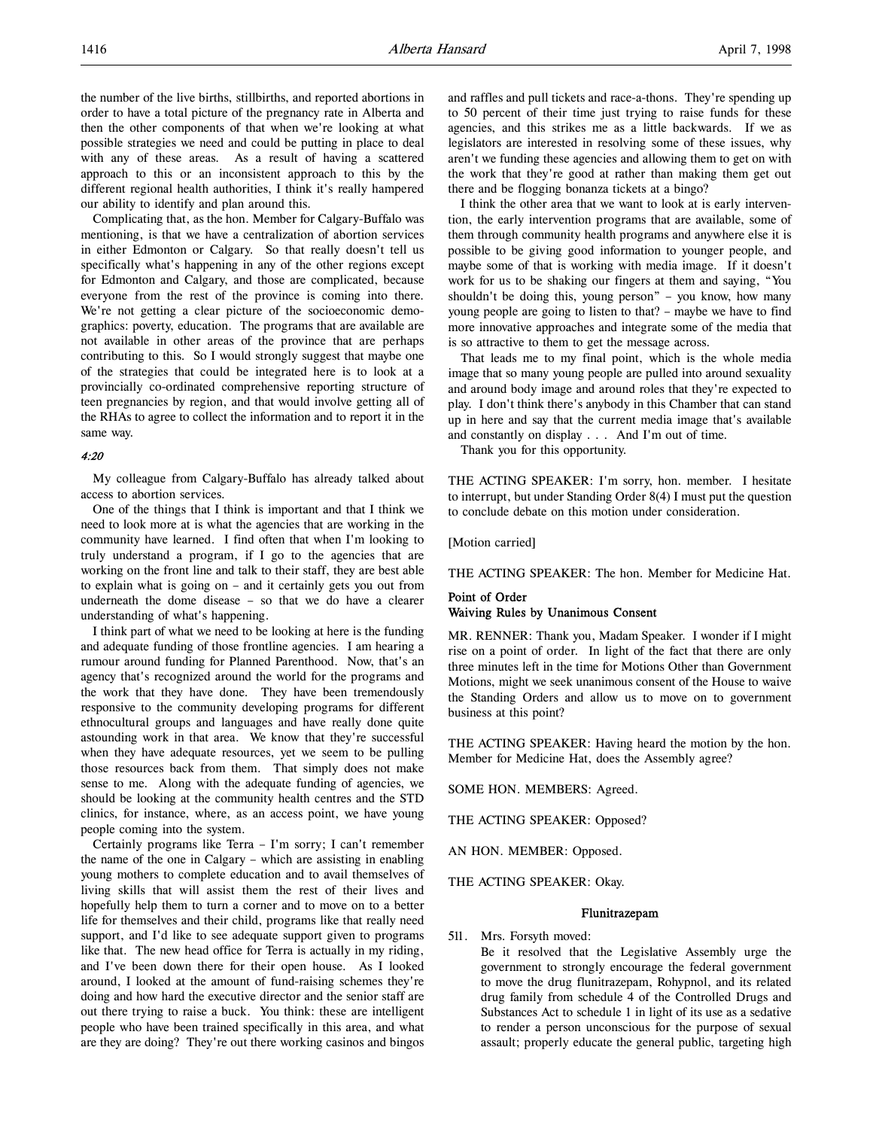the number of the live births, stillbirths, and reported abortions in order to have a total picture of the pregnancy rate in Alberta and then the other components of that when we're looking at what possible strategies we need and could be putting in place to deal with any of these areas. As a result of having a scattered approach to this or an inconsistent approach to this by the different regional health authorities, I think it's really hampered our ability to identify and plan around this.

Complicating that, as the hon. Member for Calgary-Buffalo was mentioning, is that we have a centralization of abortion services in either Edmonton or Calgary. So that really doesn't tell us specifically what's happening in any of the other regions except for Edmonton and Calgary, and those are complicated, because everyone from the rest of the province is coming into there. We're not getting a clear picture of the socioeconomic demographics: poverty, education. The programs that are available are not available in other areas of the province that are perhaps contributing to this. So I would strongly suggest that maybe one of the strategies that could be integrated here is to look at a provincially co-ordinated comprehensive reporting structure of teen pregnancies by region, and that would involve getting all of the RHAs to agree to collect the information and to report it in the same way.

## 4:20

My colleague from Calgary-Buffalo has already talked about access to abortion services.

One of the things that I think is important and that I think we need to look more at is what the agencies that are working in the community have learned. I find often that when I'm looking to truly understand a program, if I go to the agencies that are working on the front line and talk to their staff, they are best able to explain what is going on – and it certainly gets you out from underneath the dome disease – so that we do have a clearer understanding of what's happening.

I think part of what we need to be looking at here is the funding and adequate funding of those frontline agencies. I am hearing a rumour around funding for Planned Parenthood. Now, that's an agency that's recognized around the world for the programs and the work that they have done. They have been tremendously responsive to the community developing programs for different ethnocultural groups and languages and have really done quite astounding work in that area. We know that they're successful when they have adequate resources, yet we seem to be pulling those resources back from them. That simply does not make sense to me. Along with the adequate funding of agencies, we should be looking at the community health centres and the STD clinics, for instance, where, as an access point, we have young people coming into the system.

Certainly programs like Terra – I'm sorry; I can't remember the name of the one in Calgary – which are assisting in enabling young mothers to complete education and to avail themselves of living skills that will assist them the rest of their lives and hopefully help them to turn a corner and to move on to a better life for themselves and their child, programs like that really need support, and I'd like to see adequate support given to programs like that. The new head office for Terra is actually in my riding, and I've been down there for their open house. As I looked around, I looked at the amount of fund-raising schemes they're doing and how hard the executive director and the senior staff are out there trying to raise a buck. You think: these are intelligent people who have been trained specifically in this area, and what are they are doing? They're out there working casinos and bingos

and raffles and pull tickets and race-a-thons. They're spending up to 50 percent of their time just trying to raise funds for these agencies, and this strikes me as a little backwards. If we as legislators are interested in resolving some of these issues, why aren't we funding these agencies and allowing them to get on with the work that they're good at rather than making them get out there and be flogging bonanza tickets at a bingo?

I think the other area that we want to look at is early intervention, the early intervention programs that are available, some of them through community health programs and anywhere else it is possible to be giving good information to younger people, and maybe some of that is working with media image. If it doesn't work for us to be shaking our fingers at them and saying, "You shouldn't be doing this, young person" – you know, how many young people are going to listen to that? – maybe we have to find more innovative approaches and integrate some of the media that is so attractive to them to get the message across.

That leads me to my final point, which is the whole media image that so many young people are pulled into around sexuality and around body image and around roles that they're expected to play. I don't think there's anybody in this Chamber that can stand up in here and say that the current media image that's available and constantly on display . . . And I'm out of time.

Thank you for this opportunity.

THE ACTING SPEAKER: I'm sorry, hon. member. I hesitate to interrupt, but under Standing Order 8(4) I must put the question to conclude debate on this motion under consideration.

### [Motion carried]

THE ACTING SPEAKER: The hon. Member for Medicine Hat.

## Point of Order Waiving Rules by Unanimous Consent

MR. RENNER: Thank you, Madam Speaker. I wonder if I might rise on a point of order. In light of the fact that there are only three minutes left in the time for Motions Other than Government Motions, might we seek unanimous consent of the House to waive the Standing Orders and allow us to move on to government business at this point?

THE ACTING SPEAKER: Having heard the motion by the hon. Member for Medicine Hat, does the Assembly agree?

SOME HON. MEMBERS: Agreed.

THE ACTING SPEAKER: Opposed?

AN HON. MEMBER: Opposed.

THE ACTING SPEAKER: Okay.

### Flunitrazepam

511. Mrs. Forsyth moved:

Be it resolved that the Legislative Assembly urge the government to strongly encourage the federal government to move the drug flunitrazepam, Rohypnol, and its related drug family from schedule 4 of the Controlled Drugs and Substances Act to schedule 1 in light of its use as a sedative to render a person unconscious for the purpose of sexual assault; properly educate the general public, targeting high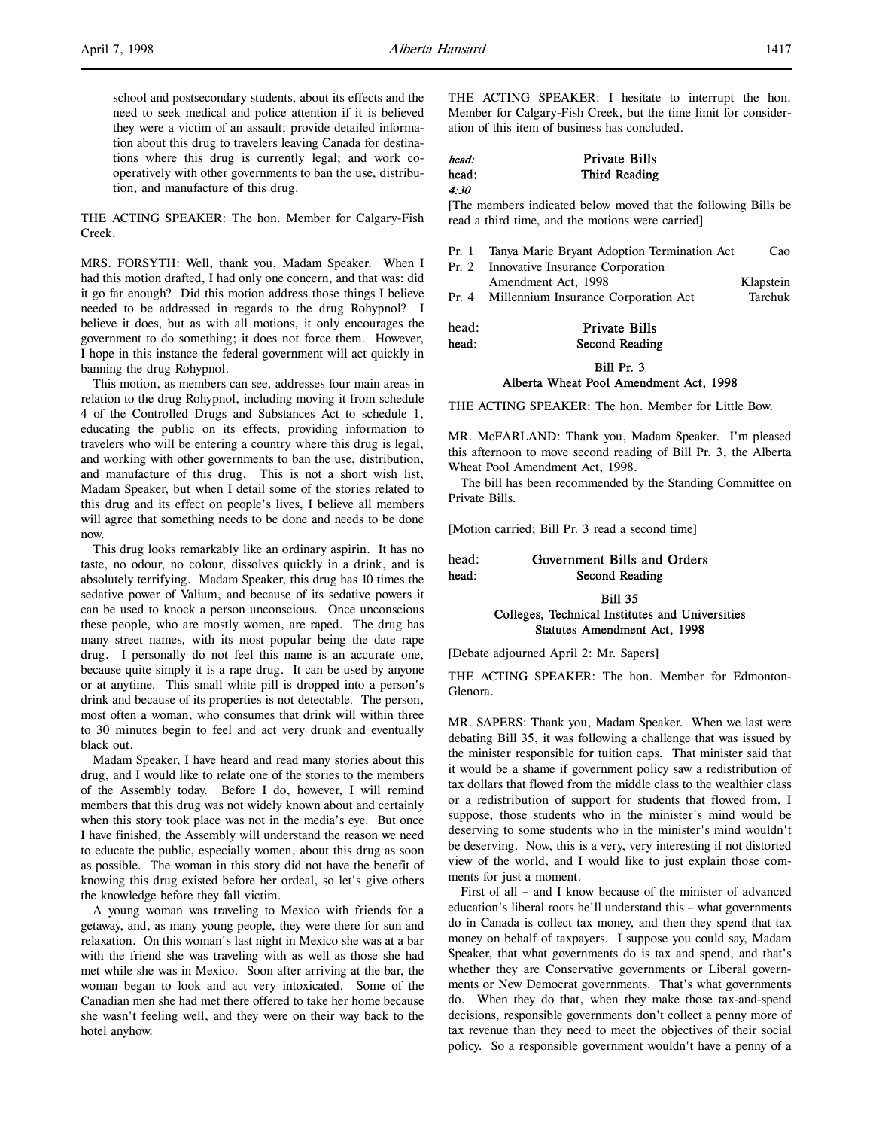school and postsecondary students, about its effects and the need to seek medical and police attention if it is believed they were a victim of an assault; provide detailed information about this drug to travelers leaving Canada for destinations where this drug is currently legal; and work cooperatively with other governments to ban the use, distribution, and manufacture of this drug.

THE ACTING SPEAKER: The hon. Member for Calgary-Fish Creek.

MRS. FORSYTH: Well, thank you, Madam Speaker. When I had this motion drafted, I had only one concern, and that was: did it go far enough? Did this motion address those things I believe needed to be addressed in regards to the drug Rohypnol? I believe it does, but as with all motions, it only encourages the government to do something; it does not force them. However, I hope in this instance the federal government will act quickly in banning the drug Rohypnol.

This motion, as members can see, addresses four main areas in relation to the drug Rohypnol, including moving it from schedule 4 of the Controlled Drugs and Substances Act to schedule 1, educating the public on its effects, providing information to travelers who will be entering a country where this drug is legal, and working with other governments to ban the use, distribution, and manufacture of this drug. This is not a short wish list, Madam Speaker, but when I detail some of the stories related to this drug and its effect on people's lives, I believe all members will agree that something needs to be done and needs to be done now.

This drug looks remarkably like an ordinary aspirin. It has no taste, no odour, no colour, dissolves quickly in a drink, and is absolutely terrifying. Madam Speaker, this drug has 10 times the sedative power of Valium, and because of its sedative powers it can be used to knock a person unconscious. Once unconscious these people, who are mostly women, are raped. The drug has many street names, with its most popular being the date rape drug. I personally do not feel this name is an accurate one, because quite simply it is a rape drug. It can be used by anyone or at anytime. This small white pill is dropped into a person's drink and because of its properties is not detectable. The person, most often a woman, who consumes that drink will within three to 30 minutes begin to feel and act very drunk and eventually black out.

Madam Speaker, I have heard and read many stories about this drug, and I would like to relate one of the stories to the members of the Assembly today. Before I do, however, I will remind members that this drug was not widely known about and certainly when this story took place was not in the media's eye. But once I have finished, the Assembly will understand the reason we need to educate the public, especially women, about this drug as soon as possible. The woman in this story did not have the benefit of knowing this drug existed before her ordeal, so let's give others the knowledge before they fall victim.

A young woman was traveling to Mexico with friends for a getaway, and, as many young people, they were there for sun and relaxation. On this woman's last night in Mexico she was at a bar with the friend she was traveling with as well as those she had met while she was in Mexico. Soon after arriving at the bar, the woman began to look and act very intoxicated. Some of the Canadian men she had met there offered to take her home because she wasn't feeling well, and they were on their way back to the hotel anyhow.

THE ACTING SPEAKER: I hesitate to interrupt the hon. Member for Calgary-Fish Creek, but the time limit for consideration of this item of business has concluded.

| head: | <b>Private Bills</b> |
|-------|----------------------|
| head: | Third Reading        |
| 4:30  |                      |

[The members indicated below moved that the following Bills be read a third time, and the motions were carried]

| Pr. 1 | Tanya Marie Bryant Adoption Termination Act | Cao       |
|-------|---------------------------------------------|-----------|
| Pr. 2 | Innovative Insurance Corporation            |           |
|       | Amendment Act, 1998                         | Klapstein |
| Pr. 4 | Millennium Insurance Corporation Act        | Tarchuk   |
|       |                                             |           |

| head: | <b>Private Bills</b> |
|-------|----------------------|
| head: | Second Reading       |

## Bill Pr. 3 Alberta Wheat Pool Amendment Act, 1998

THE ACTING SPEAKER: The hon. Member for Little Bow.

MR. McFARLAND: Thank you, Madam Speaker. I'm pleased this afternoon to move second reading of Bill Pr. 3, the Alberta Wheat Pool Amendment Act, 1998.

The bill has been recommended by the Standing Committee on Private Bills.

[Motion carried; Bill Pr. 3 read a second time]

## head: Government Bills and Orders head: Second Reading

## Bill 35 Colleges, Technical Institutes and Universities Statutes Amendment Act, 1998

[Debate adjourned April 2: Mr. Sapers]

THE ACTING SPEAKER: The hon. Member for Edmonton-Glenora.

MR. SAPERS: Thank you, Madam Speaker. When we last were debating Bill 35, it was following a challenge that was issued by the minister responsible for tuition caps. That minister said that it would be a shame if government policy saw a redistribution of tax dollars that flowed from the middle class to the wealthier class or a redistribution of support for students that flowed from, I suppose, those students who in the minister's mind would be deserving to some students who in the minister's mind wouldn't be deserving. Now, this is a very, very interesting if not distorted view of the world, and I would like to just explain those comments for just a moment.

First of all – and I know because of the minister of advanced education's liberal roots he'll understand this – what governments do in Canada is collect tax money, and then they spend that tax money on behalf of taxpayers. I suppose you could say, Madam Speaker, that what governments do is tax and spend, and that's whether they are Conservative governments or Liberal governments or New Democrat governments. That's what governments do. When they do that, when they make those tax-and-spend decisions, responsible governments don't collect a penny more of tax revenue than they need to meet the objectives of their social policy. So a responsible government wouldn't have a penny of a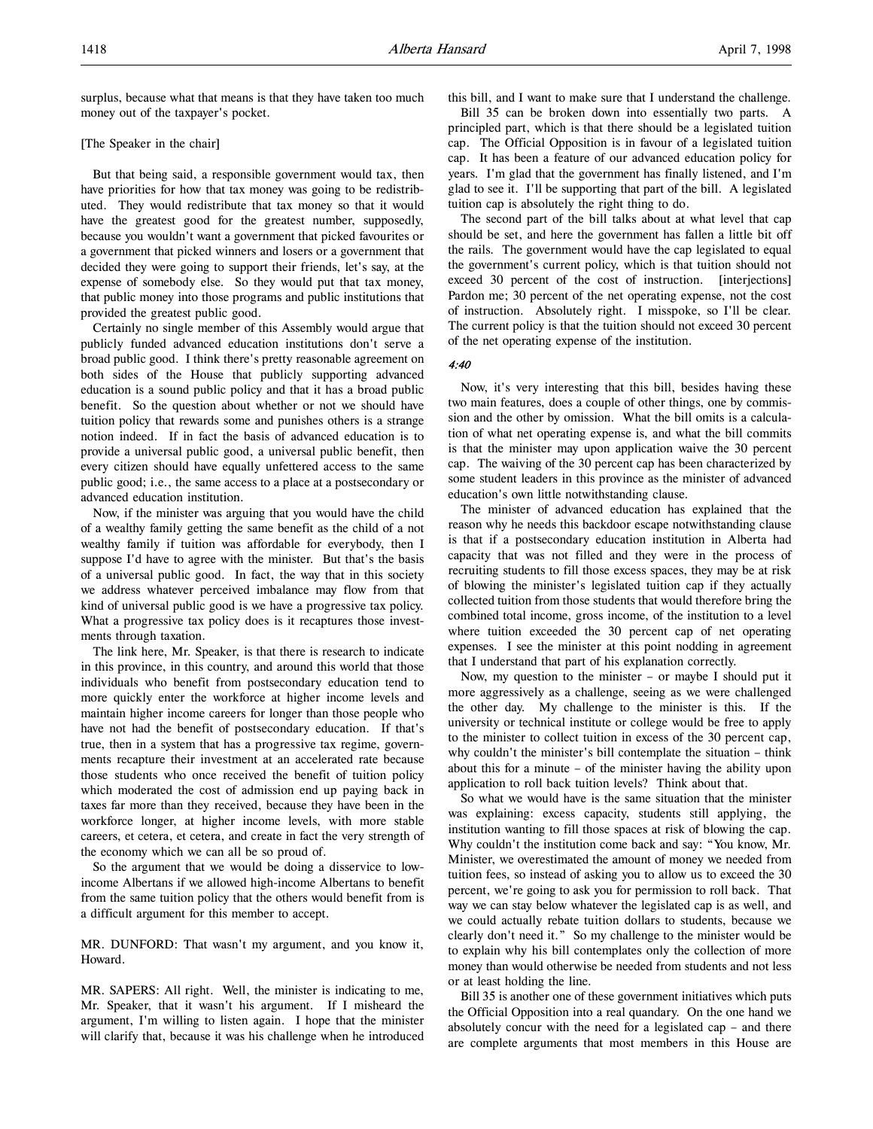## [The Speaker in the chair]

But that being said, a responsible government would tax, then have priorities for how that tax money was going to be redistributed. They would redistribute that tax money so that it would have the greatest good for the greatest number, supposedly, because you wouldn't want a government that picked favourites or a government that picked winners and losers or a government that decided they were going to support their friends, let's say, at the expense of somebody else. So they would put that tax money, that public money into those programs and public institutions that provided the greatest public good.

Certainly no single member of this Assembly would argue that publicly funded advanced education institutions don't serve a broad public good. I think there's pretty reasonable agreement on both sides of the House that publicly supporting advanced education is a sound public policy and that it has a broad public benefit. So the question about whether or not we should have tuition policy that rewards some and punishes others is a strange notion indeed. If in fact the basis of advanced education is to provide a universal public good, a universal public benefit, then every citizen should have equally unfettered access to the same public good; i.e., the same access to a place at a postsecondary or advanced education institution.

Now, if the minister was arguing that you would have the child of a wealthy family getting the same benefit as the child of a not wealthy family if tuition was affordable for everybody, then I suppose I'd have to agree with the minister. But that's the basis of a universal public good. In fact, the way that in this society we address whatever perceived imbalance may flow from that kind of universal public good is we have a progressive tax policy. What a progressive tax policy does is it recaptures those investments through taxation.

The link here, Mr. Speaker, is that there is research to indicate in this province, in this country, and around this world that those individuals who benefit from postsecondary education tend to more quickly enter the workforce at higher income levels and maintain higher income careers for longer than those people who have not had the benefit of postsecondary education. If that's true, then in a system that has a progressive tax regime, governments recapture their investment at an accelerated rate because those students who once received the benefit of tuition policy which moderated the cost of admission end up paying back in taxes far more than they received, because they have been in the workforce longer, at higher income levels, with more stable careers, et cetera, et cetera, and create in fact the very strength of the economy which we can all be so proud of.

So the argument that we would be doing a disservice to lowincome Albertans if we allowed high-income Albertans to benefit from the same tuition policy that the others would benefit from is a difficult argument for this member to accept.

MR. DUNFORD: That wasn't my argument, and you know it, Howard.

MR. SAPERS: All right. Well, the minister is indicating to me, Mr. Speaker, that it wasn't his argument. If I misheard the argument, I'm willing to listen again. I hope that the minister will clarify that, because it was his challenge when he introduced

this bill, and I want to make sure that I understand the challenge.

Bill 35 can be broken down into essentially two parts. A principled part, which is that there should be a legislated tuition cap. The Official Opposition is in favour of a legislated tuition cap. It has been a feature of our advanced education policy for years. I'm glad that the government has finally listened, and I'm glad to see it. I'll be supporting that part of the bill. A legislated tuition cap is absolutely the right thing to do.

The second part of the bill talks about at what level that cap should be set, and here the government has fallen a little bit off the rails. The government would have the cap legislated to equal the government's current policy, which is that tuition should not exceed 30 percent of the cost of instruction. [interjections] Pardon me; 30 percent of the net operating expense, not the cost of instruction. Absolutely right. I misspoke, so I'll be clear. The current policy is that the tuition should not exceed 30 percent of the net operating expense of the institution.

### 4:40

Now, it's very interesting that this bill, besides having these two main features, does a couple of other things, one by commission and the other by omission. What the bill omits is a calculation of what net operating expense is, and what the bill commits is that the minister may upon application waive the 30 percent cap. The waiving of the 30 percent cap has been characterized by some student leaders in this province as the minister of advanced education's own little notwithstanding clause.

The minister of advanced education has explained that the reason why he needs this backdoor escape notwithstanding clause is that if a postsecondary education institution in Alberta had capacity that was not filled and they were in the process of recruiting students to fill those excess spaces, they may be at risk of blowing the minister's legislated tuition cap if they actually collected tuition from those students that would therefore bring the combined total income, gross income, of the institution to a level where tuition exceeded the 30 percent cap of net operating expenses. I see the minister at this point nodding in agreement that I understand that part of his explanation correctly.

Now, my question to the minister – or maybe I should put it more aggressively as a challenge, seeing as we were challenged the other day. My challenge to the minister is this. If the university or technical institute or college would be free to apply to the minister to collect tuition in excess of the 30 percent cap, why couldn't the minister's bill contemplate the situation – think about this for a minute – of the minister having the ability upon application to roll back tuition levels? Think about that.

So what we would have is the same situation that the minister was explaining: excess capacity, students still applying, the institution wanting to fill those spaces at risk of blowing the cap. Why couldn't the institution come back and say: "You know, Mr. Minister, we overestimated the amount of money we needed from tuition fees, so instead of asking you to allow us to exceed the 30 percent, we're going to ask you for permission to roll back. That way we can stay below whatever the legislated cap is as well, and we could actually rebate tuition dollars to students, because we clearly don't need it." So my challenge to the minister would be to explain why his bill contemplates only the collection of more money than would otherwise be needed from students and not less or at least holding the line.

Bill 35 is another one of these government initiatives which puts the Official Opposition into a real quandary. On the one hand we absolutely concur with the need for a legislated cap – and there are complete arguments that most members in this House are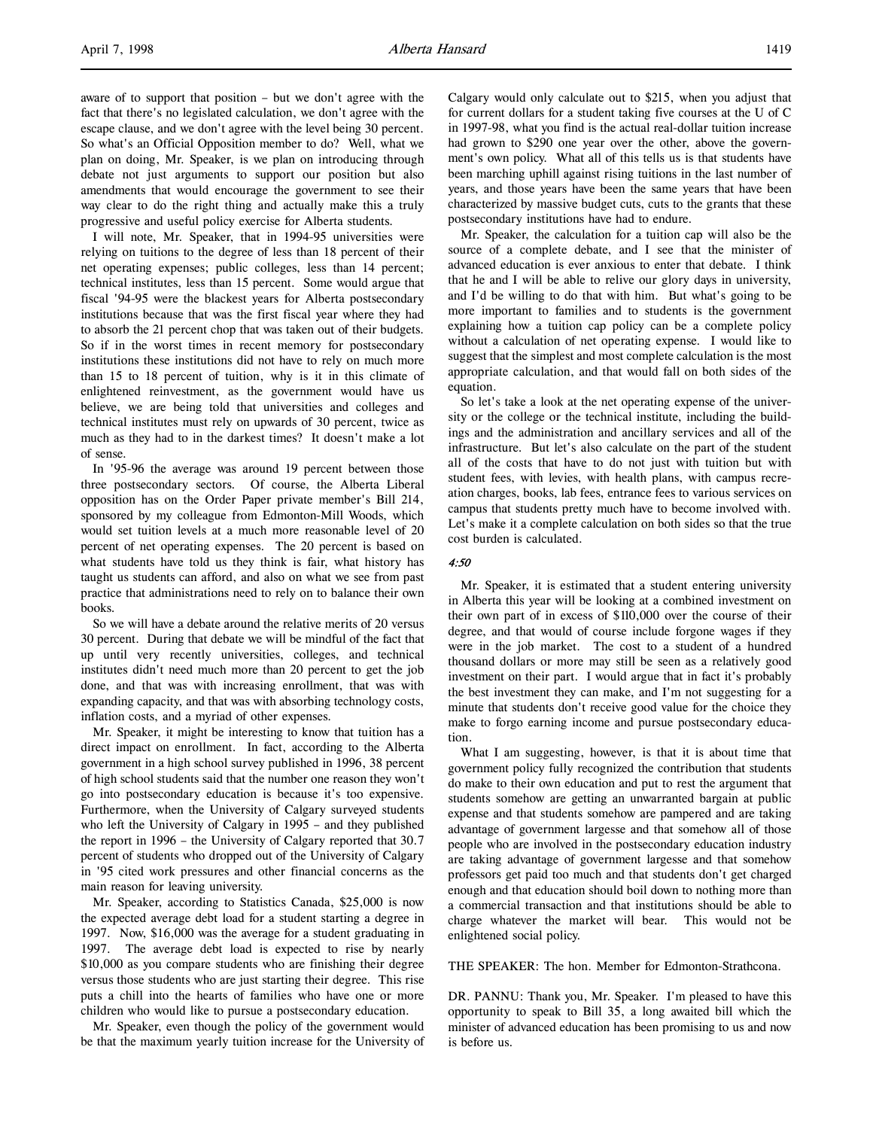aware of to support that position – but we don't agree with the fact that there's no legislated calculation, we don't agree with the escape clause, and we don't agree with the level being 30 percent. So what's an Official Opposition member to do? Well, what we plan on doing, Mr. Speaker, is we plan on introducing through debate not just arguments to support our position but also amendments that would encourage the government to see their way clear to do the right thing and actually make this a truly progressive and useful policy exercise for Alberta students.

I will note, Mr. Speaker, that in 1994-95 universities were relying on tuitions to the degree of less than 18 percent of their net operating expenses; public colleges, less than 14 percent; technical institutes, less than 15 percent. Some would argue that fiscal '94-95 were the blackest years for Alberta postsecondary institutions because that was the first fiscal year where they had to absorb the 21 percent chop that was taken out of their budgets. So if in the worst times in recent memory for postsecondary institutions these institutions did not have to rely on much more than 15 to 18 percent of tuition, why is it in this climate of enlightened reinvestment, as the government would have us believe, we are being told that universities and colleges and technical institutes must rely on upwards of 30 percent, twice as much as they had to in the darkest times? It doesn't make a lot of sense.

In '95-96 the average was around 19 percent between those three postsecondary sectors. Of course, the Alberta Liberal opposition has on the Order Paper private member's Bill 214, sponsored by my colleague from Edmonton-Mill Woods, which would set tuition levels at a much more reasonable level of 20 percent of net operating expenses. The 20 percent is based on what students have told us they think is fair, what history has taught us students can afford, and also on what we see from past practice that administrations need to rely on to balance their own books.

So we will have a debate around the relative merits of 20 versus 30 percent. During that debate we will be mindful of the fact that up until very recently universities, colleges, and technical institutes didn't need much more than 20 percent to get the job done, and that was with increasing enrollment, that was with expanding capacity, and that was with absorbing technology costs, inflation costs, and a myriad of other expenses.

Mr. Speaker, it might be interesting to know that tuition has a direct impact on enrollment. In fact, according to the Alberta government in a high school survey published in 1996, 38 percent of high school students said that the number one reason they won't go into postsecondary education is because it's too expensive. Furthermore, when the University of Calgary surveyed students who left the University of Calgary in 1995 – and they published the report in 1996 – the University of Calgary reported that 30.7 percent of students who dropped out of the University of Calgary in '95 cited work pressures and other financial concerns as the main reason for leaving university.

Mr. Speaker, according to Statistics Canada, \$25,000 is now the expected average debt load for a student starting a degree in 1997. Now, \$16,000 was the average for a student graduating in 1997. The average debt load is expected to rise by nearly \$10,000 as you compare students who are finishing their degree versus those students who are just starting their degree. This rise puts a chill into the hearts of families who have one or more children who would like to pursue a postsecondary education.

Mr. Speaker, even though the policy of the government would be that the maximum yearly tuition increase for the University of Calgary would only calculate out to \$215, when you adjust that for current dollars for a student taking five courses at the U of C in 1997-98, what you find is the actual real-dollar tuition increase had grown to \$290 one year over the other, above the government's own policy. What all of this tells us is that students have been marching uphill against rising tuitions in the last number of years, and those years have been the same years that have been characterized by massive budget cuts, cuts to the grants that these postsecondary institutions have had to endure.

Mr. Speaker, the calculation for a tuition cap will also be the source of a complete debate, and I see that the minister of advanced education is ever anxious to enter that debate. I think that he and I will be able to relive our glory days in university, and I'd be willing to do that with him. But what's going to be more important to families and to students is the government explaining how a tuition cap policy can be a complete policy without a calculation of net operating expense. I would like to suggest that the simplest and most complete calculation is the most appropriate calculation, and that would fall on both sides of the equation.

So let's take a look at the net operating expense of the university or the college or the technical institute, including the buildings and the administration and ancillary services and all of the infrastructure. But let's also calculate on the part of the student all of the costs that have to do not just with tuition but with student fees, with levies, with health plans, with campus recreation charges, books, lab fees, entrance fees to various services on campus that students pretty much have to become involved with. Let's make it a complete calculation on both sides so that the true cost burden is calculated.

# $4.50$

Mr. Speaker, it is estimated that a student entering university in Alberta this year will be looking at a combined investment on their own part of in excess of \$110,000 over the course of their degree, and that would of course include forgone wages if they were in the job market. The cost to a student of a hundred thousand dollars or more may still be seen as a relatively good investment on their part. I would argue that in fact it's probably the best investment they can make, and I'm not suggesting for a minute that students don't receive good value for the choice they make to forgo earning income and pursue postsecondary education.

What I am suggesting, however, is that it is about time that government policy fully recognized the contribution that students do make to their own education and put to rest the argument that students somehow are getting an unwarranted bargain at public expense and that students somehow are pampered and are taking advantage of government largesse and that somehow all of those people who are involved in the postsecondary education industry are taking advantage of government largesse and that somehow professors get paid too much and that students don't get charged enough and that education should boil down to nothing more than a commercial transaction and that institutions should be able to charge whatever the market will bear. This would not be enlightened social policy.

THE SPEAKER: The hon. Member for Edmonton-Strathcona.

DR. PANNU: Thank you, Mr. Speaker. I'm pleased to have this opportunity to speak to Bill 35, a long awaited bill which the minister of advanced education has been promising to us and now is before us.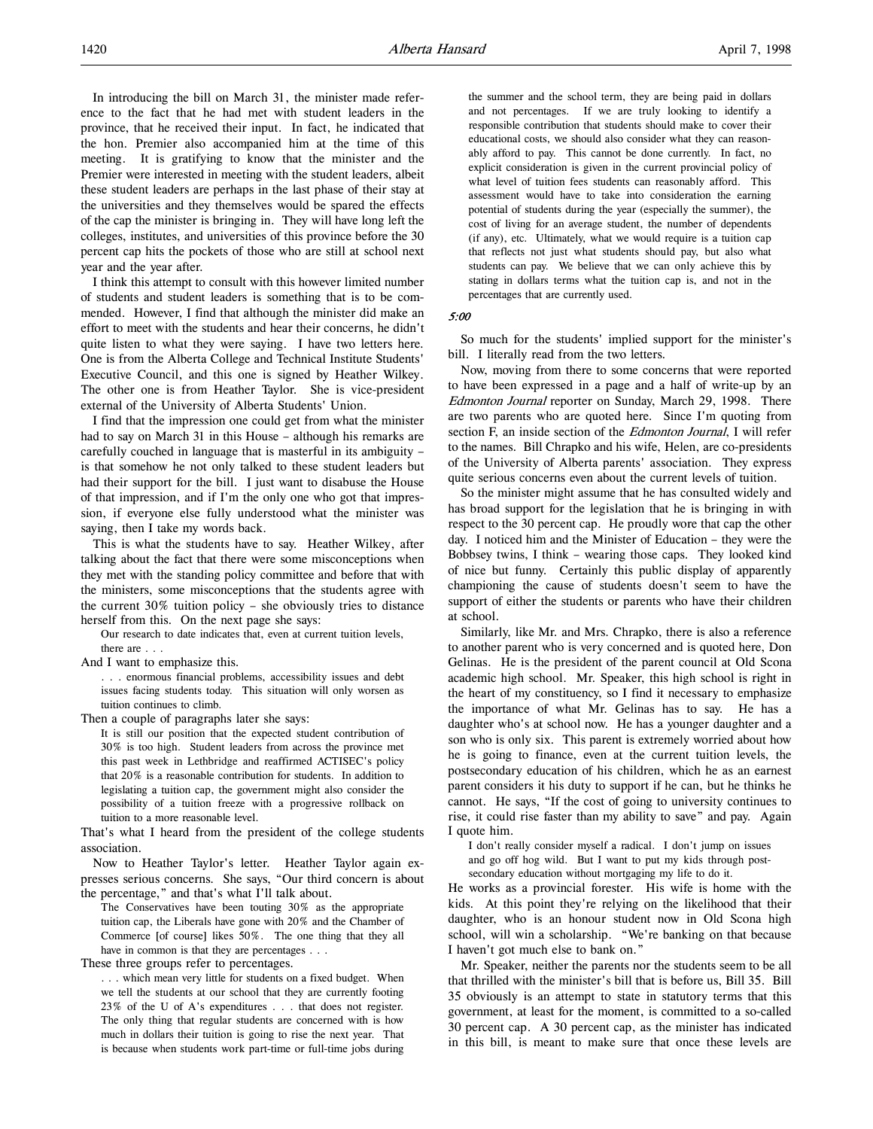In introducing the bill on March 31, the minister made reference to the fact that he had met with student leaders in the province, that he received their input. In fact, he indicated that the hon. Premier also accompanied him at the time of this meeting. It is gratifying to know that the minister and the Premier were interested in meeting with the student leaders, albeit these student leaders are perhaps in the last phase of their stay at the universities and they themselves would be spared the effects of the cap the minister is bringing in. They will have long left the colleges, institutes, and universities of this province before the 30 percent cap hits the pockets of those who are still at school next year and the year after.

I think this attempt to consult with this however limited number of students and student leaders is something that is to be commended. However, I find that although the minister did make an effort to meet with the students and hear their concerns, he didn't quite listen to what they were saying. I have two letters here. One is from the Alberta College and Technical Institute Students' Executive Council, and this one is signed by Heather Wilkey. The other one is from Heather Taylor. She is vice-president external of the University of Alberta Students' Union.

I find that the impression one could get from what the minister had to say on March 31 in this House – although his remarks are carefully couched in language that is masterful in its ambiguity – is that somehow he not only talked to these student leaders but had their support for the bill. I just want to disabuse the House of that impression, and if I'm the only one who got that impression, if everyone else fully understood what the minister was saying, then I take my words back.

This is what the students have to say. Heather Wilkey, after talking about the fact that there were some misconceptions when they met with the standing policy committee and before that with the ministers, some misconceptions that the students agree with the current 30% tuition policy – she obviously tries to distance herself from this. On the next page she says:

Our research to date indicates that, even at current tuition levels, there are . . .

And I want to emphasize this.

. . . enormous financial problems, accessibility issues and debt issues facing students today. This situation will only worsen as tuition continues to climb.

Then a couple of paragraphs later she says:

It is still our position that the expected student contribution of 30% is too high. Student leaders from across the province met this past week in Lethbridge and reaffirmed ACTISEC's policy that 20% is a reasonable contribution for students. In addition to legislating a tuition cap, the government might also consider the possibility of a tuition freeze with a progressive rollback on tuition to a more reasonable level.

That's what I heard from the president of the college students association.

Now to Heather Taylor's letter. Heather Taylor again expresses serious concerns. She says, "Our third concern is about the percentage," and that's what I'll talk about.

The Conservatives have been touting 30% as the appropriate tuition cap, the Liberals have gone with 20% and the Chamber of Commerce [of course] likes 50%. The one thing that they all have in common is that they are percentages . . .

These three groups refer to percentages.

. . . which mean very little for students on a fixed budget. When we tell the students at our school that they are currently footing 23% of the U of A's expenditures . . . that does not register. The only thing that regular students are concerned with is how much in dollars their tuition is going to rise the next year. That is because when students work part-time or full-time jobs during

the summer and the school term, they are being paid in dollars and not percentages. If we are truly looking to identify a responsible contribution that students should make to cover their educational costs, we should also consider what they can reasonably afford to pay. This cannot be done currently. In fact, no explicit consideration is given in the current provincial policy of what level of tuition fees students can reasonably afford. This assessment would have to take into consideration the earning potential of students during the year (especially the summer), the cost of living for an average student, the number of dependents (if any), etc. Ultimately, what we would require is a tuition cap that reflects not just what students should pay, but also what students can pay. We believe that we can only achieve this by stating in dollars terms what the tuition cap is, and not in the percentages that are currently used.

5:00

So much for the students' implied support for the minister's bill. I literally read from the two letters.

Now, moving from there to some concerns that were reported to have been expressed in a page and a half of write-up by an Edmonton Journal reporter on Sunday, March 29, 1998. There are two parents who are quoted here. Since I'm quoting from section F, an inside section of the Edmonton Journal, I will refer to the names. Bill Chrapko and his wife, Helen, are co-presidents of the University of Alberta parents' association. They express quite serious concerns even about the current levels of tuition.

So the minister might assume that he has consulted widely and has broad support for the legislation that he is bringing in with respect to the 30 percent cap. He proudly wore that cap the other day. I noticed him and the Minister of Education – they were the Bobbsey twins, I think – wearing those caps. They looked kind of nice but funny. Certainly this public display of apparently championing the cause of students doesn't seem to have the support of either the students or parents who have their children at school.

Similarly, like Mr. and Mrs. Chrapko, there is also a reference to another parent who is very concerned and is quoted here, Don Gelinas. He is the president of the parent council at Old Scona academic high school. Mr. Speaker, this high school is right in the heart of my constituency, so I find it necessary to emphasize the importance of what Mr. Gelinas has to say. He has a daughter who's at school now. He has a younger daughter and a son who is only six. This parent is extremely worried about how he is going to finance, even at the current tuition levels, the postsecondary education of his children, which he as an earnest parent considers it his duty to support if he can, but he thinks he cannot. He says, "If the cost of going to university continues to rise, it could rise faster than my ability to save" and pay. Again I quote him.

I don't really consider myself a radical. I don't jump on issues and go off hog wild. But I want to put my kids through postsecondary education without mortgaging my life to do it.

He works as a provincial forester. His wife is home with the kids. At this point they're relying on the likelihood that their daughter, who is an honour student now in Old Scona high school, will win a scholarship. "We're banking on that because I haven't got much else to bank on."

Mr. Speaker, neither the parents nor the students seem to be all that thrilled with the minister's bill that is before us, Bill 35. Bill 35 obviously is an attempt to state in statutory terms that this government, at least for the moment, is committed to a so-called 30 percent cap. A 30 percent cap, as the minister has indicated in this bill, is meant to make sure that once these levels are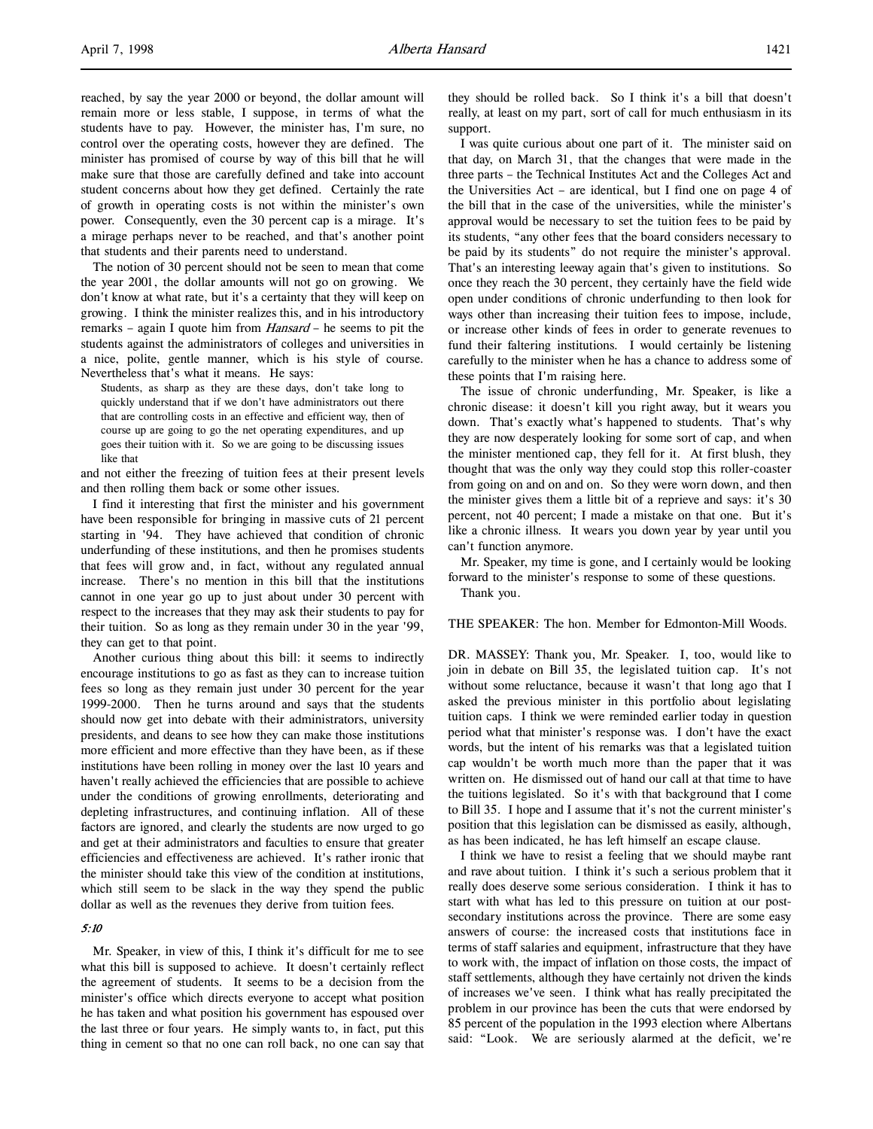reached, by say the year 2000 or beyond, the dollar amount will remain more or less stable, I suppose, in terms of what the students have to pay. However, the minister has, I'm sure, no control over the operating costs, however they are defined. The minister has promised of course by way of this bill that he will make sure that those are carefully defined and take into account student concerns about how they get defined. Certainly the rate of growth in operating costs is not within the minister's own power. Consequently, even the 30 percent cap is a mirage. It's a mirage perhaps never to be reached, and that's another point that students and their parents need to understand.

The notion of 30 percent should not be seen to mean that come the year 2001, the dollar amounts will not go on growing. We don't know at what rate, but it's a certainty that they will keep on growing. I think the minister realizes this, and in his introductory remarks – again I quote him from Hansard – he seems to pit the students against the administrators of colleges and universities in a nice, polite, gentle manner, which is his style of course. Nevertheless that's what it means. He says:

Students, as sharp as they are these days, don't take long to quickly understand that if we don't have administrators out there that are controlling costs in an effective and efficient way, then of course up are going to go the net operating expenditures, and up goes their tuition with it. So we are going to be discussing issues like that

and not either the freezing of tuition fees at their present levels and then rolling them back or some other issues.

I find it interesting that first the minister and his government have been responsible for bringing in massive cuts of 21 percent starting in '94. They have achieved that condition of chronic underfunding of these institutions, and then he promises students that fees will grow and, in fact, without any regulated annual increase. There's no mention in this bill that the institutions cannot in one year go up to just about under 30 percent with respect to the increases that they may ask their students to pay for their tuition. So as long as they remain under 30 in the year '99, they can get to that point.

Another curious thing about this bill: it seems to indirectly encourage institutions to go as fast as they can to increase tuition fees so long as they remain just under 30 percent for the year 1999-2000. Then he turns around and says that the students should now get into debate with their administrators, university presidents, and deans to see how they can make those institutions more efficient and more effective than they have been, as if these institutions have been rolling in money over the last 10 years and haven't really achieved the efficiencies that are possible to achieve under the conditions of growing enrollments, deteriorating and depleting infrastructures, and continuing inflation. All of these factors are ignored, and clearly the students are now urged to go and get at their administrators and faculties to ensure that greater efficiencies and effectiveness are achieved. It's rather ironic that the minister should take this view of the condition at institutions, which still seem to be slack in the way they spend the public dollar as well as the revenues they derive from tuition fees.

### 5:10

Mr. Speaker, in view of this, I think it's difficult for me to see what this bill is supposed to achieve. It doesn't certainly reflect the agreement of students. It seems to be a decision from the minister's office which directs everyone to accept what position he has taken and what position his government has espoused over the last three or four years. He simply wants to, in fact, put this thing in cement so that no one can roll back, no one can say that

they should be rolled back. So I think it's a bill that doesn't really, at least on my part, sort of call for much enthusiasm in its support.

I was quite curious about one part of it. The minister said on that day, on March 31, that the changes that were made in the three parts – the Technical Institutes Act and the Colleges Act and the Universities Act – are identical, but I find one on page 4 of the bill that in the case of the universities, while the minister's approval would be necessary to set the tuition fees to be paid by its students, "any other fees that the board considers necessary to be paid by its students" do not require the minister's approval. That's an interesting leeway again that's given to institutions. So once they reach the 30 percent, they certainly have the field wide open under conditions of chronic underfunding to then look for ways other than increasing their tuition fees to impose, include, or increase other kinds of fees in order to generate revenues to fund their faltering institutions. I would certainly be listening carefully to the minister when he has a chance to address some of these points that I'm raising here.

The issue of chronic underfunding, Mr. Speaker, is like a chronic disease: it doesn't kill you right away, but it wears you down. That's exactly what's happened to students. That's why they are now desperately looking for some sort of cap, and when the minister mentioned cap, they fell for it. At first blush, they thought that was the only way they could stop this roller-coaster from going on and on and on. So they were worn down, and then the minister gives them a little bit of a reprieve and says: it's 30 percent, not 40 percent; I made a mistake on that one. But it's like a chronic illness. It wears you down year by year until you can't function anymore.

Mr. Speaker, my time is gone, and I certainly would be looking forward to the minister's response to some of these questions.

Thank you.

THE SPEAKER: The hon. Member for Edmonton-Mill Woods.

DR. MASSEY: Thank you, Mr. Speaker. I, too, would like to join in debate on Bill 35, the legislated tuition cap. It's not without some reluctance, because it wasn't that long ago that I asked the previous minister in this portfolio about legislating tuition caps. I think we were reminded earlier today in question period what that minister's response was. I don't have the exact words, but the intent of his remarks was that a legislated tuition cap wouldn't be worth much more than the paper that it was written on. He dismissed out of hand our call at that time to have the tuitions legislated. So it's with that background that I come to Bill 35. I hope and I assume that it's not the current minister's position that this legislation can be dismissed as easily, although, as has been indicated, he has left himself an escape clause.

I think we have to resist a feeling that we should maybe rant and rave about tuition. I think it's such a serious problem that it really does deserve some serious consideration. I think it has to start with what has led to this pressure on tuition at our postsecondary institutions across the province. There are some easy answers of course: the increased costs that institutions face in terms of staff salaries and equipment, infrastructure that they have to work with, the impact of inflation on those costs, the impact of staff settlements, although they have certainly not driven the kinds of increases we've seen. I think what has really precipitated the problem in our province has been the cuts that were endorsed by 85 percent of the population in the 1993 election where Albertans said: "Look. We are seriously alarmed at the deficit, we're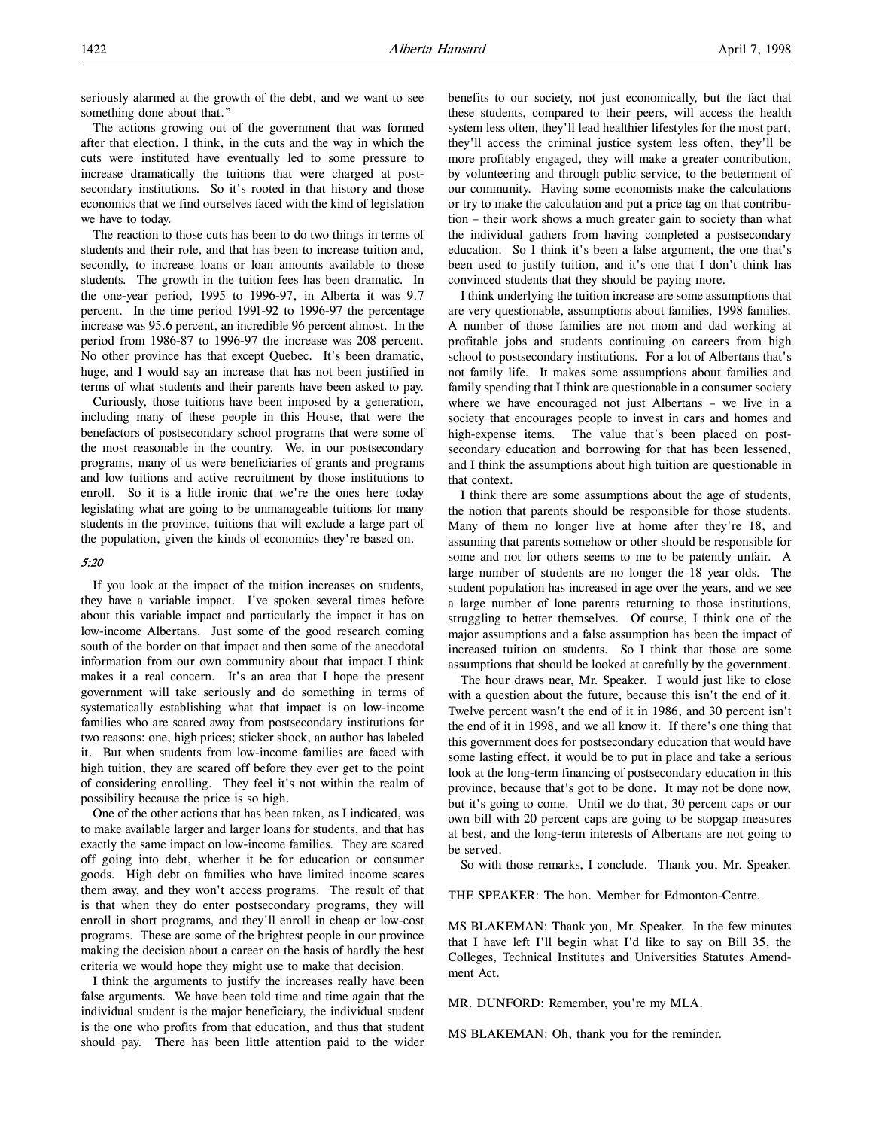seriously alarmed at the growth of the debt, and we want to see something done about that."

The actions growing out of the government that was formed after that election, I think, in the cuts and the way in which the cuts were instituted have eventually led to some pressure to increase dramatically the tuitions that were charged at postsecondary institutions. So it's rooted in that history and those economics that we find ourselves faced with the kind of legislation we have to today.

The reaction to those cuts has been to do two things in terms of students and their role, and that has been to increase tuition and, secondly, to increase loans or loan amounts available to those students. The growth in the tuition fees has been dramatic. In the one-year period, 1995 to 1996-97, in Alberta it was 9.7 percent. In the time period 1991-92 to 1996-97 the percentage increase was 95.6 percent, an incredible 96 percent almost. In the period from 1986-87 to 1996-97 the increase was 208 percent. No other province has that except Quebec. It's been dramatic, huge, and I would say an increase that has not been justified in terms of what students and their parents have been asked to pay.

Curiously, those tuitions have been imposed by a generation, including many of these people in this House, that were the benefactors of postsecondary school programs that were some of the most reasonable in the country. We, in our postsecondary programs, many of us were beneficiaries of grants and programs and low tuitions and active recruitment by those institutions to enroll. So it is a little ironic that we're the ones here today legislating what are going to be unmanageable tuitions for many students in the province, tuitions that will exclude a large part of the population, given the kinds of economics they're based on.

### 5:20

If you look at the impact of the tuition increases on students, they have a variable impact. I've spoken several times before about this variable impact and particularly the impact it has on low-income Albertans. Just some of the good research coming south of the border on that impact and then some of the anecdotal information from our own community about that impact I think makes it a real concern. It's an area that I hope the present government will take seriously and do something in terms of systematically establishing what that impact is on low-income families who are scared away from postsecondary institutions for two reasons: one, high prices; sticker shock, an author has labeled it. But when students from low-income families are faced with high tuition, they are scared off before they ever get to the point of considering enrolling. They feel it's not within the realm of possibility because the price is so high.

One of the other actions that has been taken, as I indicated, was to make available larger and larger loans for students, and that has exactly the same impact on low-income families. They are scared off going into debt, whether it be for education or consumer goods. High debt on families who have limited income scares them away, and they won't access programs. The result of that is that when they do enter postsecondary programs, they will enroll in short programs, and they'll enroll in cheap or low-cost programs. These are some of the brightest people in our province making the decision about a career on the basis of hardly the best criteria we would hope they might use to make that decision.

I think the arguments to justify the increases really have been false arguments. We have been told time and time again that the individual student is the major beneficiary, the individual student is the one who profits from that education, and thus that student should pay. There has been little attention paid to the wider

benefits to our society, not just economically, but the fact that these students, compared to their peers, will access the health system less often, they'll lead healthier lifestyles for the most part, they'll access the criminal justice system less often, they'll be more profitably engaged, they will make a greater contribution, by volunteering and through public service, to the betterment of our community. Having some economists make the calculations or try to make the calculation and put a price tag on that contribution – their work shows a much greater gain to society than what the individual gathers from having completed a postsecondary education. So I think it's been a false argument, the one that's been used to justify tuition, and it's one that I don't think has convinced students that they should be paying more.

I think underlying the tuition increase are some assumptions that are very questionable, assumptions about families, 1998 families. A number of those families are not mom and dad working at profitable jobs and students continuing on careers from high school to postsecondary institutions. For a lot of Albertans that's not family life. It makes some assumptions about families and family spending that I think are questionable in a consumer society where we have encouraged not just Albertans – we live in a society that encourages people to invest in cars and homes and high-expense items. The value that's been placed on postsecondary education and borrowing for that has been lessened, and I think the assumptions about high tuition are questionable in that context.

I think there are some assumptions about the age of students, the notion that parents should be responsible for those students. Many of them no longer live at home after they're 18, and assuming that parents somehow or other should be responsible for some and not for others seems to me to be patently unfair. A large number of students are no longer the 18 year olds. The student population has increased in age over the years, and we see a large number of lone parents returning to those institutions, struggling to better themselves. Of course, I think one of the major assumptions and a false assumption has been the impact of increased tuition on students. So I think that those are some assumptions that should be looked at carefully by the government.

The hour draws near, Mr. Speaker. I would just like to close with a question about the future, because this isn't the end of it. Twelve percent wasn't the end of it in 1986, and 30 percent isn't the end of it in 1998, and we all know it. If there's one thing that this government does for postsecondary education that would have some lasting effect, it would be to put in place and take a serious look at the long-term financing of postsecondary education in this province, because that's got to be done. It may not be done now, but it's going to come. Until we do that, 30 percent caps or our own bill with 20 percent caps are going to be stopgap measures at best, and the long-term interests of Albertans are not going to be served.

So with those remarks, I conclude. Thank you, Mr. Speaker.

THE SPEAKER: The hon. Member for Edmonton-Centre.

MS BLAKEMAN: Thank you, Mr. Speaker. In the few minutes that I have left I'll begin what I'd like to say on Bill 35, the Colleges, Technical Institutes and Universities Statutes Amendment Act.

MR. DUNFORD: Remember, you're my MLA.

MS BLAKEMAN: Oh, thank you for the reminder.